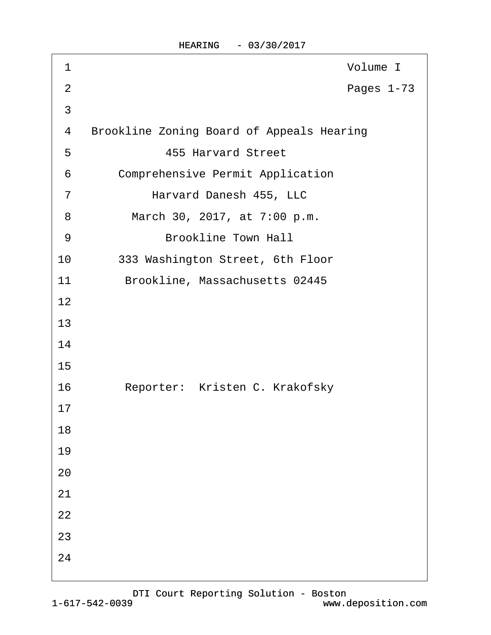| 1              | Volume I                                         |
|----------------|--------------------------------------------------|
| $\overline{2}$ | Pages 1-73                                       |
| 3              |                                                  |
| 4              | <b>Brookline Zoning Board of Appeals Hearing</b> |
| 5              | <b>455 Harvard Street</b>                        |
| 6              | <b>Comprehensive Permit Application</b>          |
| $\overline{7}$ | Harvard Danesh 455, LLC                          |
| 8              | March 30, 2017, at 7:00 p.m.                     |
| 9              | <b>Brookline Town Hall</b>                       |
| 10             | 333 Washington Street, 6th Floor                 |
| 11             | Brookline, Massachusetts 02445                   |
| 12             |                                                  |
| 13             |                                                  |
| 14             |                                                  |
| 15             |                                                  |
| 16             | Reporter: Kristen C. Krakofsky                   |
| 17             |                                                  |
| 18             |                                                  |
| 19             |                                                  |
| 20             |                                                  |
| 21             |                                                  |
| 22             |                                                  |
| 23             |                                                  |
| 24             |                                                  |
|                |                                                  |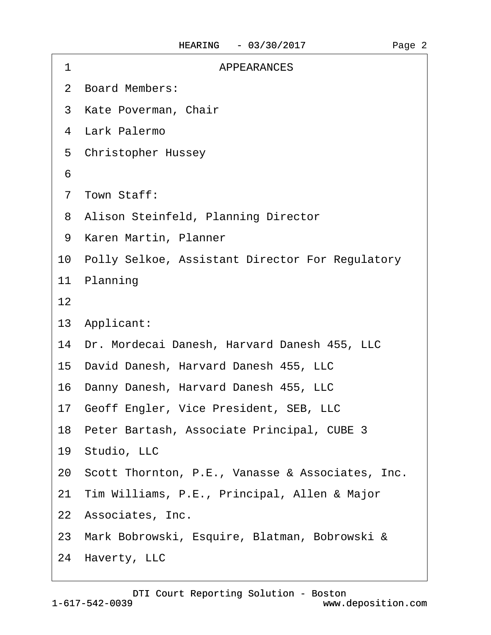| 1  | <b>APPEARANCES</b>                                  |
|----|-----------------------------------------------------|
|    | 2 Board Members:                                    |
|    | 3 Kate Poverman, Chair                              |
|    | 4 Lark Palermo                                      |
|    | 5 Christopher Hussey                                |
| 6  |                                                     |
|    | 7 Town Staff:                                       |
|    | 8 Alison Steinfeld, Planning Director               |
|    | 9 Karen Martin, Planner                             |
|    | 10 Polly Selkoe, Assistant Director For Regulatory  |
|    | 11 Planning                                         |
| 12 |                                                     |
|    | 13 Applicant:                                       |
|    | 14 Dr. Mordecai Danesh, Harvard Danesh 455, LLC     |
|    | 15 David Danesh, Harvard Danesh 455, LLC            |
|    | 16 Danny Danesh, Harvard Danesh 455, LLC            |
|    | 17 Geoff Engler, Vice President, SEB, LLC           |
|    | 18 Peter Bartash, Associate Principal, CUBE 3       |
|    | 19 Studio, LLC                                      |
|    | 20 Scott Thornton, P.E., Vanasse & Associates, Inc. |
|    | 21 Tim Williams, P.E., Principal, Allen & Major     |
|    | 22 Associates, Inc.                                 |
|    | 23 Mark Bobrowski, Esquire, Blatman, Bobrowski &    |
|    | 24 Haverty, LLC                                     |
|    |                                                     |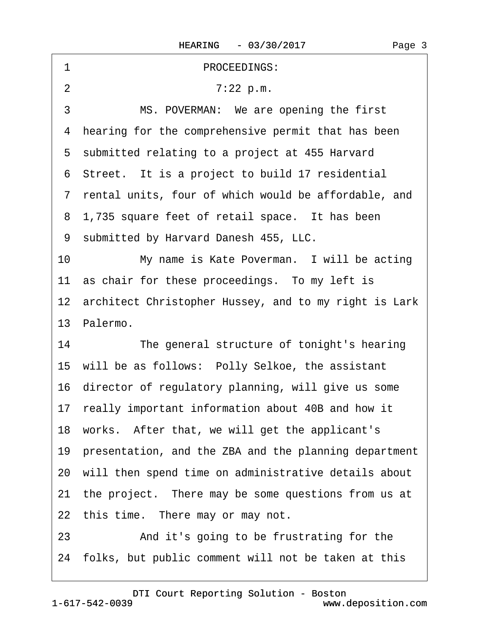| 1<br>PROCEEDINGS:                                        |
|----------------------------------------------------------|
| $\overline{2}$<br>7:22 p.m.                              |
| 3<br>MS. POVERMAN: We are opening the first              |
| 4 hearing for the comprehensive permit that has been     |
| 5 submitted relating to a project at 455 Harvard         |
| 6 Street. It is a project to build 17 residential        |
| 7 rental units, four of which would be affordable, and   |
| 8 1,735 square feet of retail space. It has been         |
| 9 submitted by Harvard Danesh 455, LLC.                  |
| My name is Kate Poverman. I will be acting<br>10         |
| 11 as chair for these proceedings. To my left is         |
| 12 architect Christopher Hussey, and to my right is Lark |
| 13 Palermo.                                              |
| 14<br>The general structure of tonight's hearing         |
| 15 will be as follows: Polly Selkoe, the assistant       |
| 16 director of regulatory planning, will give us some    |
| 17 really important information about 40B and how it     |
| 18 works. After that, we will get the applicant's        |
|                                                          |
| 19 presentation, and the ZBA and the planning department |
| 20 will then spend time on administrative details about  |
| 21 the project. There may be some questions from us at   |
| 22 this time. There may or may not.                      |
| And it's going to be frustrating for the<br>23           |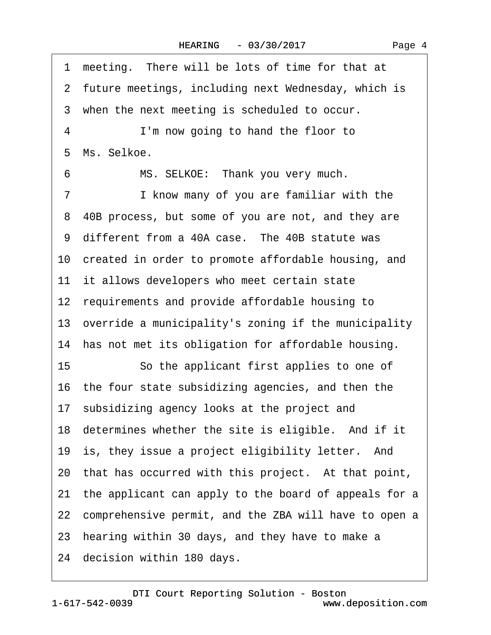1 meeting. There will be lots of time for that at 2 future meetings, including next Wednesday, which is 3 when the next meeting is scheduled to occur. 4 **I'm now going to hand the floor to** 5 Ms. Selkoe. 6 MS. SELKOE: Thank you very much. 7 I know many of you are familiar with the ·8· 40B process, but some of you are not, and they are 9 different from a 40A case. The 40B statute was 10 created in order to promote affordable housing, and 11 it allows developers who meet certain state 12 requirements and provide affordable housing to 13 override a municipality's zoning if the municipality 14 has not met its obligation for affordable housing. 15 **· · · So the applicant first applies to one of** 16· the four state subsidizing agencies, and then the 17· subsidizing agency looks at the project and 18 determines whether the site is eligible. And if it 19 is, they issue a project eligibility letter. And 20 that has occurred with this project. At that point, 21· the applicant can apply to the board of appeals for a 22 comprehensive permit, and the ZBA will have to open a 23 hearing within 30 days, and they have to make a 24 decision within 180 days.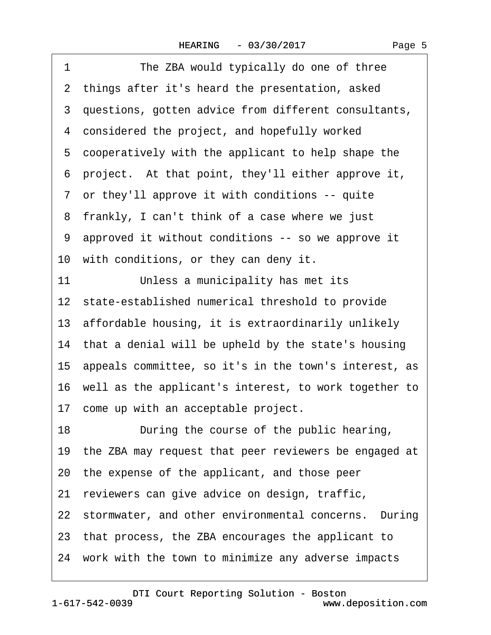| The ZBA would typically do one of three<br>1             |
|----------------------------------------------------------|
| 2 things after it's heard the presentation, asked        |
| 3 questions, gotten advice from different consultants,   |
| 4 considered the project, and hopefully worked           |
| 5 cooperatively with the applicant to help shape the     |
| 6 project. At that point, they'll either approve it,     |
| 7 or they'll approve it with conditions -- quite         |
| 8 frankly, I can't think of a case where we just         |
| 9 approved it without conditions -- so we approve it     |
| 10 with conditions, or they can deny it.                 |
| Unless a municipality has met its<br>11                  |
| 12 state-established numerical threshold to provide      |
| 13 affordable housing, it is extraordinarily unlikely    |
| 14 that a denial will be upheld by the state's housing   |
| 15 appeals committee, so it's in the town's interest, as |
| 16 well as the applicant's interest, to work together to |
| 17 come up with an acceptable project.                   |
| 18<br>During the course of the public hearing,           |
| 19 the ZBA may request that peer reviewers be engaged at |
| 20 the expense of the applicant, and those peer          |
| reviewers can give advice on design, traffic,<br>21      |
| 22 stormwater, and other environmental concerns. During  |
| 23 that process, the ZBA encourages the applicant to     |
| 24 work with the town to minimize any adverse impacts    |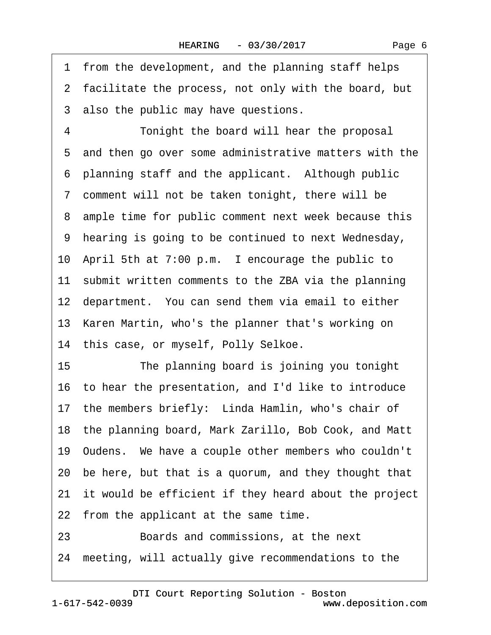1 from the development, and the planning staff helps 2 facilitate the process, not only with the board, but 3 also the public may have questions. 4 Tonight the board will hear the proposal 5 and then go over some administrative matters with the 6 planning staff and the applicant. Although public ·7· comment will not be taken tonight, there will be 8 ample time for public comment next week because this ·9· hearing is going to be continued to next Wednesday, 10 April 5th at 7:00 p.m. I encourage the public to 11 submit written comments to the ZBA via the planning 12 department. You can send them via email to either 13 Karen Martin, who's the planner that's working on 14 this case, or myself, Polly Selkoe. 15 The planning board is joining you tonight 16· to hear the presentation, and I'd like to introduce 17 the members briefly: Linda Hamlin, who's chair of 18· the planning board, Mark Zarillo, Bob Cook, and Matt 19· Oudens.· We have a couple other members who couldn't 20· be here, but that is a quorum, and they thought that 21 it would be efficient if they heard about the project 22 from the applicant at the same time. 23 **Boards and commissions, at the next** 24· meeting, will actually give recommendations to the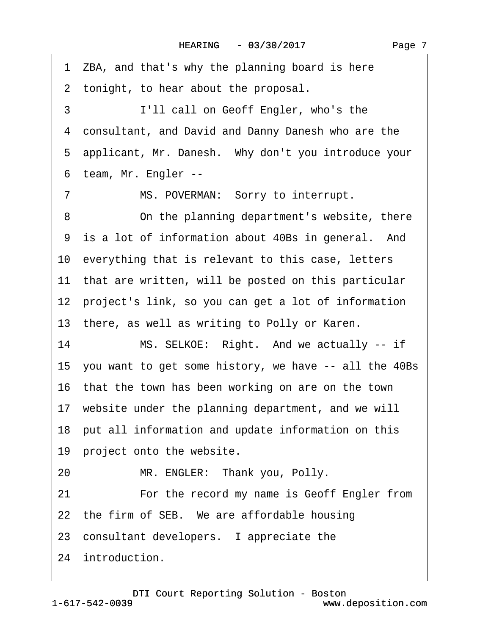1 ZBA, and that's why the planning board is here 2 tonight, to hear about the proposal. 3 I'll call on Geoff Engler, who's the ·4· consultant, and David and Danny Danesh who are the 5 applicant, Mr. Danesh. Why don't you introduce your ·6· team, Mr. Engler -- 7 MS. POVERMAN: Sorry to interrupt. 8 On the planning department's website, there 9 is a lot of information about 40Bs in general. And 10 everything that is relevant to this case, letters 11 that are written, will be posted on this particular 12 project's link, so you can get a lot of information 13 there, as well as writing to Polly or Karen. 14 MS. SELKOE: Right. And we actually -- if 15· you want to get some history, we have -- all the 40Bs 16· that the town has been working on are on the town 17 website under the planning department, and we will 18· put all information and update information on this 19 project onto the website. 20 MR. ENGLER: Thank you, Polly. 21 • • For the record my name is Geoff Engler from 22 the firm of SEB. We are affordable housing 23 consultant developers. I appreciate the 24 introduction.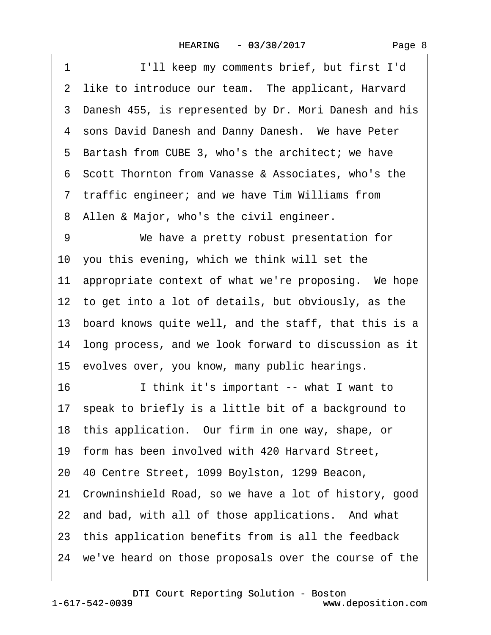| 1<br>I'll keep my comments brief, but first I'd          |
|----------------------------------------------------------|
| 2 like to introduce our team. The applicant, Harvard     |
| 3 Danesh 455, is represented by Dr. Mori Danesh and his  |
| 4 sons David Danesh and Danny Danesh. We have Peter      |
| 5 Bartash from CUBE 3, who's the architect; we have      |
| 6 Scott Thornton from Vanasse & Associates, who's the    |
| 7 traffic engineer; and we have Tim Williams from        |
| 8 Allen & Major, who's the civil engineer.               |
| 9<br>We have a pretty robust presentation for            |
| 10 you this evening, which we think will set the         |
| 11 appropriate context of what we're proposing. We hope  |
| 12 to get into a lot of details, but obviously, as the   |
| 13 board knows quite well, and the staff, that this is a |
| 14 long process, and we look forward to discussion as it |
| 15 evolves over, you know, many public hearings.         |
| 16<br>I think it's important -- what I want to           |
| 17 speak to briefly is a little bit of a background to   |
| 18 this application. Our firm in one way, shape, or      |
| 19 form has been involved with 420 Harvard Street,       |
| 20 40 Centre Street, 1099 Boylston, 1299 Beacon,         |
| 21 Crowninshield Road, so we have a lot of history, good |
| 22 and bad, with all of those applications. And what     |
| 23 this application benefits from is all the feedback    |
| 24 we've heard on those proposals over the course of the |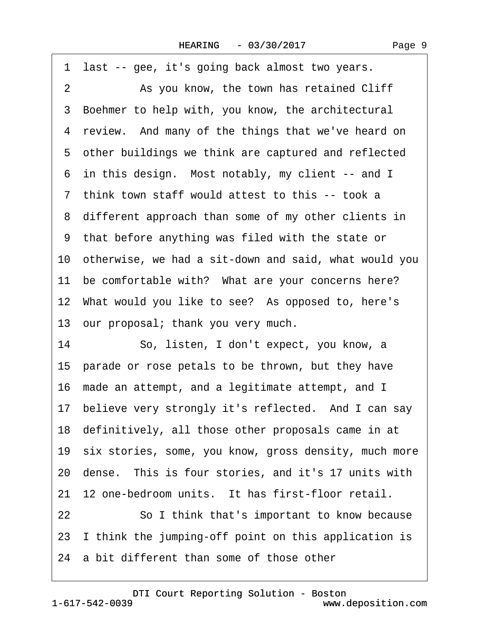| last -- gee, it's going back almost two years.<br>1      |
|----------------------------------------------------------|
| 2<br>As you know, the town has retained Cliff            |
| 3 Boehmer to help with, you know, the architectural      |
| 4 review. And many of the things that we've heard on     |
| 5 other buildings we think are captured and reflected    |
| 6 in this design. Most notably, my client -- and I       |
| 7 think town staff would attest to this -- took a        |
| 8 different approach than some of my other clients in    |
| 9 that before anything was filed with the state or       |
| 10 otherwise, we had a sit-down and said, what would you |
| 11 be comfortable with? What are your concerns here?     |
| 12 What would you like to see? As opposed to, here's     |
| 13 our proposal; thank you very much.                    |
| 14<br>So, listen, I don't expect, you know, a            |
| 15 parade or rose petals to be thrown, but they have     |
| 16 made an attempt, and a legitimate attempt, and I      |
| 17 believe very strongly it's reflected. And I can say   |
| 18 definitively, all those other proposals came in at    |
| 19 six stories, some, you know, gross density, much more |
| 20 dense. This is four stories, and it's 17 units with   |
| 21 12 one-bedroom units. It has first-floor retail.      |
| 22<br>So I think that's important to know because        |
|                                                          |
| 23 I think the jumping-off point on this application is  |

 $\sqrt{ }$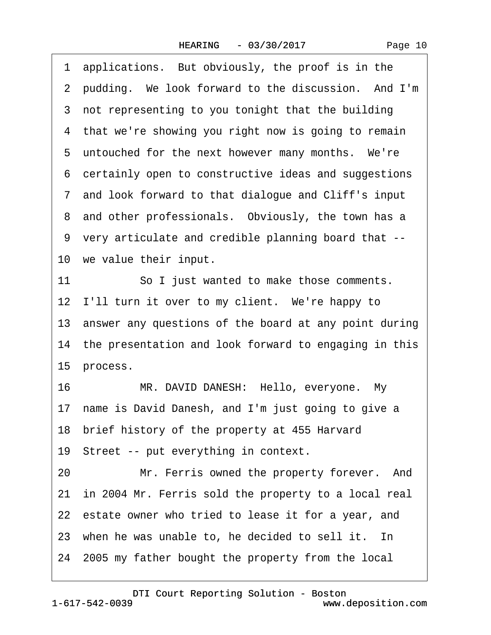| Page 10 |
|---------|
|---------|

| 1  | applications. But obviously, the proof is in the         |
|----|----------------------------------------------------------|
|    | 2 pudding. We look forward to the discussion. And I'm    |
|    | 3 not representing to you tonight that the building      |
|    | 4 that we're showing you right now is going to remain    |
|    | 5 untouched for the next however many months. We're      |
| 6  | certainly open to constructive ideas and suggestions     |
|    | 7 and look forward to that dialogue and Cliff's input    |
|    | 8 and other professionals. Obviously, the town has a     |
|    | 9 very articulate and credible planning board that --    |
|    | 10 we value their input.                                 |
| 11 | So I just wanted to make those comments.                 |
|    | 12 I'll turn it over to my client. We're happy to        |
|    | 13 answer any questions of the board at any point during |
|    | 14 the presentation and look forward to engaging in this |
|    | 15 process.                                              |
| 16 | MR. DAVID DANESH: Hello, everyone. My                    |
|    |                                                          |
|    | 17 name is David Danesh, and I'm just going to give a    |
|    | 18 brief history of the property at 455 Harvard          |
|    | 19 Street -- put everything in context.                  |
| 20 | Mr. Ferris owned the property forever. And               |
|    | 21 in 2004 Mr. Ferris sold the property to a local real  |
|    | 22 estate owner who tried to lease it for a year, and    |
|    | 23 when he was unable to, he decided to sell it. In      |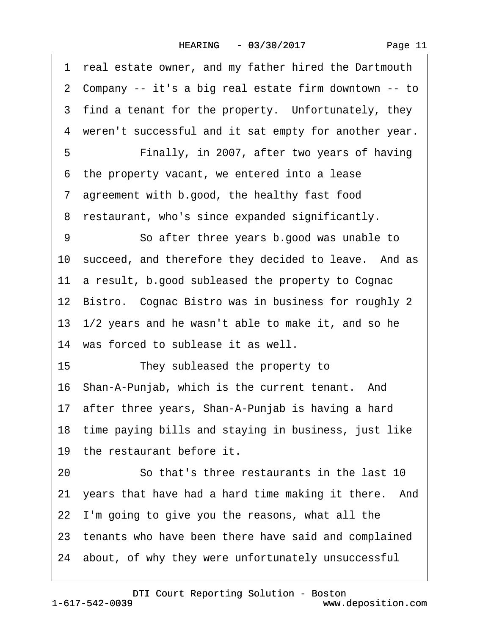| Page 11 |  |
|---------|--|
|---------|--|

|    | 1 real estate owner, and my father hired the Dartmouth  |
|----|---------------------------------------------------------|
|    | 2 Company -- it's a big real estate firm downtown -- to |
|    | 3 find a tenant for the property. Unfortunately, they   |
|    | 4 weren't successful and it sat empty for another year. |
| 5  | Finally, in 2007, after two years of having             |
|    | 6 the property vacant, we entered into a lease          |
|    | 7 agreement with b.good, the healthy fast food          |
|    | 8 restaurant, who's since expanded significantly.       |
| 9  | So after three years b good was unable to               |
|    | 10 succeed, and therefore they decided to leave. And as |
|    | 11 a result, b.good subleased the property to Cognac    |
|    | 12 Bistro. Cognac Bistro was in business for roughly 2  |
|    | 13 1/2 years and he wasn't able to make it, and so he   |
|    | 14 was forced to sublease it as well.                   |
| 15 | They subleased the property to                          |
|    | 16 Shan-A-Punjab, which is the current tenant. And      |
|    | 17 after three years, Shan-A-Punjab is having a hard    |
|    | 18 time paying bills and staying in business, just like |
|    | 19 the restaurant before it.                            |
| 20 | So that's three restaurants in the last 10              |
|    | 21 years that have had a hard time making it there. And |
|    | 22 I'm going to give you the reasons, what all the      |
|    | 23 tenants who have been there have said and complained |
|    | 24 about, of why they were unfortunately unsuccessful   |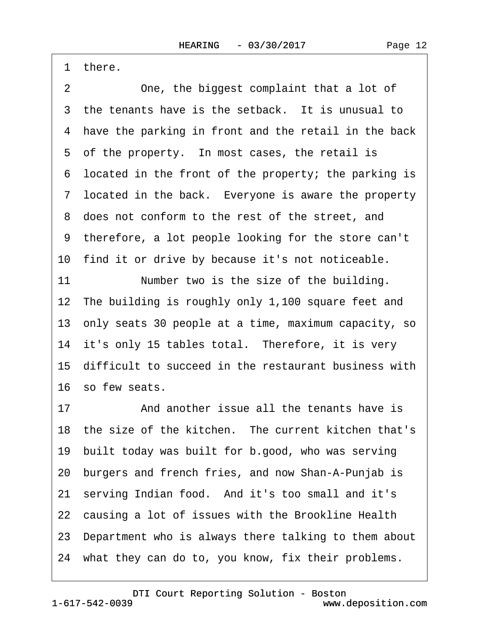Page 12

·1· there.

2 One, the biggest complaint that a lot of 3 the tenants have is the setback. It is unusual to 4 have the parking in front and the retail in the back 5 of the property. In most cases, the retail is ·6· located in the front of the property; the parking is 7 located in the back. Everyone is aware the property 8 does not conform to the rest of the street, and ·9· therefore, a lot people looking for the store can't 10 find it or drive by because it's not noticeable. 11 Number two is the size of the building. 12 The building is roughly only 1,100 square feet and 13· only seats 30 people at a time, maximum capacity, so 14 it's only 15 tables total. Therefore, it is very 15· difficult to succeed in the restaurant business with 16 so few seats. 17 • **And another issue all the tenants have is** 18 the size of the kitchen. The current kitchen that's 19· built today was built for b.good, who was serving 20· burgers and french fries, and now Shan-A-Punjab is 21· serving Indian food.· And it's too small and it's 22 causing a lot of issues with the Brookline Health 23· Department who is always there talking to them about 24· what they can do to, you know, fix their problems.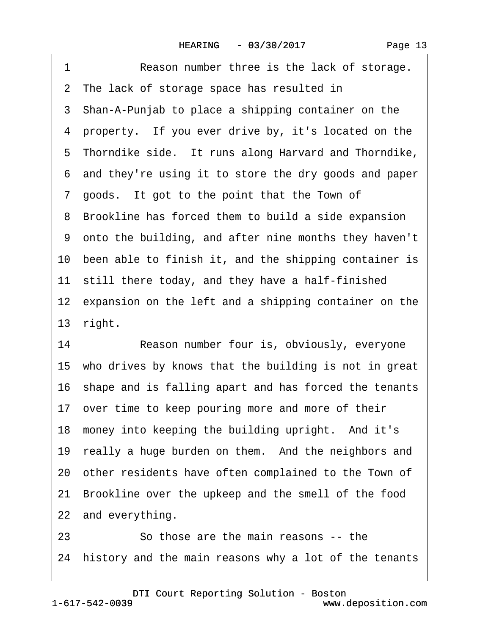1 Reason number three is the lack of storage. 2 The lack of storage space has resulted in 3 Shan-A-Punjab to place a shipping container on the 4 property. If you ever drive by, it's located on the 5 Thorndike side. It runs along Harvard and Thorndike, ·6· and they're using it to store the dry goods and paper 7 goods. It got to the point that the Town of 8 Brookline has forced them to build a side expansion ·9· onto the building, and after nine months they haven't 10 been able to finish it, and the shipping container is 11 still there today, and they have a half-finished 12 expansion on the left and a shipping container on the 13· right. 14 Reason number four is, obviously, everyone 15· who drives by knows that the building is not in great

16· shape and is falling apart and has forced the tenants

17 over time to keep pouring more and more of their

18 money into keeping the building upright. And it's

19 really a huge burden on them. And the neighbors and

20· other residents have often complained to the Town of

21 Brookline over the upkeep and the smell of the food

22 and everything.

23· · · · · ·So those are the main reasons -- the 24 history and the main reasons why a lot of the tenants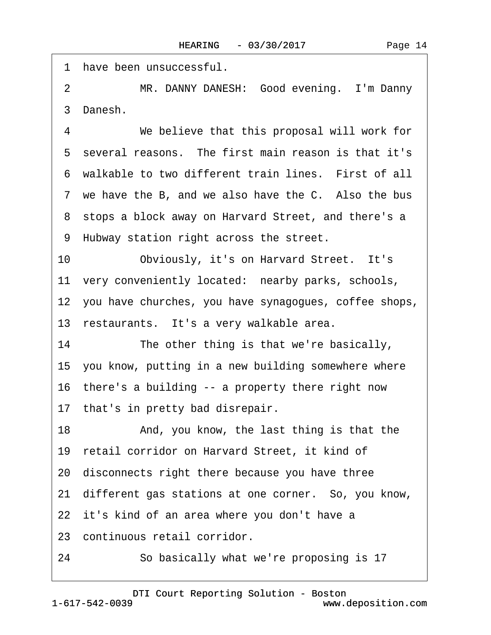|                | 1 have been unsuccessful.                                |
|----------------|----------------------------------------------------------|
| $\overline{2}$ | MR. DANNY DANESH: Good evening. I'm Danny                |
|                | 3 Danesh.                                                |
| 4              | We believe that this proposal will work for              |
|                | 5 several reasons. The first main reason is that it's    |
|                | 6 walkable to two different train lines. First of all    |
|                | 7 we have the B, and we also have the C. Also the bus    |
|                | 8 stops a block away on Harvard Street, and there's a    |
|                | 9 Hubway station right across the street.                |
| 10             | Obviously, it's on Harvard Street. It's                  |
|                | 11 very conveniently located: nearby parks, schools,     |
|                | 12 you have churches, you have synagogues, coffee shops, |
|                | 13 restaurants. It's a very walkable area.               |
| 14             | The other thing is that we're basically,                 |
|                | 15 you know, putting in a new building somewhere where   |
|                | 16 there's a building -- a property there right now      |
|                | 17 that's in pretty bad disrepair.                       |
| 18             | And, you know, the last thing is that the                |
|                | 19 retail corridor on Harvard Street, it kind of         |
|                | 20 disconnects right there because you have three        |
|                | 21 different gas stations at one corner. So, you know,   |
|                | 22 it's kind of an area where you don't have a           |
|                | 23 continuous retail corridor.                           |
| 24             | So basically what we're proposing is 17                  |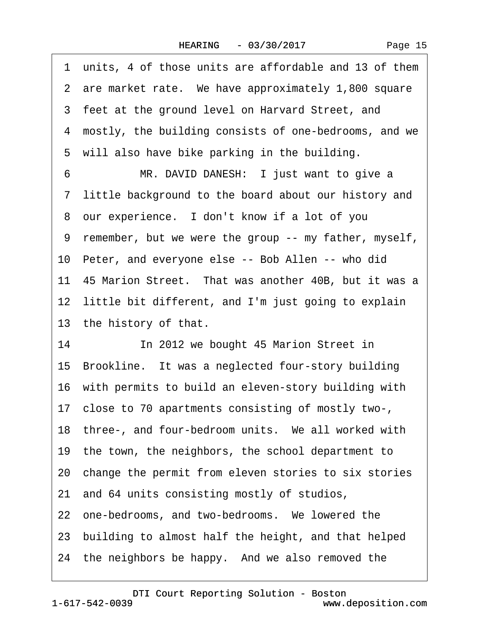| Page 15 |
|---------|
|---------|

1 units, 4 of those units are affordable and 13 of them 2 are market rate. We have approximately 1,800 square 3 feet at the ground level on Harvard Street, and 4 mostly, the building consists of one-bedrooms, and we 5 will also have bike parking in the building. 6 MR. DAVID DANESH: I just want to give a ·7· little background to the board about our history and 8 our experience. I don't know if a lot of you ·9· remember, but we were the group -- my father, myself, 10 Peter, and everyone else -- Bob Allen -- who did 11–45 Marion Street. That was another 40B, but it was a 12 little bit different, and I'm just going to explain 13 the history of that. 14 In 2012 we bought 45 Marion Street in 15 Brookline. It was a neglected four-story building 16· with permits to build an eleven-story building with 17· close to 70 apartments consisting of mostly two-, 18 three-, and four-bedroom units. We all worked with 19· the town, the neighbors, the school department to 20 change the permit from eleven stories to six stories 21· and 64 units consisting mostly of studios, 22 one-bedrooms, and two-bedrooms. We lowered the 23· building to almost half the height, and that helped 24 the neighbors be happy. And we also removed the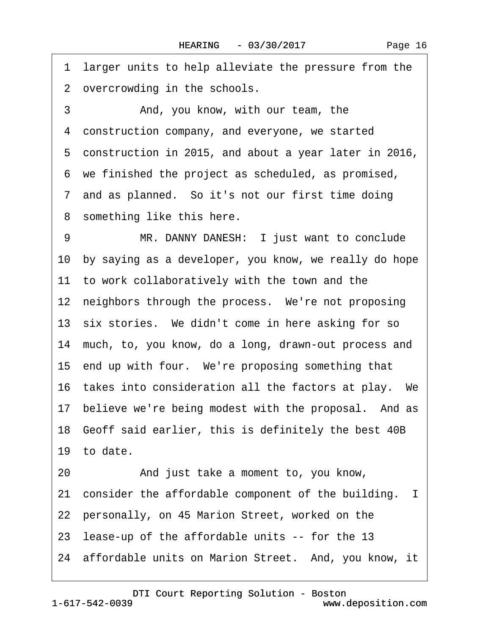·1· larger units to help alleviate the pressure from the 2 overcrowding in the schools. 3 • **And, you know, with our team, the** 4 construction company, and everyone, we started 5 construction in 2015, and about a year later in 2016, ·6· we finished the project as scheduled, as promised, 7 and as planned. So it's not our first time doing 8 something like this here. 9 MR. DANNY DANESH: I just want to conclude 10 by saying as a developer, you know, we really do hope 11 to work collaboratively with the town and the 12 neighbors through the process. We're not proposing 13 six stories. We didn't come in here asking for so 14 much, to, you know, do a long, drawn-out process and 15 end up with four. We're proposing something that 16 takes into consideration all the factors at play. We 17 believe we're being modest with the proposal. And as 18 Geoff said earlier, this is definitely the best 40B 19 to date. 20 • And just take a moment to, you know, 21 consider the affordable component of the building. I 22 personally, on 45 Marion Street, worked on the 23· lease-up of the affordable units -- for the 13 24 affordable units on Marion Street. And, you know, it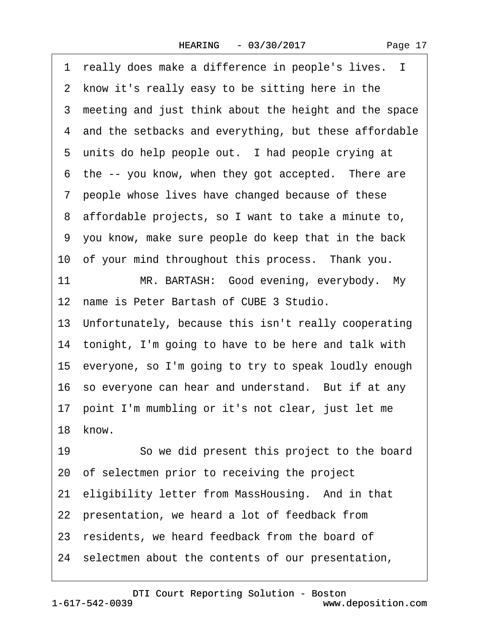1 really does make a difference in people's lives. I 2 know it's really easy to be sitting here in the 3 meeting and just think about the height and the space 4 and the setbacks and everything, but these affordable 5 units do help people out. I had people crying at 6 the -- you know, when they got accepted. There are ·7· people whose lives have changed because of these ·8· affordable projects, so I want to take a minute to, ·9· you know, make sure people do keep that in the back 10 of your mind throughout this process. Thank you. 11 MR. BARTASH: Good evening, everybody. My 12 name is Peter Bartash of CUBE 3 Studio. 13· Unfortunately, because this isn't really cooperating 14 tonight, I'm going to have to be here and talk with 15· everyone, so I'm going to try to speak loudly enough 16 so everyone can hear and understand. But if at any 17· point I'm mumbling or it's not clear, just let me 18 know 19 **· · · · So we did present this project to the board** 20· of selectmen prior to receiving the project 21 eligibility letter from MassHousing. And in that 22 presentation, we heard a lot of feedback from 23 residents, we heard feedback from the board of 24· selectmen about the contents of our presentation,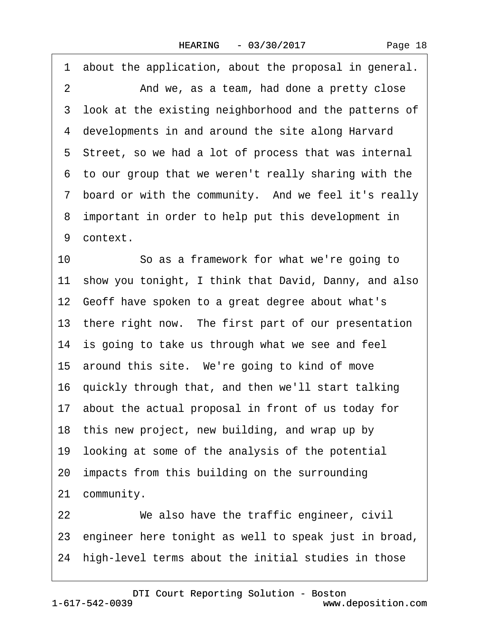|  | Page 18 |  |
|--|---------|--|
|--|---------|--|

·1· about the application, about the proposal in general. 2 And we, as a team, had done a pretty close 3 look at the existing neighborhood and the patterns of 4 developments in and around the site along Harvard 5 Street, so we had a lot of process that was internal ·6· to our group that we weren't really sharing with the 7 board or with the community. And we feel it's really 8 important in order to help put this development in 9 context. 10 So as a framework for what we're going to 11 show you tonight, I think that David, Danny, and also 12 Geoff have spoken to a great degree about what's

13 there right now. The first part of our presentation

14 is going to take us through what we see and feel

15 around this site. We're going to kind of move

16· quickly through that, and then we'll start talking

17· about the actual proposal in front of us today for

18 this new project, new building, and wrap up by

- 19· looking at some of the analysis of the potential
- 20· impacts from this building on the surrounding

21 community.

22 We also have the traffic engineer, civil 23· engineer here tonight as well to speak just in broad, 24 high-level terms about the initial studies in those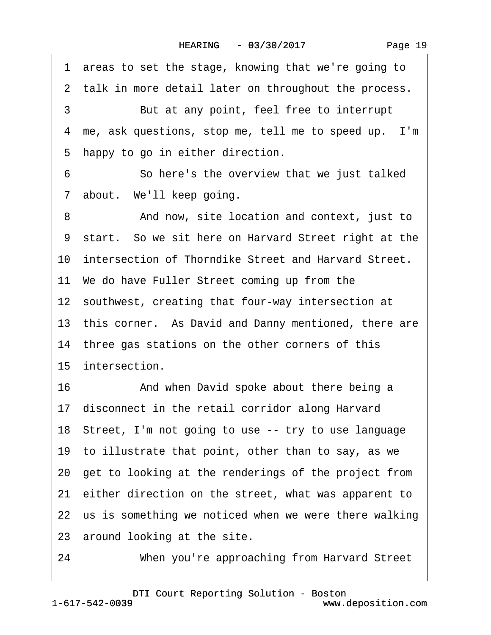|  | Page 19 |  |
|--|---------|--|
|--|---------|--|

·1· areas to set the stage, knowing that we're going to 2 talk in more detail later on throughout the process. 3 But at any point, feel free to interrupt 4 me, ask questions, stop me, tell me to speed up. I'm 5 happy to go in either direction. 6 **So here's the overview that we just talked** 7 about. We'll keep going. 8 • • And now, site location and context, just to 9 start. So we sit here on Harvard Street right at the 10 intersection of Thorndike Street and Harvard Street. 11· We do have Fuller Street coming up from the 12 southwest, creating that four-way intersection at 13 this corner. As David and Danny mentioned, there are 14 three gas stations on the other corners of this 15 intersection. 16 • • And when David spoke about there being a 17 disconnect in the retail corridor along Harvard 18· Street, I'm not going to use -- try to use language 19· to illustrate that point, other than to say, as we 20· get to looking at the renderings of the project from 21 either direction on the street, what was apparent to 22 us is something we noticed when we were there walking 23 around looking at the site. 24 When you're approaching from Harvard Street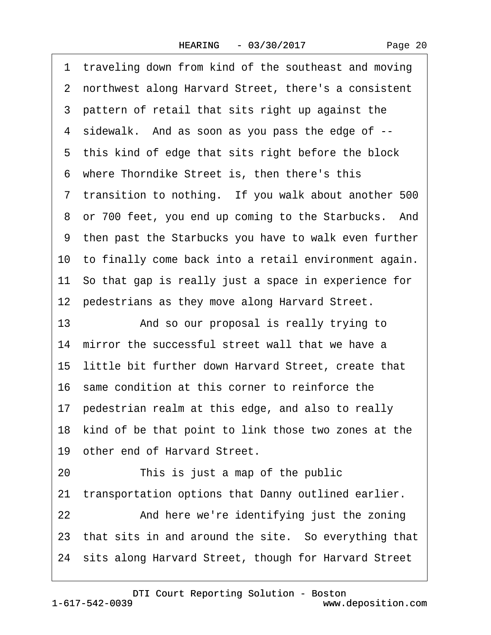·1· traveling down from kind of the southeast and moving ·2· northwest along Harvard Street, there's a consistent 3 pattern of retail that sits right up against the ·4· sidewalk.· And as soon as you pass the edge of -- 5 this kind of edge that sits right before the block 6 where Thorndike Street is, then there's this 7 transition to nothing. If you walk about another 500 8 or 700 feet, you end up coming to the Starbucks. And ·9· then past the Starbucks you have to walk even further 10 to finally come back into a retail environment again. 11 So that gap is really just a space in experience for 12 pedestrians as they move along Harvard Street. 13 • And so our proposal is really trying to 14 mirror the successful street wall that we have a 15 little bit further down Harvard Street, create that 16· same condition at this corner to reinforce the 17 pedestrian realm at this edge, and also to really 18 kind of be that point to link those two zones at the 19 other end of Harvard Street. 20 This is just a map of the public 21 transportation options that Danny outlined earlier. 22 And here we're identifying just the zoning 23 that sits in and around the site. So everything that 24 sits along Harvard Street, though for Harvard Street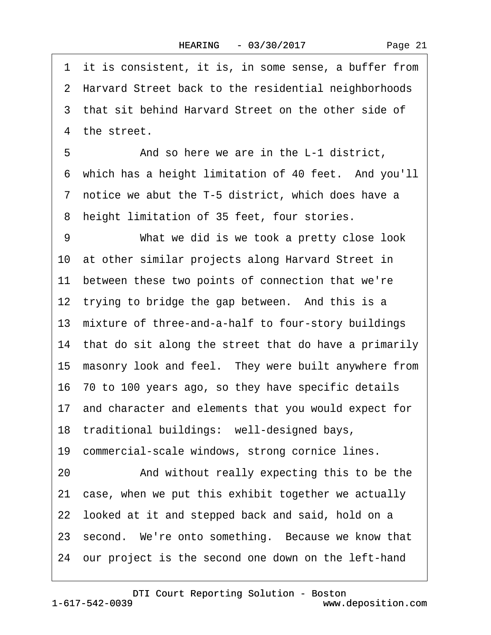1 it is consistent, it is, in some sense, a buffer from 2 Harvard Street back to the residential neighborhoods 3 that sit behind Harvard Street on the other side of 4 the street. 5 • **And so here we are in the L-1 district,** 6 which has a height limitation of 40 feet. And you'll 7 notice we abut the T-5 district, which does have a 8 height limitation of 35 feet, four stories. 9 What we did is we took a pretty close look 10 at other similar projects along Harvard Street in 11 between these two points of connection that we're 12 trying to bridge the gap between. And this is a 13 mixture of three-and-a-half to four-story buildings 14 that do sit along the street that do have a primarily 15 masonry look and feel. They were built anywhere from 16· 70 to 100 years ago, so they have specific details 17· and character and elements that you would expect for 18 traditional buildings: well-designed bays, 19 commercial-scale windows, strong cornice lines. 20 • And without really expecting this to be the 21 case, when we put this exhibit together we actually 22 looked at it and stepped back and said, hold on a 23 second. We're onto something. Because we know that 24· our project is the second one down on the left-hand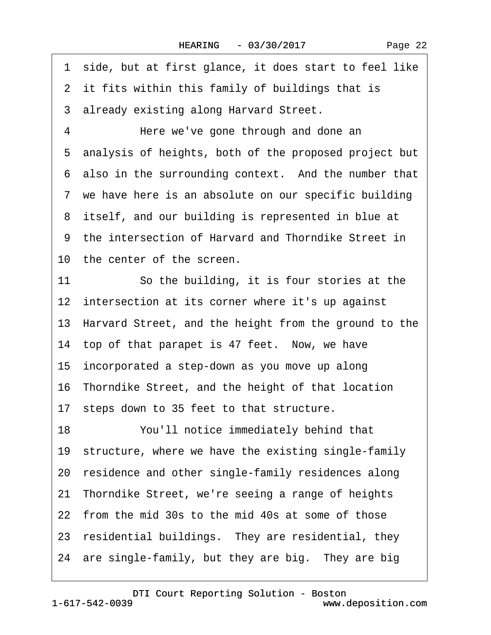Page 22

·1· side, but at first glance, it does start to feel like

2 it fits within this family of buildings that is

3 already existing along Harvard Street.

4 Here we've gone through and done an ·5· analysis of heights, both of the proposed project but 6 also in the surrounding context. And the number that 7 we have here is an absolute on our specific building 8 itself, and our building is represented in blue at ·9· the intersection of Harvard and Thorndike Street in 10 the center of the screen.

11 So the building, it is four stories at the 12 intersection at its corner where it's up against 13· Harvard Street, and the height from the ground to the 14 top of that parapet is 47 feet. Now, we have 15 incorporated a step-down as you move up along 16· Thorndike Street, and the height of that location 17 steps down to 35 feet to that structure. 18 You'll notice immediately behind that 19 structure, where we have the existing single-family 20 residence and other single-family residences along 21· Thorndike Street, we're seeing a range of heights

22· from the mid 30s to the mid 40s at some of those

23 residential buildings. They are residential, they

24 are single-family, but they are big. They are big.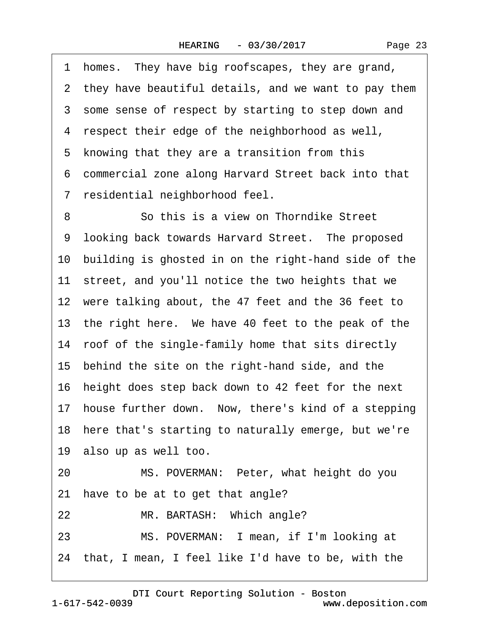·1· homes.· They have big roofscapes, they are grand, 2 they have beautiful details, and we want to pay them 3 some sense of respect by starting to step down and 4 respect their edge of the neighborhood as well, 5 knowing that they are a transition from this ·6· commercial zone along Harvard Street back into that ·7· residential neighborhood feel. 8 **8** · · · So this is a view on Thorndike Street 9 looking back towards Harvard Street. The proposed 10· building is ghosted in on the right-hand side of the 11 street, and you'll notice the two heights that we 12 were talking about, the 47 feet and the 36 feet to 13 the right here. We have 40 feet to the peak of the 14 roof of the single-family home that sits directly 15· behind the site on the right-hand side, and the 16· height does step back down to 42 feet for the next 17 house further down. Now, there's kind of a stepping 18 here that's starting to naturally emerge, but we're 19 also up as well too. 20 MS. POVERMAN: Peter, what height do you 21 have to be at to get that angle? 22 MR. BARTASH: Which angle? 23 MS. POVERMAN: I mean, if I'm looking at 24 that, I mean, I feel like I'd have to be, with the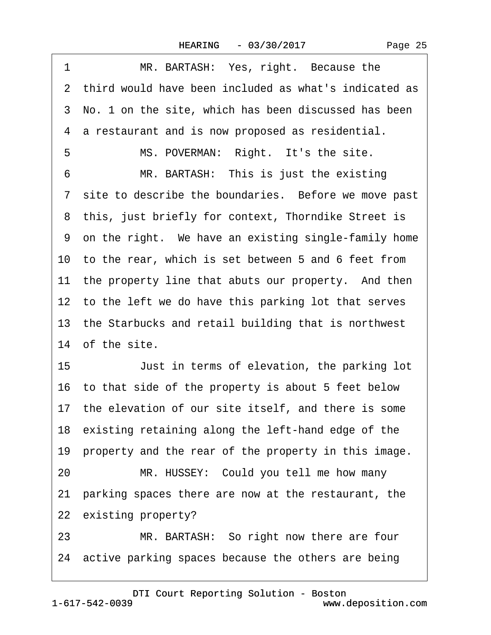| Page 25 |  |
|---------|--|
|         |  |

| 1  | MR. BARTASH: Yes, right. Because the                    |
|----|---------------------------------------------------------|
|    | 2 third would have been included as what's indicated as |
|    | 3 No. 1 on the site, which has been discussed has been  |
|    | 4 a restaurant and is now proposed as residential.      |
| 5  | MS. POVERMAN: Right. It's the site.                     |
| 6  | MR. BARTASH: This is just the existing                  |
|    | 7 site to describe the boundaries. Before we move past  |
|    | 8 this, just briefly for context, Thorndike Street is   |
|    | 9 on the right. We have an existing single-family home  |
|    | 10 to the rear, which is set between 5 and 6 feet from  |
|    | 11 the property line that abuts our property. And then  |
|    | 12 to the left we do have this parking lot that serves  |
|    | 13 the Starbucks and retail building that is northwest  |
|    | 14 of the site.                                         |
| 15 | Just in terms of elevation, the parking lot             |
|    | 16 to that side of the property is about 5 feet below   |
|    | 17 the elevation of our site itself, and there is some  |
|    | 18 existing retaining along the left-hand edge of the   |
|    | 19 property and the rear of the property in this image. |
| 20 | MR. HUSSEY: Could you tell me how many                  |
|    | 21 parking spaces there are now at the restaurant, the  |
|    | 22 existing property?                                   |
| າາ | MD RADTACH: So right now there are four                 |

23 MR. BARTASH: So right now there are four 24 active parking spaces because the others are being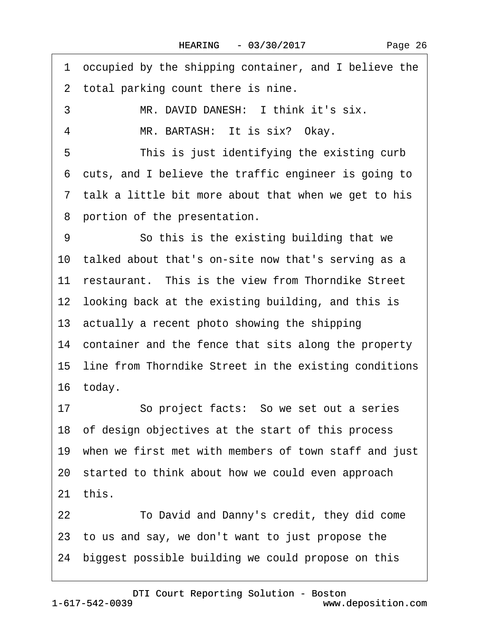·1· occupied by the shipping container, and I believe the 2 total parking count there is nine. 3 MR. DAVID DANESH: I think it's six. 4 MR. BARTASH: It is six? Okay. 5 This is just identifying the existing curb ·6· cuts, and I believe the traffic engineer is going to 7 talk a little bit more about that when we get to his 8 portion of the presentation. 9 **· · · So this is the existing building that we** 10 talked about that's on-site now that's serving as a 11 restaurant. This is the view from Thorndike Street 12 looking back at the existing building, and this is 13 actually a recent photo showing the shipping 14 container and the fence that sits along the property 15 line from Thorndike Street in the existing conditions 16 today. 17 · So project facts: So we set out a series 18 of design objectives at the start of this process 19 when we first met with members of town staff and just 20· started to think about how we could even approach 21· this. 22· · · · · ·To David and Danny's credit, they did come 23· to us and say, we don't want to just propose the

24· biggest possible building we could propose on this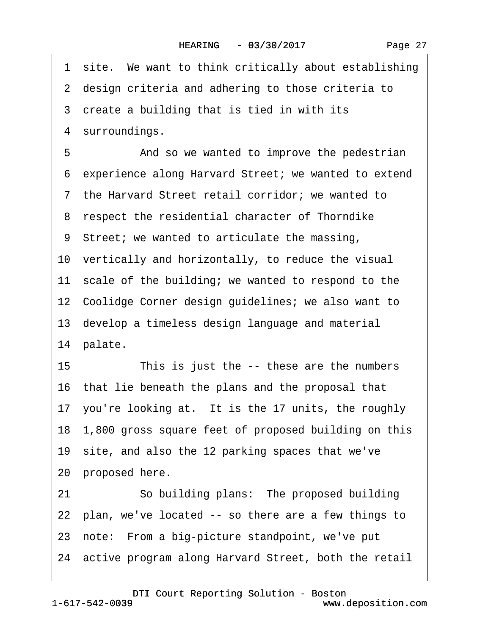1 site. We want to think critically about establishing 2 design criteria and adhering to those criteria to 3 create a building that is tied in with its 4 surroundings. 5 • • And so we wanted to improve the pedestrian ·6· experience along Harvard Street; we wanted to extend ·7· the Harvard Street retail corridor; we wanted to ·8· respect the residential character of Thorndike ·9· Street; we wanted to articulate the massing, 10 vertically and horizontally, to reduce the visual 11 scale of the building; we wanted to respond to the 12 Coolidge Corner design guidelines; we also want to 13· develop a timeless design language and material 14 palate. 15 This is just the -- these are the numbers 16· that lie beneath the plans and the proposal that 17 you're looking at. It is the 17 units, the roughly 18· 1,800 gross square feet of proposed building on this 19 site, and also the 12 parking spaces that we've 20 proposed here. 21 · · So building plans: The proposed building 22 plan, we've located -- so there are a few things to 23 note: From a big-picture standpoint, we've put

24· active program along Harvard Street, both the retail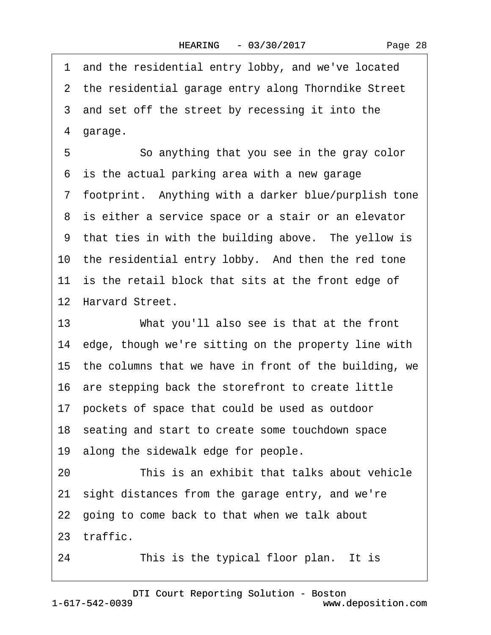·1· and the residential entry lobby, and we've located 2 the residential garage entry along Thorndike Street 3 and set off the street by recessing it into the 4 garage. 5 So anything that you see in the gray color 6 is the actual parking area with a new garage 7 footprint. Anything with a darker blue/purplish tone 8 is either a service space or a stair or an elevator 9 that ties in with the building above. The yellow is 10 the residential entry lobby. And then the red tone 11 is the retail block that sits at the front edge of 12 Harvard Street. 13 What you'll also see is that at the front 14 edge, though we're sitting on the property line with 15 the columns that we have in front of the building, we 16· are stepping back the storefront to create little 17· pockets of space that could be used as outdoor 18· seating and start to create some touchdown space 19 along the sidewalk edge for people. 20 **This is an exhibit that talks about vehicle** 21· sight distances from the garage entry, and we're 22· going to come back to that when we talk about 23 traffic.

24 This is the typical floor plan. It is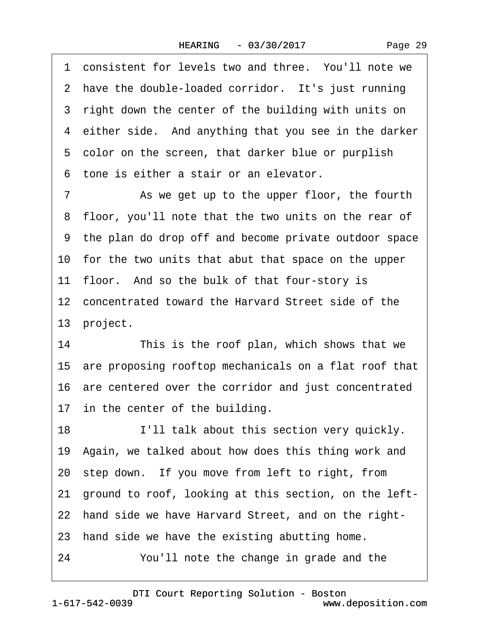1 consistent for levels two and three. You'll note we 2 have the double-loaded corridor. It's just running 3 right down the center of the building with units on 4 either side. And anything that you see in the darker 5 color on the screen, that darker blue or purplish ·6· tone is either a stair or an elevator. 7 As we get up to the upper floor, the fourth 8 floor, you'll note that the two units on the rear of ·9· the plan do drop off and become private outdoor space 10· for the two units that abut that space on the upper 11 floor. And so the bulk of that four-story is 12 concentrated toward the Harvard Street side of the 13 project. 14 This is the roof plan, which shows that we 15· are proposing rooftop mechanicals on a flat roof that 16 are centered over the corridor and just concentrated 17 in the center of the building. 18 **I'll talk about this section very quickly.** 19 Again, we talked about how does this thing work and 20 step down. If you move from left to right, from 21· ground to roof, looking at this section, on the left-22 hand side we have Harvard Street, and on the right-23 hand side we have the existing abutting home. 24 You'll note the change in grade and the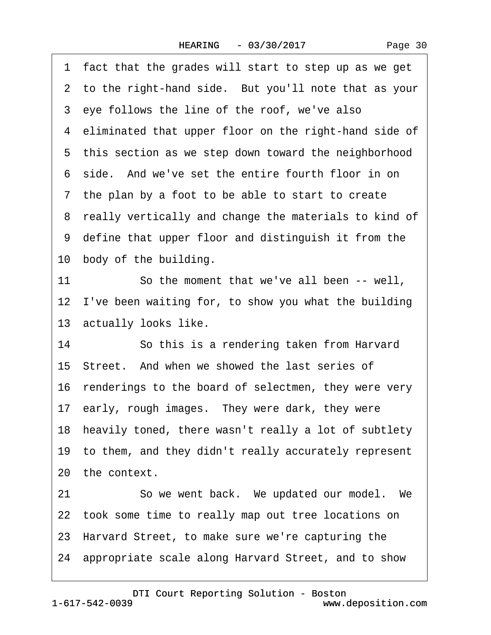·1· fact that the grades will start to step up as we get 2 to the right-hand side. But you'll note that as your 3 eye follows the line of the roof, we've also 4 eliminated that upper floor on the right-hand side of 5 this section as we step down toward the neighborhood ·6· side.· And we've set the entire fourth floor in on 7 the plan by a foot to be able to start to create 8 really vertically and change the materials to kind of ·9· define that upper floor and distinguish it from the 10 body of the building. 11 So the moment that we've all been -- well. 12 I've been waiting for, to show you what the building 13 actually looks like. 14 So this is a rendering taken from Harvard 15 Street. And when we showed the last series of 16 renderings to the board of selectmen, they were very 17 early, rough images. They were dark, they were 18 heavily toned, there wasn't really a lot of subtlety 19· to them, and they didn't really accurately represent 20 the context. 21 · · So we went back. We updated our model. We 22 took some time to really map out tree locations on 23· Harvard Street, to make sure we're capturing the 24· appropriate scale along Harvard Street, and to show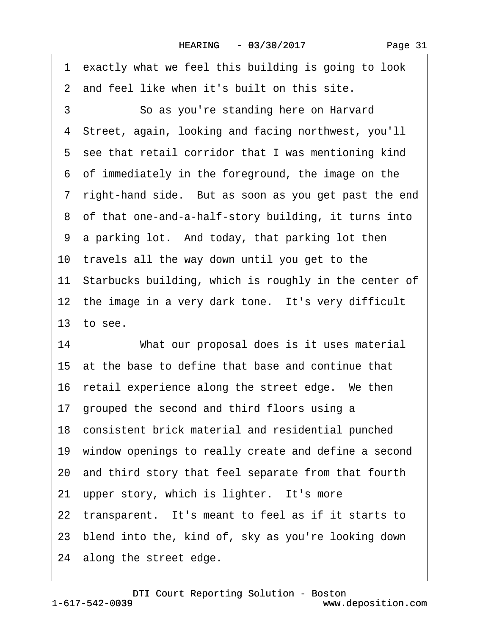·1· exactly what we feel this building is going to look 2 and feel like when it's built on this site. 3 **So as you're standing here on Harvard** ·4· Street, again, looking and facing northwest, you'll 5 see that retail corridor that I was mentioning kind ·6· of immediately in the foreground, the image on the 7 right-hand side. But as soon as you get past the end ·8· of that one-and-a-half-story building, it turns into 9 a parking lot. And today, that parking lot then 10 travels all the way down until you get to the 11 Starbucks building, which is roughly in the center of 12 the image in a very dark tone. It's very difficult 13 $\pm$  to see. 14 What our proposal does is it uses material 15 at the base to define that base and continue that 16 retail experience along the street edge. We then 17· grouped the second and third floors using a 18· consistent brick material and residential punched

- 19 window openings to really create and define a second
- 20· and third story that feel separate from that fourth
- 21 upper story, which is lighter. It's more
- 22 transparent. It's meant to feel as if it starts to
- 23· blend into the, kind of, sky as you're looking down
- 24 along the street edge.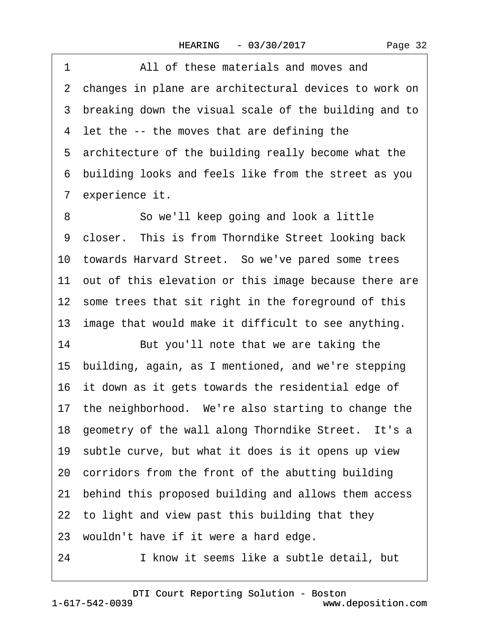·1· · · · · ·All of these materials and moves and 2 changes in plane are architectural devices to work on 3 breaking down the visual scale of the building and to 4 let the -- the moves that are defining the 5 architecture of the building really become what the ·6· building looks and feels like from the street as you 7 experience it. 8 **So we'll keep going and look a little** 9 closer. This is from Thorndike Street looking back 10 towards Harvard Street. So we've pared some trees 11 out of this elevation or this image because there are 12 some trees that sit right in the foreground of this 13 image that would make it difficult to see anything. 14 But you'll note that we are taking the 15· building, again, as I mentioned, and we're stepping 16 it down as it gets towards the residential edge of 17 the neighborhood. We're also starting to change the 18 geometry of the wall along Thorndike Street. It's a 19 subtle curve, but what it does is it opens up view 20· corridors from the front of the abutting building 21· behind this proposed building and allows them access 22 to light and view past this building that they 23 wouldn't have if it were a hard edge. 24 I know it seems like a subtle detail, but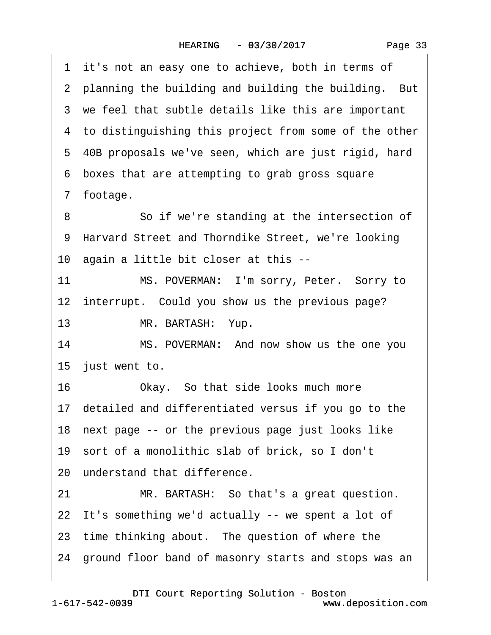1 it's not an easy one to achieve, both in terms of 2 planning the building and building the building. But 3 we feel that subtle details like this are important 4 to distinguishing this project from some of the other ·5· 40B proposals we've seen, which are just rigid, hard ·6· boxes that are attempting to grab gross square ·7· footage. 8 **8** · **So if we're standing at the intersection of** 9 Harvard Street and Thorndike Street, we're looking 10 again a little bit closer at this --11 MS. POVERMAN: I'm sorry, Peter. Sorry to 12 interrupt. Could you show us the previous page? 13 MR. BARTASH: Yup. 14 MS. POVERMAN: And now show us the one you 15 just went to. 16 Okay. So that side looks much more 17· detailed and differentiated versus if you go to the 18 next page -- or the previous page just looks like 19 sort of a monolithic slab of brick, so I don't 20 understand that difference. 21 MR. BARTASH: So that's a great question. 22 It's something we'd actually -- we spent a lot of 23 time thinking about. The question of where the 24· ground floor band of masonry starts and stops was an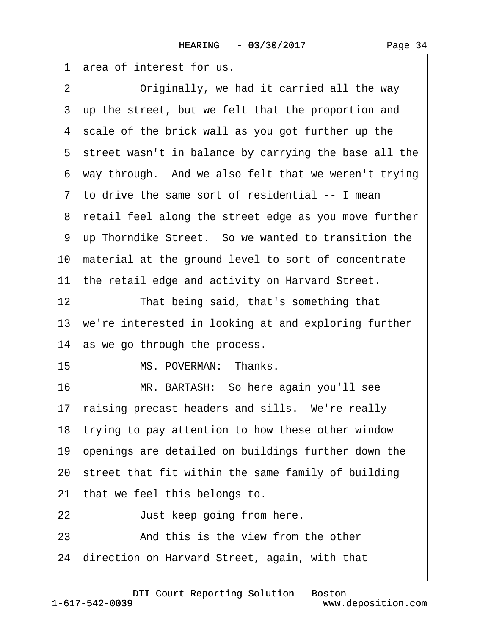·1· area of interest for us. 2 Originally, we had it carried all the way 3 up the street, but we felt that the proportion and 4 scale of the brick wall as you got further up the 5 street wasn't in balance by carrying the base all the 6 way through. And we also felt that we weren't trying 7 to drive the same sort of residential -- I mean 8 retail feel along the street edge as you move further ·9· up Thorndike Street.· So we wanted to transition the 10 material at the ground level to sort of concentrate 11 the retail edge and activity on Harvard Street. 12 That being said, that's something that 13 we're interested in looking at and exploring further 14 as we go through the process. 15 MS. POVERMAN: Thanks. 16 MR. BARTASH: So here again you'll see 17 raising precast headers and sills. We're really 18 trying to pay attention to how these other window 19· openings are detailed on buildings further down the 20· street that fit within the same family of building 21 that we feel this belongs to. 22 **Just keep going from here.** 23 **• • And this is the view from the other** 24· direction on Harvard Street, again, with that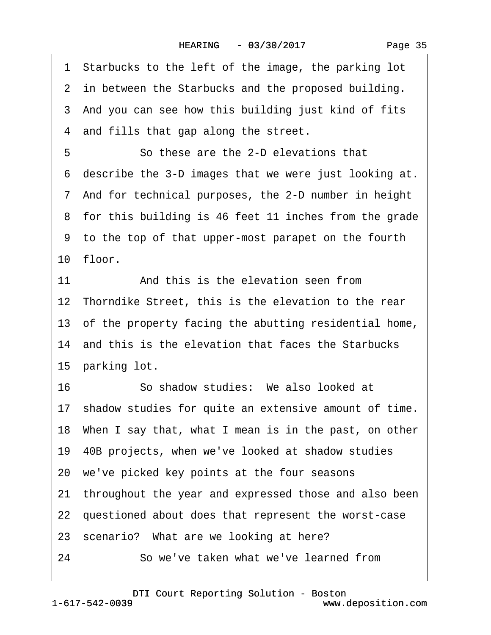| 1 Starbucks to the left of the image, the parking lot    |  |
|----------------------------------------------------------|--|
| 2 in between the Starbucks and the proposed building.    |  |
| 3 And you can see how this building just kind of fits    |  |
| 4 and fills that gap along the street.                   |  |
| So these are the 2-D elevations that<br>5                |  |
| 6 describe the 3-D images that we were just looking at.  |  |
| 7 And for technical purposes, the 2-D number in height   |  |
| 8 for this building is 46 feet 11 inches from the grade  |  |
| 9 to the top of that upper-most parapet on the fourth    |  |
| 10 floor.                                                |  |
| And this is the elevation seen from<br>11                |  |
| 12 Thorndike Street, this is the elevation to the rear   |  |
| 13 of the property facing the abutting residential home, |  |
| 14 and this is the elevation that faces the Starbucks    |  |
| 15 parking lot.                                          |  |
| So shadow studies: We also looked at<br>16               |  |
| 17 shadow studies for quite an extensive amount of time. |  |
| 18 When I say that, what I mean is in the past, on other |  |
| 19 40B projects, when we've looked at shadow studies     |  |
| 20 we've picked key points at the four seasons           |  |
| 21 throughout the year and expressed those and also been |  |
| 22 questioned about does that represent the worst-case   |  |
| 23 scenario? What are we looking at here?                |  |
| 24<br>So we've taken what we've learned from             |  |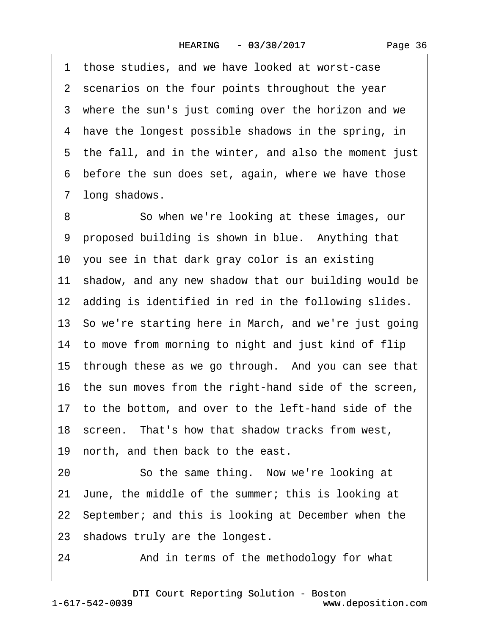1 those studies, and we have looked at worst-case 2 scenarios on the four points throughout the year 3 where the sun's just coming over the horizon and we 4 have the longest possible shadows in the spring, in 5 the fall, and in the winter, and also the moment just 6 before the sun does set, again, where we have those 7 long shadows.

8 So when we're looking at these images, our 9 proposed building is shown in blue. Anything that 10 you see in that dark gray color is an existing 11 shadow, and any new shadow that our building would be 12 adding is identified in red in the following slides. 13· So we're starting here in March, and we're just going 14 to move from morning to night and just kind of flip 15 through these as we go through. And you can see that 16 the sun moves from the right-hand side of the screen, 17 to the bottom, and over to the left-hand side of the 18· screen.· That's how that shadow tracks from west, 19 north, and then back to the east. 20 So the same thing. Now we're looking at 21· June, the middle of the summer; this is looking at 22· September; and this is looking at December when the 23 shadows truly are the longest.

24 • **And in terms of the methodology for what**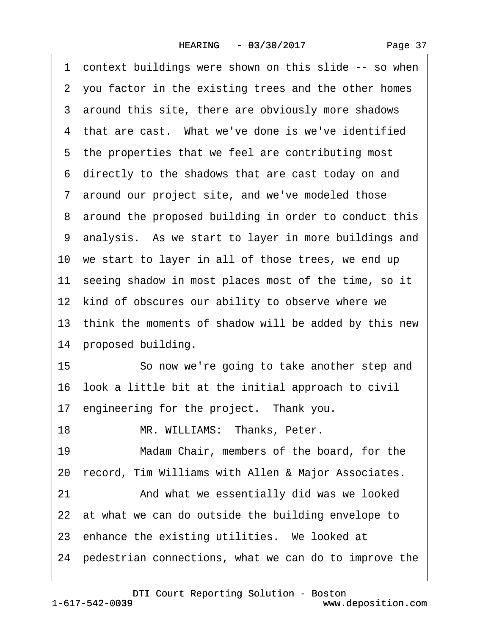1 context buildings were shown on this slide -- so when 2 you factor in the existing trees and the other homes 3 around this site, there are obviously more shadows 4 that are cast. What we've done is we've identified 5 the properties that we feel are contributing most ·6· directly to the shadows that are cast today on and 7 around our project site, and we've modeled those 8 around the proposed building in order to conduct this ·9· analysis.· As we start to layer in more buildings and 10 we start to layer in all of those trees, we end up 11 seeing shadow in most places most of the time, so it 12 kind of obscures our ability to observe where we 13 think the moments of shadow will be added by this new 14 proposed building. 15 **· · · So now we're going to take another step and** 16· look a little bit at the initial approach to civil 17 engineering for the project. Thank you. 18 MR. WILLIAMS: Thanks, Peter. 19 Madam Chair, members of the board, for the 20 record, Tim Williams with Allen & Major Associates. 21 • And what we essentially did was we looked 22 at what we can do outside the building envelope to 23 enhance the existing utilities. We looked at 24· pedestrian connections, what we can do to improve the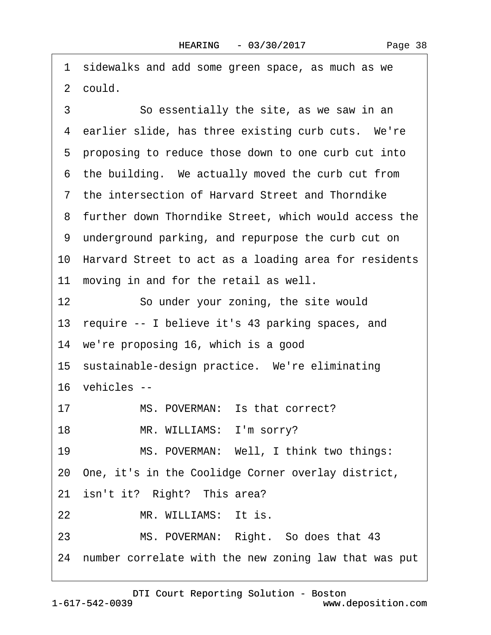1 sidewalks and add some green space, as much as we 2 could.

3 **So essentially the site, as we saw in an** 4 earlier slide, has three existing curb cuts. We're 5 proposing to reduce those down to one curb cut into 6 the building. We actually moved the curb cut from ·7· the intersection of Harvard Street and Thorndike 8 further down Thorndike Street, which would access the ·9· underground parking, and repurpose the curb cut on 10 Harvard Street to act as a loading area for residents 11 moving in and for the retail as well. 12 So under your zoning, the site would 13 require -- I believe it's 43 parking spaces, and 14 we're proposing 16, which is a good 15 sustainable-design practice. We're eliminating 16 vehicles --17 MS. POVERMAN: Is that correct? 18 MR. WILLIAMS: I'm sorry? 19 MS. POVERMAN: Well, I think two things: 20· One, it's in the Coolidge Corner overlay district, 21 isn't it? Right? This area? 22 MR. WILLIAMS: It is. 23 MS. POVERMAN: Right. So does that 43 24 number correlate with the new zoning law that was put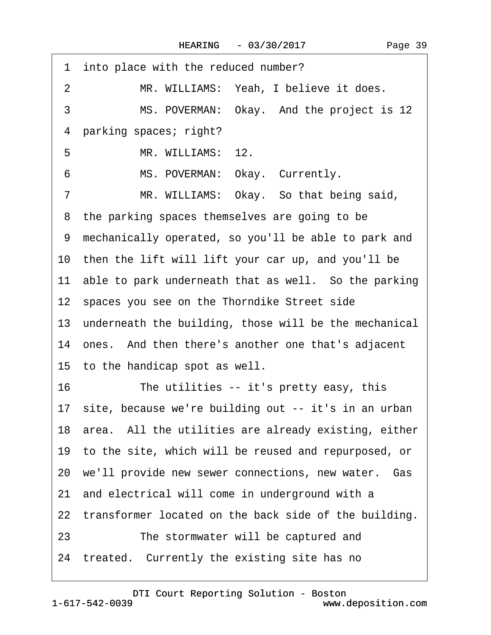| into place with the reduced number?<br>1                 |
|----------------------------------------------------------|
| MR. WILLIAMS: Yeah, I believe it does.<br>2              |
| 3<br>MS. POVERMAN: Okay. And the project is 12           |
| 4 parking spaces; right?                                 |
| 5<br>MR. WILLIAMS: 12.                                   |
| MS. POVERMAN: Okay. Currently.<br>6                      |
| MR. WILLIAMS: Okay. So that being said,<br>7             |
| 8 the parking spaces themselves are going to be          |
| 9 mechanically operated, so you'll be able to park and   |
| 10 then the lift will lift your car up, and you'll be    |
| 11 able to park underneath that as well. So the parking  |
| 12 spaces you see on the Thorndike Street side           |
| 13 underneath the building, those will be the mechanical |
| 14 ones. And then there's another one that's adjacent    |
| 15 to the handicap spot as well.                         |
| The utilities -- it's pretty easy, this<br>16            |
| 17 site, because we're building out -- it's in an urban  |
| 18 area. All the utilities are already existing, either  |
| 19 to the site, which will be reused and repurposed, or  |
| 20 we'll provide new sewer connections, new water. Gas   |
| 21 and electrical will come in underground with a        |
| 22 transformer located on the back side of the building. |
| The stormwater will be captured and<br>23                |
| 24 treated. Currently the existing site has no           |
|                                                          |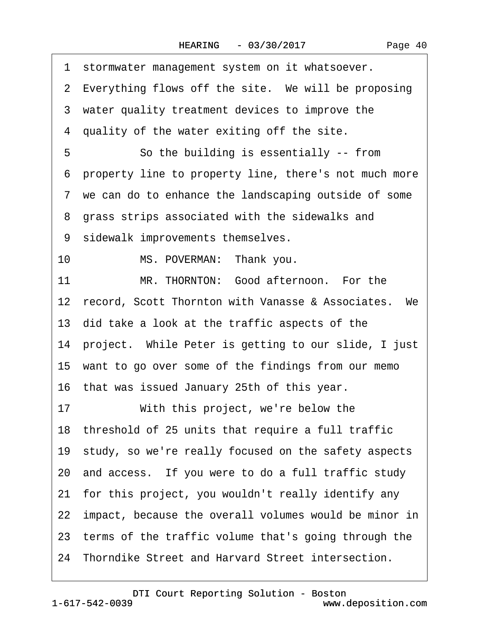| Page 40 |
|---------|
|---------|

|    | 1 stormwater management system on it whatsoever.         |
|----|----------------------------------------------------------|
|    | 2 Everything flows off the site. We will be proposing    |
|    | 3 water quality treatment devices to improve the         |
|    | 4 quality of the water exiting off the site.             |
| 5  | So the building is essentially -- from                   |
|    | 6 property line to property line, there's not much more  |
|    | 7 we can do to enhance the landscaping outside of some   |
|    | 8 grass strips associated with the sidewalks and         |
|    | 9 sidewalk improvements themselves.                      |
| 10 | MS. POVERMAN: Thank you.                                 |
| 11 | MR. THORNTON: Good afternoon. For the                    |
|    | 12 record, Scott Thornton with Vanasse & Associates. We  |
|    | 13 did take a look at the traffic aspects of the         |
|    | 14 project. While Peter is getting to our slide, I just  |
|    | 15 want to go over some of the findings from our memo    |
|    | 16 that was issued January 25th of this year.            |
| 17 | With this project, we're below the                       |
|    | 18 threshold of 25 units that require a full traffic     |
|    | 19 study, so we're really focused on the safety aspects  |
|    | 20 and access. If you were to do a full traffic study    |
|    | 21 for this project, you wouldn't really identify any    |
|    | 22 impact, because the overall volumes would be minor in |
|    | 23 terms of the traffic volume that's going through the  |
|    | 24 Thorndike Street and Harvard Street intersection.     |
|    |                                                          |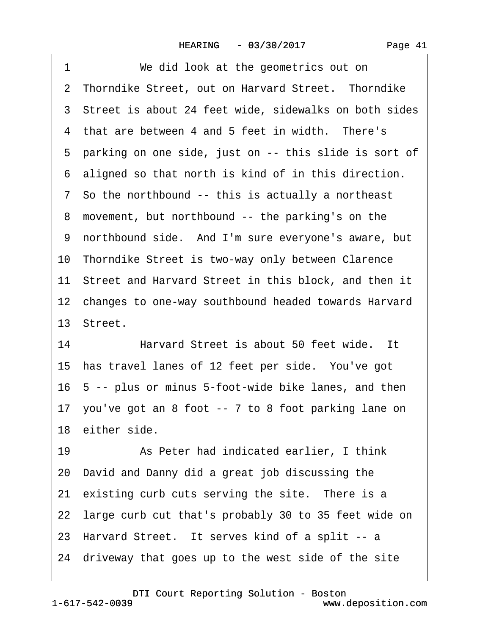| 1<br>We did look at the geometrics out on               |
|---------------------------------------------------------|
| 2 Thorndike Street, out on Harvard Street. Thorndike    |
| 3 Street is about 24 feet wide, sidewalks on both sides |
| 4 that are between 4 and 5 feet in width. There's       |
| 5 parking on one side, just on -- this slide is sort of |
| 6 aligned so that north is kind of in this direction.   |
| 7 So the northbound -- this is actually a northeast     |
| 8 movement, but northbound -- the parking's on the      |
| 9 northbound side. And I'm sure everyone's aware, but   |
| 10 Thorndike Street is two-way only between Clarence    |
| 11 Street and Harvard Street in this block, and then it |
| 12 changes to one-way southbound headed towards Harvard |
| 13 Street.                                              |
| Harvard Street is about 50 feet wide. It<br>14          |
| 15 has travel lanes of 12 feet per side. You've got     |
| 16 5 -- plus or minus 5-foot-wide bike lanes, and then  |
| 17 you've got an 8 foot -- 7 to 8 foot parking lane on  |
| 18 either side.                                         |
| As Peter had indicated earlier, I think<br>19           |
| 20 David and Danny did a great job discussing the       |
| 21 existing curb cuts serving the site. There is a      |
| 22 large curb cut that's probably 30 to 35 feet wide on |
| 23 Harvard Street. It serves kind of a split -- a       |
| 24 driveway that goes up to the west side of the site   |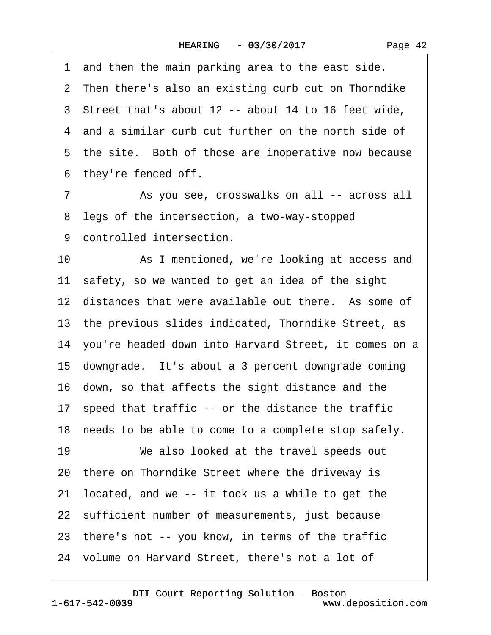1 and then the main parking area to the east side. 2 Then there's also an existing curb cut on Thorndike 3 Street that's about 12 -- about 14 to 16 feet wide, 4 and a similar curb cut further on the north side of 5 the site. Both of those are inoperative now because 6 they're fenced off.

7 **8** As you see, crosswalks on all -- across all 8 legs of the intersection, a two-way-stopped 9 controlled intersection.

10 • As I mentioned, we're looking at access and 11 safety, so we wanted to get an idea of the sight 12 distances that were available out there. As some of 13 the previous slides indicated, Thorndike Street, as 14 you're headed down into Harvard Street, it comes on a 15· downgrade.· It's about a 3 percent downgrade coming 16· down, so that affects the sight distance and the 17 speed that traffic -- or the distance the traffic 18 needs to be able to come to a complete stop safely. 19 We also looked at the travel speeds out 20 there on Thorndike Street where the driveway is 21· located, and we -- it took us a while to get the 22 sufficient number of measurements, just because 23 there's not -- you know, in terms of the traffic 24 volume on Harvard Street, there's not a lot of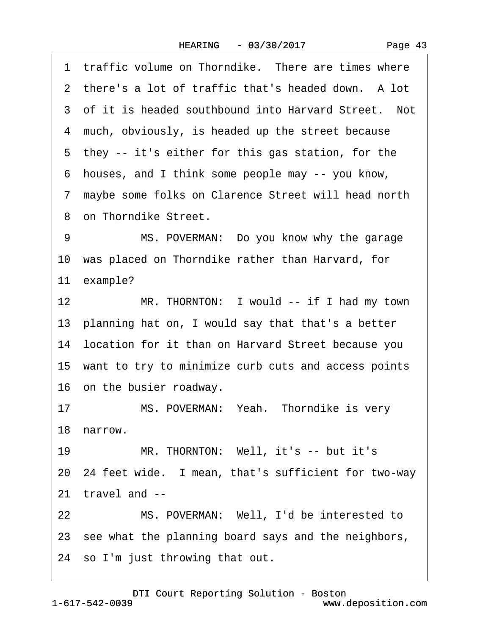1 traffic volume on Thorndike. There are times where 2 there's a lot of traffic that's headed down. A lot 3 of it is headed southbound into Harvard Street. Not 4 much, obviously, is headed up the street because 5 they -- it's either for this gas station, for the ·6· houses, and I think some people may -- you know, ·7· maybe some folks on Clarence Street will head north 8 on Thorndike Street. 9 MS. POVERMAN: Do you know why the garage 10 was placed on Thorndike rather than Harvard, for 11 example? 12 MR. THORNTON: I would -- if I had my town 13 planning hat on, I would say that that's a better 14· location for it than on Harvard Street because you 15· want to try to minimize curb cuts and access points 16 on the busier roadway. 17 MS. POVERMAN: Yeah. Thorndike is very 18· narrow. 19 MR. THORNTON: Well, it's -- but it's 20· 24 feet wide.· I mean, that's sufficient for two-way 21· travel and -- 22 MS. POVERMAN: Well, I'd be interested to 23 see what the planning board says and the neighbors, 24 so I'm just throwing that out.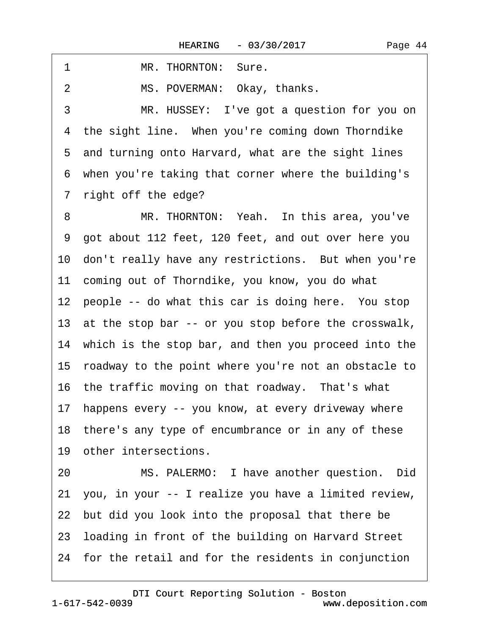1 MR. THORNTON: Sure.

2 MS. POVERMAN: Okay, thanks.

3 MR. HUSSEY: I've got a question for you on 4 the sight line. When you're coming down Thorndike 5 and turning onto Harvard, what are the sight lines ·6· when you're taking that corner where the building's 7 right off the edge?

8 MR. THORNTON: Yeah. In this area, you've ·9· got about 112 feet, 120 feet, and out over here you 10 don't really have any restrictions. But when you're 11 coming out of Thorndike, you know, you do what 12 people -- do what this car is doing here. You stop 13 at the stop bar -- or you stop before the crosswalk, 14 which is the stop bar, and then you proceed into the 15· roadway to the point where you're not an obstacle to 16 the traffic moving on that roadway. That's what 17 happens every -- you know, at every driveway where 18 there's any type of encumbrance or in any of these 19 other intersections. 20 MS. PALERMO: I have another question. Did 21· you, in your -- I realize you have a limited review, 22 but did you look into the proposal that there be 23· loading in front of the building on Harvard Street 24· for the retail and for the residents in conjunction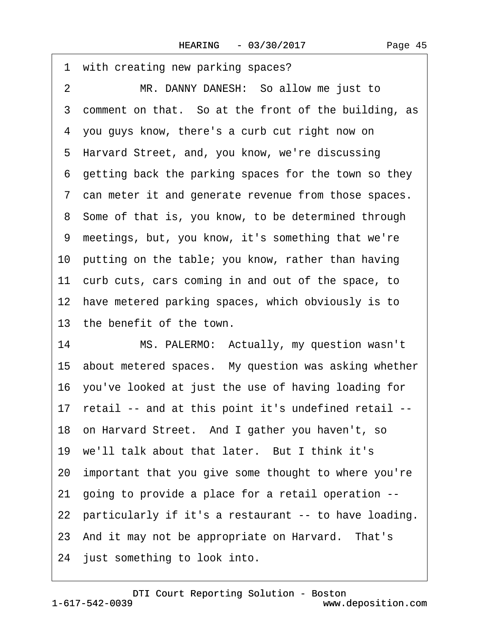|                | 1 with creating new parking spaces?                      |
|----------------|----------------------------------------------------------|
| $\overline{2}$ | MR. DANNY DANESH: So allow me just to                    |
|                | 3 comment on that. So at the front of the building, as   |
|                | 4 you guys know, there's a curb cut right now on         |
|                | 5 Harvard Street, and, you know, we're discussing        |
|                | 6 getting back the parking spaces for the town so they   |
|                | 7 can meter it and generate revenue from those spaces.   |
|                | 8 Some of that is, you know, to be determined through    |
|                | 9 meetings, but, you know, it's something that we're     |
|                | 10 putting on the table; you know, rather than having    |
|                | 11 curb cuts, cars coming in and out of the space, to    |
|                | 12 have metered parking spaces, which obviously is to    |
|                | 13 the benefit of the town.                              |
| 14             | MS. PALERMO: Actually, my question wasn't                |
|                | 15 about metered spaces. My question was asking whether  |
|                | 16 you've looked at just the use of having loading for   |
|                | 17 retail -- and at this point it's undefined retail --  |
|                | 18 on Harvard Street. And I gather you haven't, so       |
|                | 19 we'll talk about that later. But I think it's         |
|                | 20 important that you give some thought to where you're  |
|                | 21 going to provide a place for a retail operation --    |
|                | 22 particularly if it's a restaurant -- to have loading. |
|                | 23 And it may not be appropriate on Harvard. That's      |
|                | 24 just something to look into.                          |
|                |                                                          |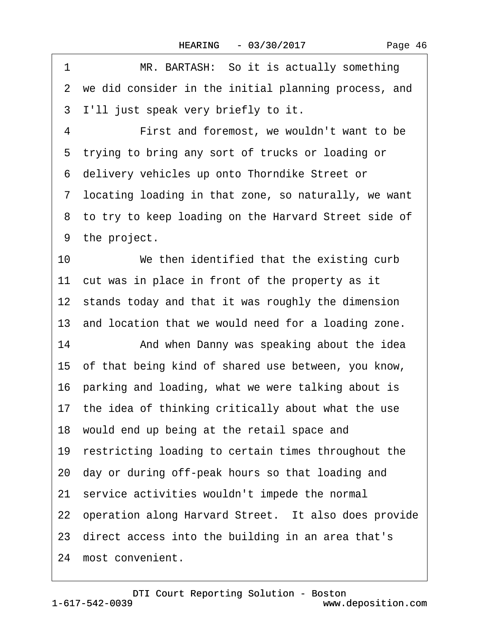| Page 46 |
|---------|
|---------|

| 1  | MR. BARTASH: So it is actually something                |
|----|---------------------------------------------------------|
|    | 2 we did consider in the initial planning process, and  |
| 3  | I'll just speak very briefly to it.                     |
| 4  | First and foremost, we wouldn't want to be              |
| 5  | trying to bring any sort of trucks or loading or        |
| 6  | delivery vehicles up onto Thorndike Street or           |
|    | 7 locating loading in that zone, so naturally, we want  |
|    | 8 to try to keep loading on the Harvard Street side of  |
|    | 9 the project.                                          |
| 10 | We then identified that the existing curb               |
|    | 11 cut was in place in front of the property as it      |
|    | 12 stands today and that it was roughly the dimension   |
|    | 13 and location that we would need for a loading zone.  |
| 14 | And when Danny was speaking about the idea              |
|    | 15 of that being kind of shared use between, you know,  |
|    | 16 parking and loading, what we were talking about is   |
|    | 17 the idea of thinking critically about what the use   |
|    | 18 would end up being at the retail space and           |
|    | 19 restricting loading to certain times throughout the  |
|    | 20 day or during off-peak hours so that loading and     |
|    | 21 service activities wouldn't impede the normal        |
|    | 22 operation along Harvard Street. It also does provide |
|    | 23 direct access into the building in an area that's    |
|    | 24 most convenient.                                     |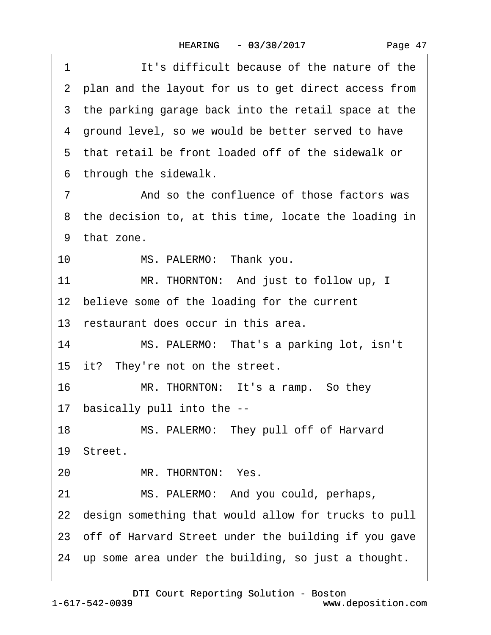1 **It's difficult because of the nature of the** 2 plan and the layout for us to get direct access from 3 the parking garage back into the retail space at the 4 ground level, so we would be better served to have ·5· that retail be front loaded off of the sidewalk or 6 through the sidewalk. 7 The State of those factors was 8 the decision to, at this time, locate the loading in 9 that zone. 10 MS. PALERMO: Thank you. 11 MR. THORNTON: And just to follow up, I 12 believe some of the loading for the current 13 restaurant does occur in this area. 14 MS. PALERMO: That's a parking lot, isn't 15 it? They're not on the street. 16 MR. THORNTON: It's a ramp. So they 17· basically pull into the -- 18 MS. PALERMO: They pull off of Harvard 19 Street. 20 MR. THORNTON: Yes. 21 MS. PALERMO: And you could, perhaps, 22 design something that would allow for trucks to pull 23 off of Harvard Street under the building if you gave 24 up some area under the building, so just a thought.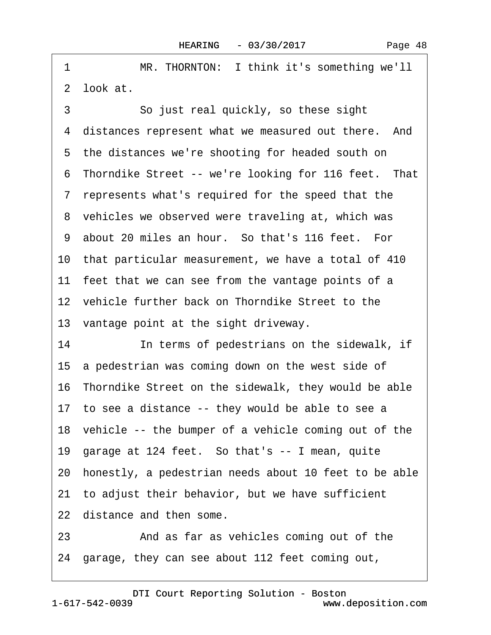| 1  | MR. THORNTON: I think it's something we'll               |
|----|----------------------------------------------------------|
|    | 2 look at.                                               |
| 3  | So just real quickly, so these sight                     |
|    | 4 distances represent what we measured out there. And    |
|    | 5 the distances we're shooting for headed south on       |
|    | 6 Thorndike Street -- we're looking for 116 feet. That   |
|    | 7 represents what's required for the speed that the      |
|    | 8 vehicles we observed were traveling at, which was      |
|    | 9 about 20 miles an hour. So that's 116 feet. For        |
|    | 10 that particular measurement, we have a total of 410   |
|    | 11 feet that we can see from the vantage points of a     |
|    | 12 vehicle further back on Thorndike Street to the       |
|    | 13 vantage point at the sight driveway.                  |
| 14 | In terms of pedestrians on the sidewalk, if              |
|    | 15 a pedestrian was coming down on the west side of      |
|    | 16 Thorndike Street on the sidewalk, they would be able  |
|    | 17 to see a distance -- they would be able to see a      |
|    | 18 vehicle -- the bumper of a vehicle coming out of the  |
|    | 19 garage at 124 feet. So that's -- I mean, quite        |
|    | 20 honestly, a pedestrian needs about 10 feet to be able |
|    | 21 to adjust their behavior, but we have sufficient      |
|    | 22 distance and then some.                               |
| 23 | And as far as vehicles coming out of the                 |
|    | 24 garage, they can see about 112 feet coming out,       |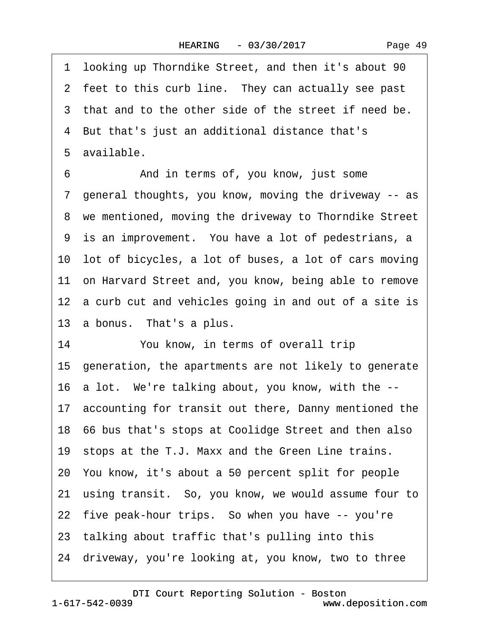·1· looking up Thorndike Street, and then it's about 90 2 feet to this curb line. They can actually see past 3 that and to the other side of the street if need be. ·4· But that's just an additional distance that's 5 available. 6 **4. • And in terms of, you know, just some** ·7· general thoughts, you know, moving the driveway -- as 8 we mentioned, moving the driveway to Thorndike Street 9 is an improvement. You have a lot of pedestrians, a 10 lot of bicycles, a lot of buses, a lot of cars moving 11· on Harvard Street and, you know, being able to remove 12 a curb cut and vehicles going in and out of a site is 13 a bonus. That's a plus. 14 You know, in terms of overall trip 15· generation, the apartments are not likely to generate 16· a lot.· We're talking about, you know, with the -- 17 accounting for transit out there, Danny mentioned the 18· 66 bus that's stops at Coolidge Street and then also 19 stops at the T.J. Maxx and the Green Line trains. 20· You know, it's about a 50 percent split for people 21· using transit.· So, you know, we would assume four to 22 five peak-hour trips. So when you have -- you're 23 talking about traffic that's pulling into this 24· driveway, you're looking at, you know, two to three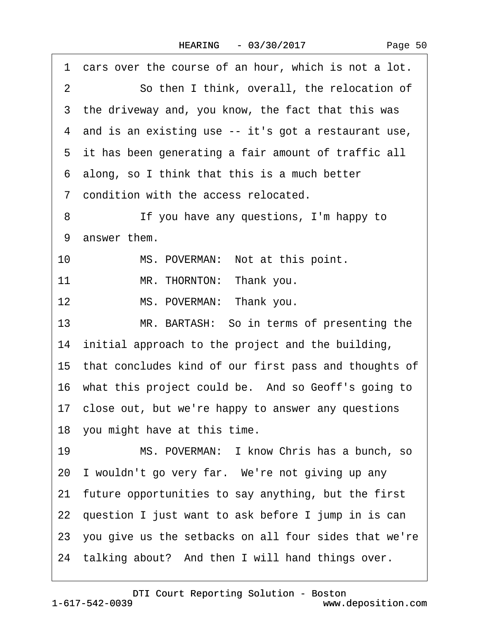| cars over the course of an hour, which is not a lot.<br>1 |
|-----------------------------------------------------------|
| So then I think, overall, the relocation of<br>2          |
| 3 the driveway and, you know, the fact that this was      |
| 4 and is an existing use -- it's got a restaurant use,    |
| 5 it has been generating a fair amount of traffic all     |
| 6 along, so I think that this is a much better            |
| 7 condition with the access relocated.                    |
| 8<br>If you have any questions, I'm happy to              |
| 9 answer them.                                            |
| 10<br>MS. POVERMAN: Not at this point.                    |
| MR. THORNTON: Thank you.<br>11                            |
| MS. POVERMAN: Thank you.<br>12                            |
| 13<br>MR. BARTASH: So in terms of presenting the          |
| 14 initial approach to the project and the building,      |
| 15 that concludes kind of our first pass and thoughts of  |
| 16 what this project could be. And so Geoff's going to    |
| 17 close out, but we're happy to answer any questions     |
| 18 you might have at this time.                           |
| MS. POVERMAN: I know Chris has a bunch, so<br>19          |
| 20 I wouldn't go very far. We're not giving up any        |
| 21 future opportunities to say anything, but the first    |
| 22 question I just want to ask before I jump in is can    |
| 23 you give us the setbacks on all four sides that we're  |
| 24 talking about? And then I will hand things over.       |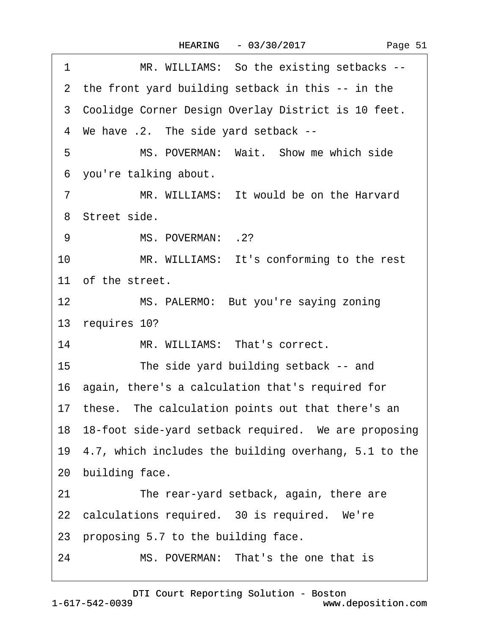|  |  | Page 51 |  |
|--|--|---------|--|
|--|--|---------|--|

| 1              | MR. WILLIAMS: So the existing setbacks --                |
|----------------|----------------------------------------------------------|
|                | 2 the front yard building setback in this -- in the      |
|                | 3 Coolidge Corner Design Overlay District is 10 feet.    |
|                | 4 We have .2. The side yard setback --                   |
| 5              | MS. POVERMAN: Wait. Show me which side                   |
|                | 6 you're talking about.                                  |
| $\overline{7}$ | MR. WILLIAMS: It would be on the Harvard                 |
|                | 8 Street side.                                           |
| 9              | MS. POVERMAN: .2?                                        |
| 10             | MR. WILLIAMS: It's conforming to the rest                |
|                | 11 of the street.                                        |
| 12             | MS. PALERMO: But you're saying zoning                    |
|                | 13 requires 10?                                          |
| 14             | MR. WILLIAMS: That's correct.                            |
| 15             | The side yard building setback -- and                    |
|                | 16 again, there's a calculation that's required for      |
|                | 17 these. The calculation points out that there's an     |
|                | 18 18-foot side-yard setback required. We are proposing  |
|                | 19 4.7, which includes the building overhang, 5.1 to the |
|                | 20 building face.                                        |
| 21             | The rear-yard setback, again, there are                  |
|                | 22 calculations required. 30 is required. We're          |
|                | 23 proposing 5.7 to the building face.                   |
| 24             | MS. POVERMAN: That's the one that is                     |
|                |                                                          |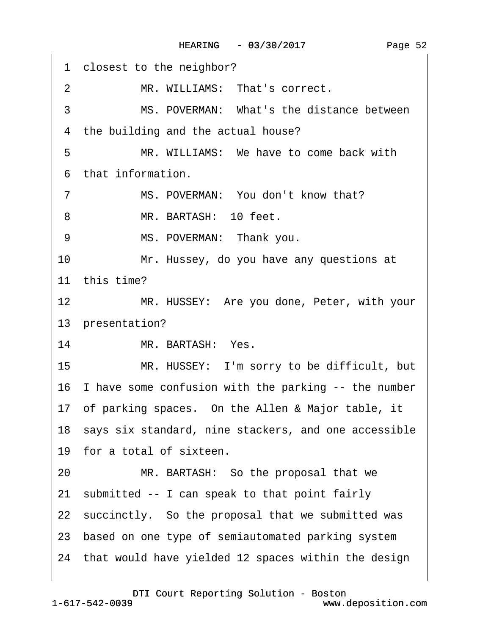1 closest to the neighbor? 2 MR. WILLIAMS: That's correct. 3 MS. POVERMAN: What's the distance between 4 the building and the actual house? 5 MR. WILLIAMS: We have to come back with ·6· that information. 7 MS. POVERMAN: You don't know that? 8 MR. BARTASH: 10 feet. 9 MS. POVERMAN: Thank you. 10 Mr. Hussey, do you have any questions at 11 this time? 12 MR. HUSSEY: Are you done, Peter, with your 13 presentation? 14 MR. BARTASH: Yes. 15 MR. HUSSEY: I'm sorry to be difficult, but 16 I have some confusion with the parking -- the number 17· of parking spaces.· On the Allen & Major table, it 18 says six standard, nine stackers, and one accessible 19 for a total of sixteen. 20 MR. BARTASH: So the proposal that we 21 submitted -- I can speak to that point fairly 22 succinctly. So the proposal that we submitted was 23· based on one type of semiautomated parking system 24· that would have yielded 12 spaces within the design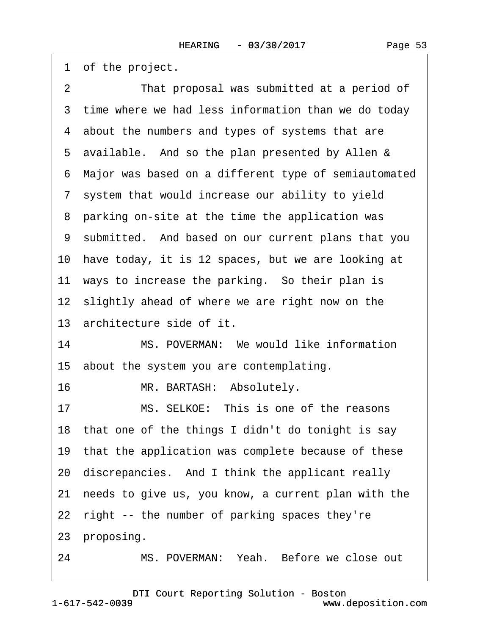1 of the project.

| $\overline{2}$ | That proposal was submitted at a period of             |
|----------------|--------------------------------------------------------|
|                | 3 time where we had less information than we do today  |
|                | 4 about the numbers and types of systems that are      |
|                | 5 available. And so the plan presented by Allen &      |
|                | 6 Major was based on a different type of semiautomated |
|                | 7 system that would increase our ability to yield      |
|                | 8 parking on-site at the time the application was      |
|                | 9 submitted. And based on our current plans that you   |
|                | 10 have today, it is 12 spaces, but we are looking at  |
|                | 11 ways to increase the parking. So their plan is      |
|                | 12 slightly ahead of where we are right now on the     |
|                | 13 architecture side of it.                            |
| 14             | MS. POVERMAN: We would like information                |
|                | 15 about the system you are contemplating.             |
| 16             | MR. BARTASH: Absolutely.                               |
| 17             | MS. SELKOE: This is one of the reasons                 |
|                | 18 that one of the things I didn't do tonight is say   |
|                | 19 that the application was complete because of these  |
|                | 20 discrepancies. And I think the applicant really     |
|                | 21 needs to give us, you know, a current plan with the |
|                | 22 right -- the number of parking spaces they're       |
|                | 23 proposing.                                          |
| 24             | MS. POVERMAN: Yeah. Before we close out                |

1-617-542-0039 [DTI Court Reporting Solution - Boston](http://www.deposition.com) www.deposition.com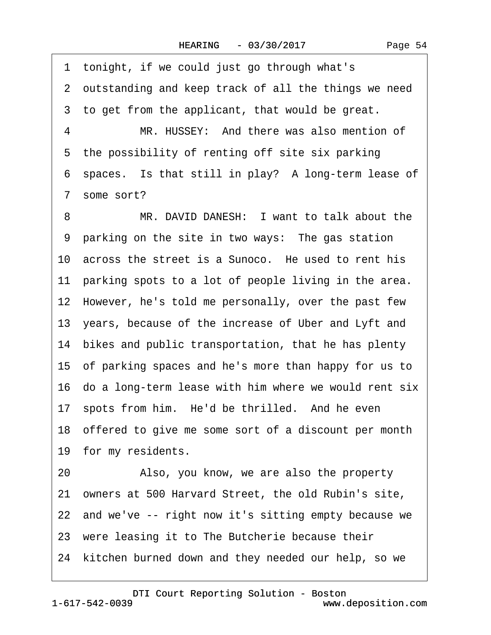1 tonight, if we could just go through what's 2 outstanding and keep track of all the things we need 3 to get from the applicant, that would be great. 4 MR. HUSSEY: And there was also mention of 5 the possibility of renting off site six parking 6 spaces. Is that still in play? A long-term lease of 7 some sort? 8 MR. DAVID DANESH: I want to talk about the 9 parking on the site in two ways: The gas station 10 across the street is a Sunoco. He used to rent his 11 parking spots to a lot of people living in the area. 12 However, he's told me personally, over the past few 13 years, because of the increase of Uber and Lyft and 14 bikes and public transportation, that he has plenty 15· of parking spaces and he's more than happy for us to 16· do a long-term lease with him where we would rent six 17 spots from him. He'd be thrilled. And he even 18· offered to give me some sort of a discount per month 19 for my residents. 20 • Also, you know, we are also the property 21 owners at 500 Harvard Street, the old Rubin's site, 22 and we've -- right now it's sitting empty because we 23 were leasing it to The Butcherie because their 24 kitchen burned down and they needed our help, so we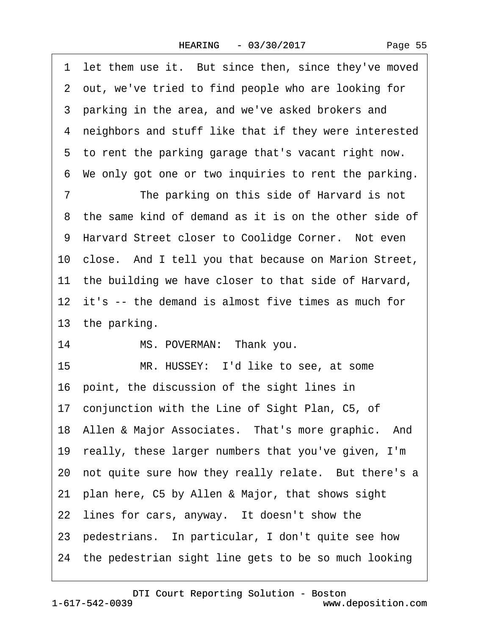| Page 55 |  |
|---------|--|
|---------|--|

1 let them use it. But since then, since they've moved ·2· out, we've tried to find people who are looking for 3 parking in the area, and we've asked brokers and ·4· neighbors and stuff like that if they were interested 5 to rent the parking garage that's vacant right now. 6 We only got one or two inquiries to rent the parking. 7 The parking on this side of Harvard is not 8 the same kind of demand as it is on the other side of 9 Harvard Street closer to Coolidge Corner. Not even 10 close. And I tell you that because on Marion Street, 11 the building we have closer to that side of Harvard, 12 it's -- the demand is almost five times as much for 13 the parking. 14 MS. POVERMAN: Thank you. 15 MR. HUSSEY: I'd like to see, at some 16· point, the discussion of the sight lines in 17 conjunction with the Line of Sight Plan, C5, of 18 Allen & Major Associates. That's more graphic. And 19· really, these larger numbers that you've given, I'm 20 not quite sure how they really relate. But there's a 21· plan here, C5 by Allen & Major, that shows sight 22 lines for cars, anyway. It doesn't show the 23· pedestrians.· In particular, I don't quite see how 24 the pedestrian sight line gets to be so much looking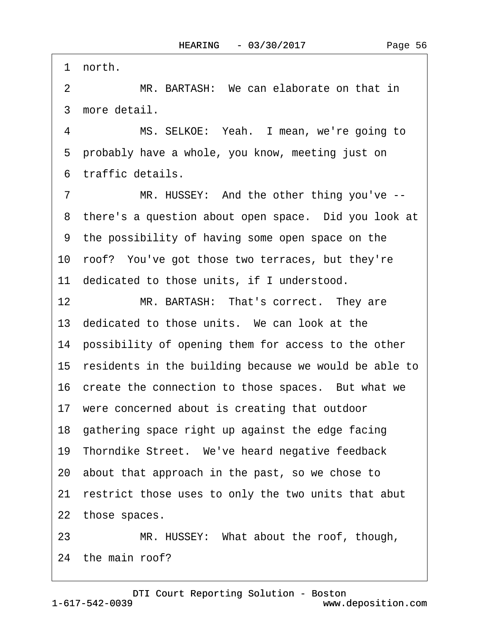1 north.

2 MR. BARTASH: We can elaborate on that in 3 more detail.

4 MS. SELKOE: Yeah. I mean, we're going to 5 probably have a whole, you know, meeting just on ·6· traffic details.

7 MR. HUSSEY: And the other thing you've --8 there's a question about open space. Did you look at ·9· the possibility of having some open space on the 10· roof?· You've got those two terraces, but they're 11 dedicated to those units, if I understood.

12 MR. BARTASH: That's correct. They are

13 dedicated to those units. We can look at the

14 possibility of opening them for access to the other

15 residents in the building because we would be able to

16 create the connection to those spaces. But what we

17 were concerned about is creating that outdoor

18· gathering space right up against the edge facing

19 Thorndike Street. We've heard negative feedback

20· about that approach in the past, so we chose to

21· restrict those uses to only the two units that abut

22 those spaces.

23 MR. HUSSEY: What about the roof, though,

24 the main roof?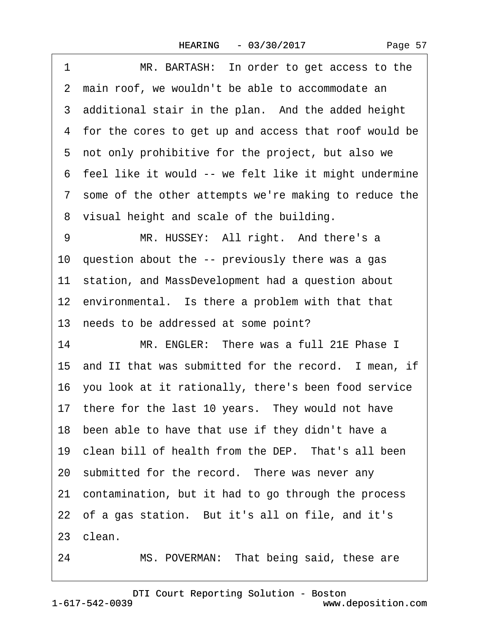| 1  | MR. BARTASH: In order to get access to the              |
|----|---------------------------------------------------------|
|    | 2 main roof, we wouldn't be able to accommodate an      |
|    | 3 additional stair in the plan. And the added height    |
|    | 4 for the cores to get up and access that roof would be |
|    | 5 not only prohibitive for the project, but also we     |
|    | 6 feel like it would -- we felt like it might undermine |
|    | 7 some of the other attempts we're making to reduce the |
|    | 8 visual height and scale of the building.              |
| 9  | MR. HUSSEY: All right. And there's a                    |
|    | 10 question about the -- previously there was a gas     |
|    | 11 station, and MassDevelopment had a question about    |
|    | 12 environmental. Is there a problem with that that     |
|    | 13 needs to be addressed at some point?                 |
| 14 | MR. ENGLER: There was a full 21E Phase I                |
|    | 15 and II that was submitted for the record. I mean, if |
|    | 16 you look at it rationally, there's been food service |
|    | 17 there for the last 10 years. They would not have     |
|    | 18 been able to have that use if they didn't have a     |
|    | 19 clean bill of health from the DEP. That's all been   |
|    | 20 submitted for the record. There was never any        |
|    | 21 contamination, but it had to go through the process  |
|    | 22 of a gas station. But it's all on file, and it's     |
|    | 23 clean.                                               |
| 24 | MS. POVERMAN: That being said, these are                |

1-617-542-0039 [DTI Court Reporting Solution - Boston](http://www.deposition.com) www.deposition.com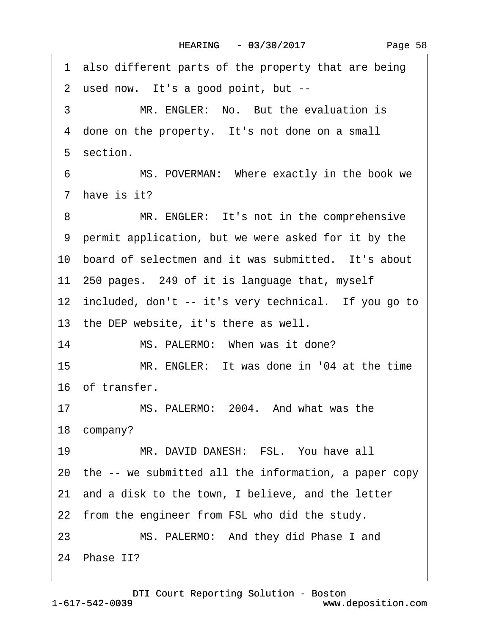1 also different parts of the property that are being 2 used now. It's a good point, but --3 MR. ENGLER: No. But the evaluation is 4 done on the property. It's not done on a small 5 section. 6 MS. POVERMAN: Where exactly in the book we 7 have is it? 8 MR. ENGLER: It's not in the comprehensive ·9· permit application, but we were asked for it by the 10 board of selectmen and it was submitted. It's about 11–250 pages. 249 of it is language that, myself 12 included, don't -- it's very technical. If you go to 13 the DEP website, it's there as well. 14 MS. PALERMO: When was it done? 15 MR. ENGLER: It was done in '04 at the time 16 of transfer. 17 MS. PALERMO: 2004. And what was the 18 company? 19 MR. DAVID DANESH: FSL. You have all 20· the -- we submitted all the information, a paper copy 21· and a disk to the town, I believe, and the letter 22 from the engineer from FSL who did the study. 23 MS. PALERMO: And they did Phase I and 24 Phase II?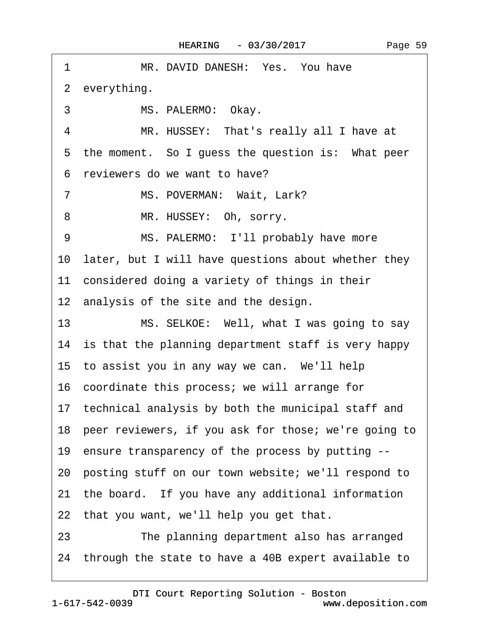| MR. DAVID DANESH: Yes. You have<br>1                    |
|---------------------------------------------------------|
| 2 everything.                                           |
| 3<br>MS. PALERMO: Okay.                                 |
| MR. HUSSEY: That's really all I have at<br>4            |
| 5 the moment. So I guess the question is: What peer     |
| 6 reviewers do we want to have?                         |
| $\overline{7}$<br>MS. POVERMAN: Wait, Lark?             |
| 8<br>MR. HUSSEY: Oh, sorry.                             |
| MS. PALERMO: I'll probably have more<br>9               |
| 10 later, but I will have questions about whether they  |
| 11 considered doing a variety of things in their        |
| 12 analysis of the site and the design.                 |
| 13<br>MS. SELKOE: Well, what I was going to say         |
| 14 is that the planning department staff is very happy  |
| 15 to assist you in any way we can. We'll help          |
| 16 coordinate this process; we will arrange for         |
| 17 technical analysis by both the municipal staff and   |
| 18 peer reviewers, if you ask for those; we're going to |
| 19 ensure transparency of the process by putting --     |
| 20 posting stuff on our town website; we'll respond to  |
| 21 the board. If you have any additional information    |
| 22 that you want, we'll help you get that.              |
| 23<br>The planning department also has arranged         |
| 24 through the state to have a 40B expert available to  |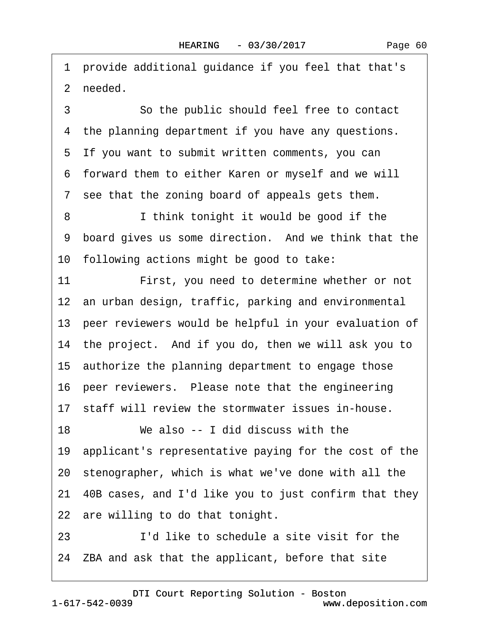·1· provide additional guidance if you feel that that's 2 needed.

3 **3** • So the public should feel free to contact 4 the planning department if you have any questions. 5 If you want to submit written comments, you can ·6· forward them to either Karen or myself and we will 7 see that the zoning board of appeals gets them. 8 I think tonight it would be good if the 9 board gives us some direction. And we think that the 10 following actions might be good to take: 11 First, you need to determine whether or not 12 an urban design, traffic, parking and environmental 13· peer reviewers would be helpful in your evaluation of 14 the project. And if you do, then we will ask you to 15 authorize the planning department to engage those 16 peer reviewers. Please note that the engineering 17 staff will review the stormwater issues in-house. 18 We also -- I did discuss with the 19· applicant's representative paying for the cost of the 20· stenographer, which is what we've done with all the 21· 40B cases, and I'd like you to just confirm that they 22 are willing to do that tonight. 23· · · · · ·I'd like to schedule a site visit for the

24· ZBA and ask that the applicant, before that site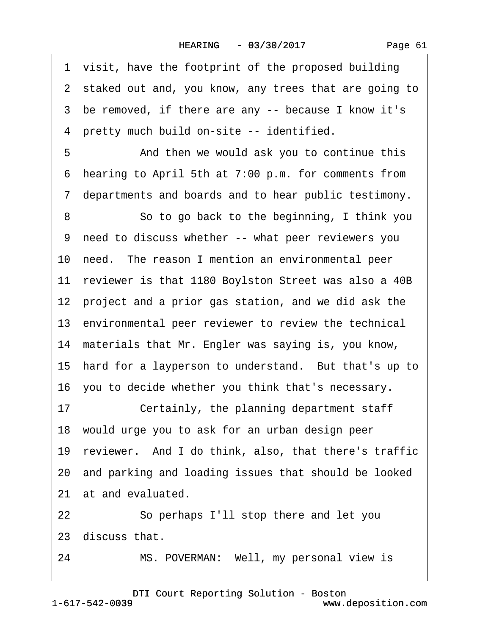1 visit, have the footprint of the proposed building 2 staked out and, you know, any trees that are going to 3 be removed, if there are any -- because I know it's 4 pretty much build on-site -- identified. 5 • **And then we would ask you to continue this** ·6· hearing to April 5th at 7:00 p.m. for comments from ·7· departments and boards and to hear public testimony. 8 **8** · **So to go back to the beginning, I think you** ·9· need to discuss whether -- what peer reviewers you 10 need. The reason I mention an environmental peer 11 reviewer is that 1180 Boylston Street was also a 40B 12 project and a prior gas station, and we did ask the 13 environmental peer reviewer to review the technical 14 materials that Mr. Engler was saying is, you know, 15 hard for a layperson to understand. But that's up to 16· you to decide whether you think that's necessary. 17 Certainly, the planning department staff 18· would urge you to ask for an urban design peer 19· reviewer.· And I do think, also, that there's traffic 20· and parking and loading issues that should be looked 21 at and evaluated. 22· · · · · ·So perhaps I'll stop there and let you 23· discuss that.

24 MS. POVERMAN: Well, my personal view is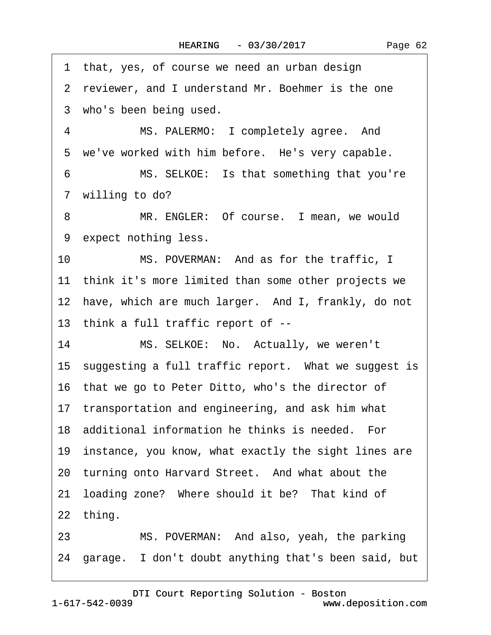1 that, yes, of course we need an urban design 2 reviewer, and I understand Mr. Boehmer is the one 3 who's been being used. 4 MS. PALERMO: I completely agree. And 5 we've worked with him before. He's very capable. 6 MS. SELKOE: Is that something that you're 7 willing to do? 8 MR. ENGLER: Of course. I mean, we would 9 expect nothing less. 10 MS. POVERMAN: And as for the traffic, I 11 think it's more limited than some other projects we 12 have, which are much larger. And I, frankly, do not 13· think a full traffic report of -- 14 MS. SELKOE: No. Actually, we weren't 15 suggesting a full traffic report. What we suggest is 16· that we go to Peter Ditto, who's the director of 17 transportation and engineering, and ask him what 18 additional information he thinks is needed. For 19 instance, you know, what exactly the sight lines are 20 turning onto Harvard Street. And what about the 21 loading zone? Where should it be? That kind of 22 thing. 23 MS. POVERMAN: And also, yeah, the parking 24 garage. I don't doubt anything that's been said, but

[DTI Court Reporting Solution - Boston](http://www.deposition.com)

1-617-542-0039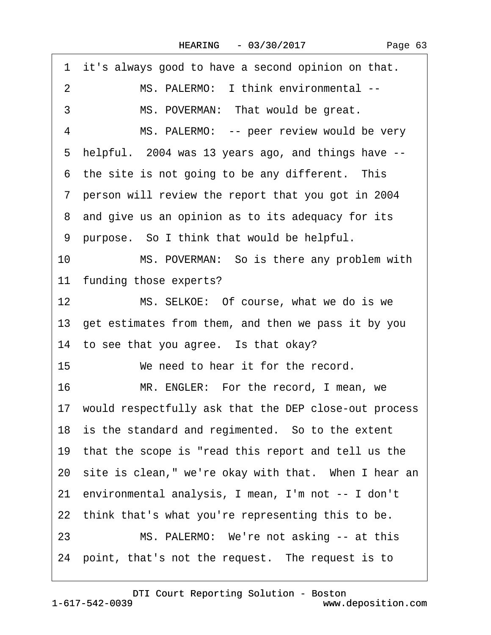|  | Page 63 |  |
|--|---------|--|
|  |         |  |

|    | 1 it's always good to have a second opinion on that.     |
|----|----------------------------------------------------------|
| 2  | MS. PALERMO: I think environmental --                    |
| 3  | MS. POVERMAN: That would be great.                       |
| 4  | MS. PALERMO: -- peer review would be very                |
|    | 5 helpful. 2004 was 13 years ago, and things have --     |
|    | 6 the site is not going to be any different. This        |
|    | 7 person will review the report that you got in 2004     |
|    | 8 and give us an opinion as to its adequacy for its      |
|    | 9 purpose. So I think that would be helpful.             |
| 10 | MS. POVERMAN: So is there any problem with               |
|    | 11 funding those experts?                                |
| 12 | MS. SELKOE: Of course, what we do is we                  |
|    | 13 get estimates from them, and then we pass it by you   |
|    | 14 to see that you agree. Is that okay?                  |
| 15 | We need to hear it for the record.                       |
| 16 | MR. ENGLER: For the record, I mean, we                   |
|    | 17 would respectfully ask that the DEP close-out process |
|    | 18 is the standard and regimented. So to the extent      |
|    | 19 that the scope is "read this report and tell us the   |
|    | 20 site is clean," we're okay with that. When I hear an  |
|    | 21 environmental analysis, I mean, I'm not -- I don't    |
|    | 22 think that's what you're representing this to be.     |
| 23 | MS. PALERMO: We're not asking -- at this                 |
|    | 24 point, that's not the request. The request is to      |
|    |                                                          |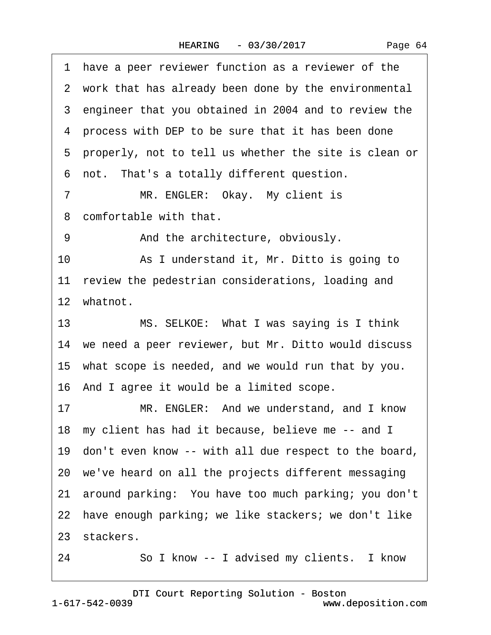·1· have a peer reviewer function as a reviewer of the 2 work that has already been done by the environmental 3 engineer that you obtained in 2004 and to review the 4 process with DEP to be sure that it has been done ·5· properly, not to tell us whether the site is clean or 6 not. That's a totally different question. 7 MR. ENGLER: Okay. My client is 8 comfortable with that. 9 • **And the architecture, obviously.** 10 • As I understand it, Mr. Ditto is going to 11 review the pedestrian considerations, loading and 12 whatnot. 13 MS. SELKOE: What I was saying is I think 14 we need a peer reviewer, but Mr. Ditto would discuss 15 what scope is needed, and we would run that by you. 16· And I agree it would be a limited scope. 17 MR. ENGLER: And we understand, and I know 18 my client has had it because, believe me -- and I 19· don't even know -- with all due respect to the board, 20· we've heard on all the projects different messaging 21· around parking:· You have too much parking; you don't 22 have enough parking; we like stackers; we don't like 23 stackers.

24 · · So I know -- I advised my clients. I know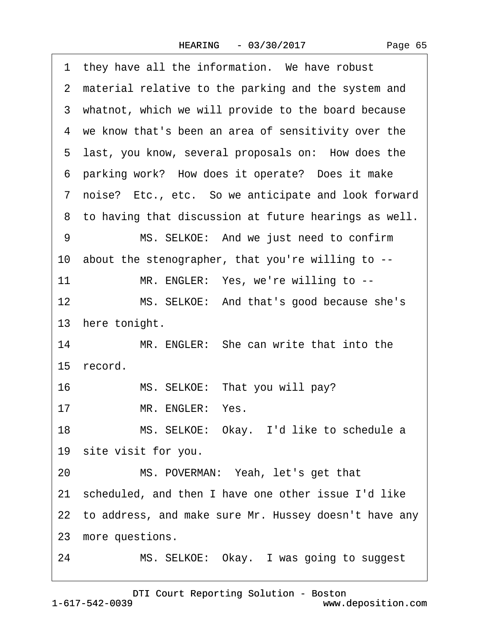|  | Page 65 |
|--|---------|
|--|---------|

1 they have all the information. We have robust 2 material relative to the parking and the system and 3 whatnot, which we will provide to the board because 4 we know that's been an area of sensitivity over the 5 last, you know, several proposals on: How does the 6 parking work? How does it operate? Does it make ·7· noise?· Etc., etc.· So we anticipate and look forward 8 to having that discussion at future hearings as well. 9 MS. SELKOE: And we just need to confirm 10· about the stenographer, that you're willing to -- 11 MR. ENGLER: Yes, we're willing to --12 MS. SELKOE: And that's good because she's 13 here tonight. 14 MR. ENGLER: She can write that into the 15 record. 16 MS. SELKOE: That you will pay? 17 MR. ENGLER: Yes. 18 MS. SELKOE: Okay. I'd like to schedule a 19 site visit for you. 20 MS. POVERMAN: Yeah, let's get that 21 scheduled, and then I have one other issue I'd like 22 to address, and make sure Mr. Hussey doesn't have any 23 more questions. 24 MS. SELKOE: Okay. I was going to suggest

1-617-542-0039 [DTI Court Reporting Solution - Boston](http://www.deposition.com) www.deposition.com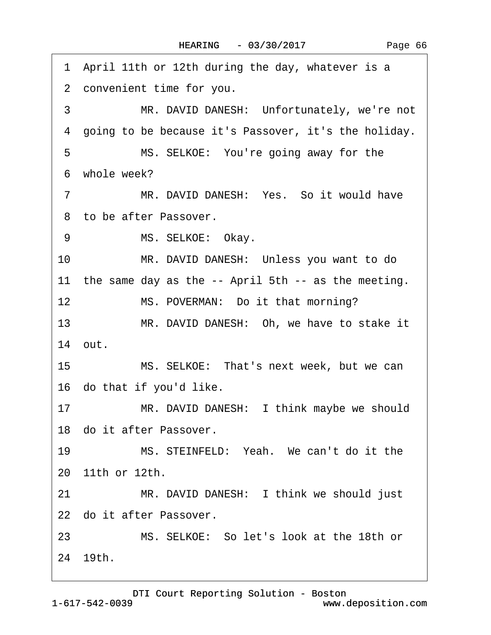1 April 11th or 12th during the day, whatever is a 2 convenient time for you. 3 MR. DAVID DANESH: Unfortunately, we're not 4 going to be because it's Passover, it's the holiday. 5 MS. SELKOE: You're going away for the ·6· whole week? 7 MR. DAVID DANESH: Yes. So it would have 8 to be after Passover. 9 MS. SELKOE: Okay. 10 MR. DAVID DANESH: Unless you want to do 11 the same day as the -- April 5th -- as the meeting. 12 MS. POVERMAN: Do it that morning? 13 MR. DAVID DANESH: Oh, we have to stake it 14· out. 15 MS. SELKOE: That's next week, but we can 16 do that if you'd like. 17 MR. DAVID DANESH: I think maybe we should 18· do it after Passover. 19 MS. STEINFELD: Yeah. We can't do it the 20· 11th or 12th. 21 MR. DAVID DANESH: I think we should just 22 do it after Passover. 23 MS. SELKOE: So let's look at the 18th or 24· 19th.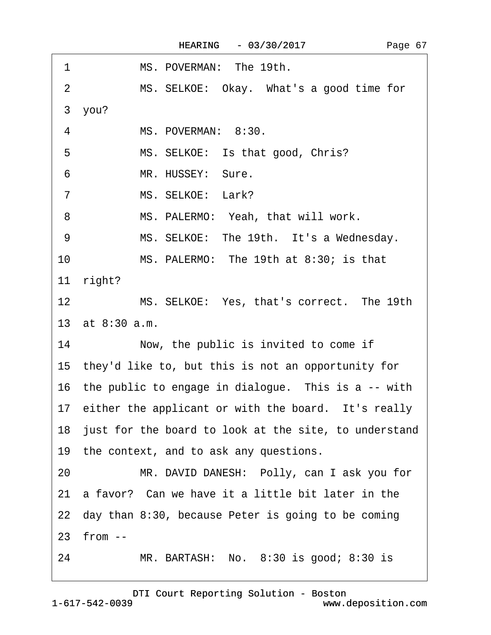$\Gamma$ 

| 1<br>MS. POVERMAN: The 19th.                                 |
|--------------------------------------------------------------|
| MS. SELKOE: Okay. What's a good time for<br>2                |
| 3 you?                                                       |
| MS. POVERMAN: 8:30.<br>4                                     |
| MS. SELKOE: Is that good, Chris?<br>5                        |
| MR. HUSSEY: Sure.<br>6                                       |
| MS. SELKOE: Lark?<br>$\overline{7}$                          |
| MS. PALERMO: Yeah, that will work.<br>8                      |
| 9<br>MS. SELKOE: The 19th. It's a Wednesday.                 |
| 10<br>MS. PALERMO: The 19th at 8:30; is that                 |
| 11 right?                                                    |
| 12 <sup>°</sup><br>MS. SELKOE: Yes, that's correct. The 19th |
| 13 at 8:30 a.m.                                              |
| 14<br>Now, the public is invited to come if                  |
| 15 they'd like to, but this is not an opportunity for        |
| 16 the public to engage in dialogue. This is a -- with       |
| 17 either the applicant or with the board. It's really       |
| 18 just for the board to look at the site, to understand     |
| 19 the context, and to ask any questions.                    |
| MR. DAVID DANESH: Polly, can I ask you for<br>20             |
| a favor? Can we have it a little bit later in the<br>21      |
| 22 day than 8:30, because Peter is going to be coming        |
| 23 from --                                                   |
| MR. BARTASH: No. 8:30 is good; 8:30 is<br>24                 |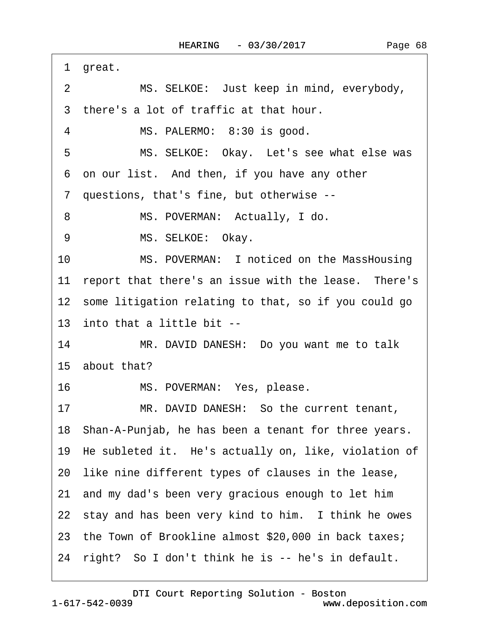|    | 1 great.                                                |
|----|---------------------------------------------------------|
| 2  | MS. SELKOE: Just keep in mind, everybody,               |
|    | 3 there's a lot of traffic at that hour.                |
| 4  | MS. PALERMO: 8:30 is good.                              |
| 5  | MS. SELKOE: Okay. Let's see what else was               |
|    | 6 on our list. And then, if you have any other          |
|    | 7 questions, that's fine, but otherwise --              |
| 8  | MS. POVERMAN: Actually, I do.                           |
| 9  | MS. SELKOE: Okay.                                       |
| 10 | MS. POVERMAN: I noticed on the MassHousing              |
|    | 11 report that there's an issue with the lease. There's |
|    | 12 some litigation relating to that, so if you could go |
|    | 13 into that a little bit --                            |
| 14 | MR. DAVID DANESH: Do you want me to talk                |
|    | 15 about that?                                          |
| 16 | MS. POVERMAN: Yes, please.                              |
| 17 | MR. DAVID DANESH: So the current tenant,                |
|    | 18 Shan-A-Punjab, he has been a tenant for three years. |
|    | 19 He subleted it. He's actually on, like, violation of |
|    | 20 like nine different types of clauses in the lease,   |
|    | 21 and my dad's been very gracious enough to let him    |
|    | 22 stay and has been very kind to him. I think he owes  |
|    | 23 the Town of Brookline almost \$20,000 in back taxes; |
|    | 24 right? So I don't think he is -- he's in default.    |
|    |                                                         |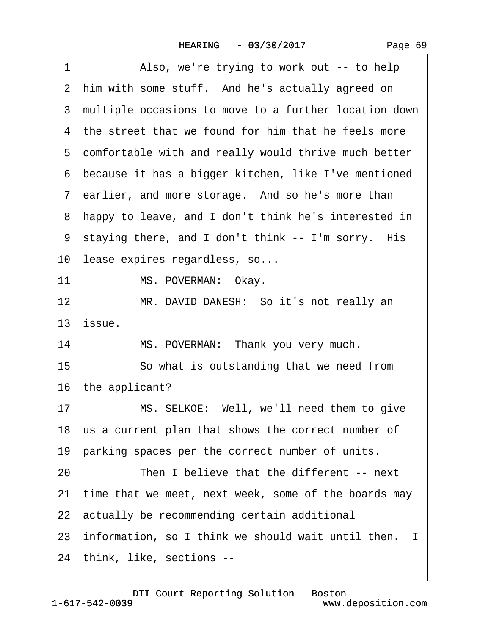| Page 69 |  |
|---------|--|
|         |  |

1 Also, we're trying to work out -- to help 2 him with some stuff. And he's actually agreed on ·3· multiple occasions to move to a further location down 4 the street that we found for him that he feels more 5 comfortable with and really would thrive much better ·6· because it has a bigger kitchen, like I've mentioned 7 earlier, and more storage. And so he's more than ·8· happy to leave, and I don't think he's interested in 9 staying there, and I don't think -- I'm sorry. His 10 lease expires regardless, so... 11 MS. POVERMAN: Okay. 12 MR. DAVID DANESH: So it's not really an 13· issue. 14 MS. POVERMAN: Thank you very much. 15 **· · So what is outstanding that we need from** 16 the applicant? 17 MS. SELKOE: Well, we'll need them to give 18 us a current plan that shows the correct number of 19 parking spaces per the correct number of units. 20 Then I believe that the different -- next 21 time that we meet, next week, some of the boards may 22 actually be recommending certain additional 23 information, so I think we should wait until then. I 24· think, like, sections --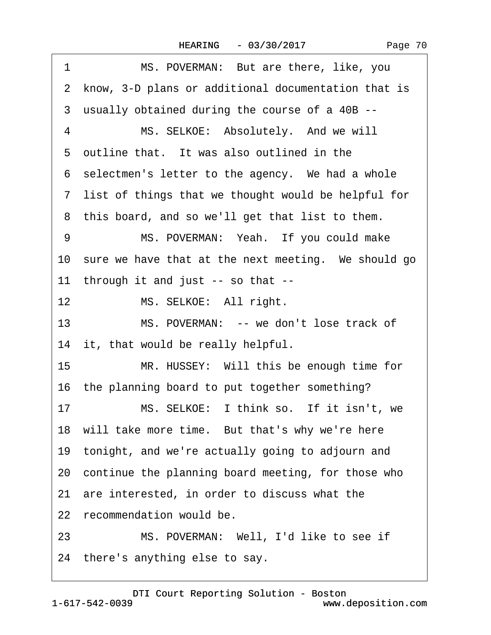|  | Page 70 |  |
|--|---------|--|
|--|---------|--|

| 1  | MS. POVERMAN: But are there, like, you                 |
|----|--------------------------------------------------------|
|    | 2 know, 3-D plans or additional documentation that is  |
|    | 3 usually obtained during the course of a 40B --       |
| 4  | MS. SELKOE: Absolutely. And we will                    |
|    | 5 outline that. It was also outlined in the            |
|    | 6 selectmen's letter to the agency. We had a whole     |
|    | 7 list of things that we thought would be helpful for  |
|    | 8 this board, and so we'll get that list to them.      |
| 9  | MS. POVERMAN: Yeah. If you could make                  |
|    | 10 sure we have that at the next meeting. We should go |
|    | 11 through it and just -- so that --                   |
| 12 | MS. SELKOE: All right.                                 |
| 13 | MS. POVERMAN: -- we don't lose track of                |
|    | 14 it, that would be really helpful.                   |
| 15 | MR. HUSSEY: Will this be enough time for               |
|    | 16 the planning board to put together something?       |
| 17 | MS. SELKOE: I think so. If it isn't, we                |
|    | 18 will take more time. But that's why we're here      |
|    | 19 tonight, and we're actually going to adjourn and    |
|    | 20 continue the planning board meeting, for those who  |
|    | 21 are interested, in order to discuss what the        |
|    | 22 recommendation would be.                            |
| 23 | MS. POVERMAN: Well, I'd like to see if                 |
|    | 24 there's anything else to say.                       |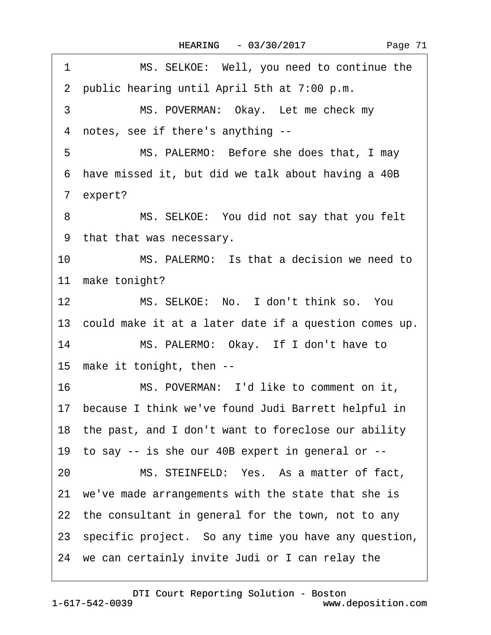1 MS. SELKOE: Well, you need to continue the

|                 | 2 public hearing until April 5th at 7:00 p.m.            |
|-----------------|----------------------------------------------------------|
| 3               | MS. POVERMAN: Okay. Let me check my                      |
|                 | 4 notes, see if there's anything --                      |
| 5               | MS. PALERMO: Before she does that, I may                 |
|                 | 6 have missed it, but did we talk about having a 40B     |
|                 | 7 expert?                                                |
| 8               | MS. SELKOE: You did not say that you felt                |
|                 | 9 that that was necessary.                               |
| 10 <sup>°</sup> | MS. PALERMO: Is that a decision we need to               |
|                 | 11 make tonight?                                         |
| 12              | MS. SELKOE: No. I don't think so. You                    |
|                 | 13 could make it at a later date if a question comes up. |
| 14              | MS. PALERMO: Okay. If I don't have to                    |
|                 | 15 make it tonight, then --                              |
| 16              | MS. POVERMAN: I'd like to comment on it,                 |
|                 | 17 because I think we've found Judi Barrett helpful in   |
|                 | 18 the past, and I don't want to foreclose our ability   |
|                 | 19 to say -- is she our 40B expert in general or --      |
| 20              | MS. STEINFELD: Yes. As a matter of fact,                 |
|                 | 21 we've made arrangements with the state that she is    |
|                 | 22 the consultant in general for the town, not to any    |
|                 | 23 specific project. So any time you have any question,  |
|                 | 24 we can certainly invite Judi or I can relay the       |
|                 |                                                          |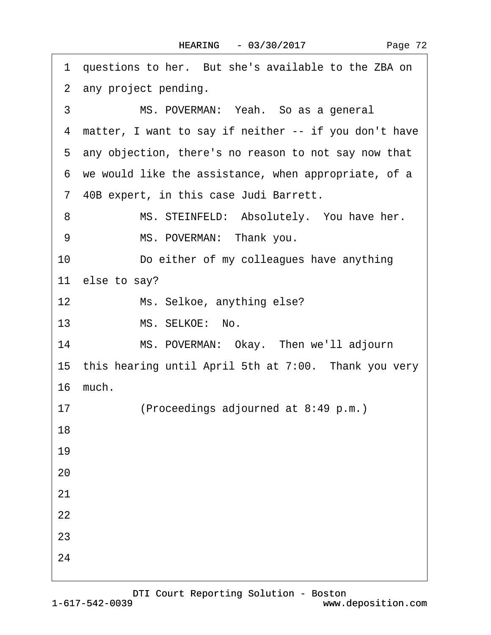| 1 questions to her. But she's available to the ZBA on   |
|---------------------------------------------------------|
| 2 any project pending.                                  |
| 3<br>MS. POVERMAN: Yeah. So as a general                |
| 4 matter, I want to say if neither -- if you don't have |
| 5 any objection, there's no reason to not say now that  |
| 6 we would like the assistance, when appropriate, of a  |
| 7 40B expert, in this case Judi Barrett.                |
| MS. STEINFELD: Absolutely. You have her.<br>8           |
| MS. POVERMAN: Thank you.<br>9                           |
| Do either of my colleagues have anything<br>10          |
| 11 else to say?                                         |
| 12<br>Ms. Selkoe, anything else?                        |
| MS. SELKOE: No.<br>13                                   |
| 14<br>MS. POVERMAN: Okay. Then we'll adjourn            |
| 15 this hearing until April 5th at 7:00. Thank you very |
| 16 much.                                                |
| (Proceedings adjourned at 8:49 p.m.)<br>17              |
| 18                                                      |
| 19                                                      |
| 20                                                      |
| 21                                                      |
| 22                                                      |
| 23                                                      |
| 24                                                      |
|                                                         |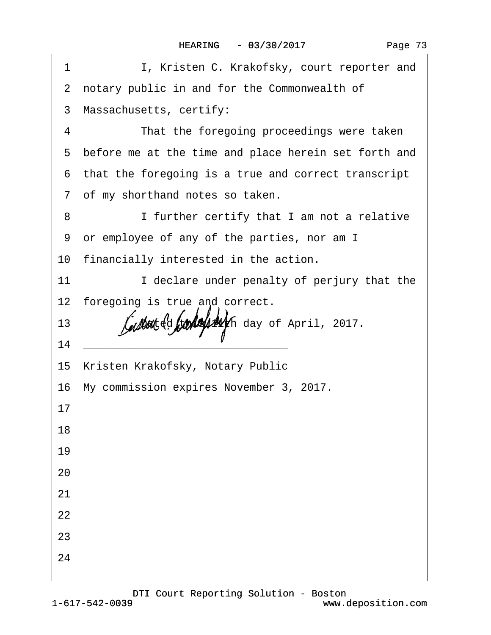|  | Page 73 |
|--|---------|
|  |         |

| 1  | I, Kristen C. Krakofsky, court reporter and            |
|----|--------------------------------------------------------|
|    | 2 notary public in and for the Commonwealth of         |
|    | 3 Massachusetts, certify:                              |
| 4  | That the foregoing proceedings were taken              |
|    | 5 before me at the time and place herein set forth and |
|    | 6 that the foregoing is a true and correct transcript  |
|    | 7 of my shorthand notes so taken.                      |
| 8  | I further certify that I am not a relative             |
|    | 9 or employee of any of the parties, nor am I          |
|    | 10 financially interested in the action.               |
| 11 | I declare under penalty of perjury that the            |
|    | 12 foregoing is true and correct.                      |
| 13 | Dated this 11th day of April, 2017.                    |
| 14 |                                                        |
|    | 15 Kristen Krakofsky, Notary Public                    |
|    | 16 My commission expires November 3, 2017.             |
| 17 |                                                        |
| 18 |                                                        |
| 19 |                                                        |
| 20 |                                                        |
| 21 |                                                        |
| 22 |                                                        |
| 23 |                                                        |
| 24 |                                                        |
|    |                                                        |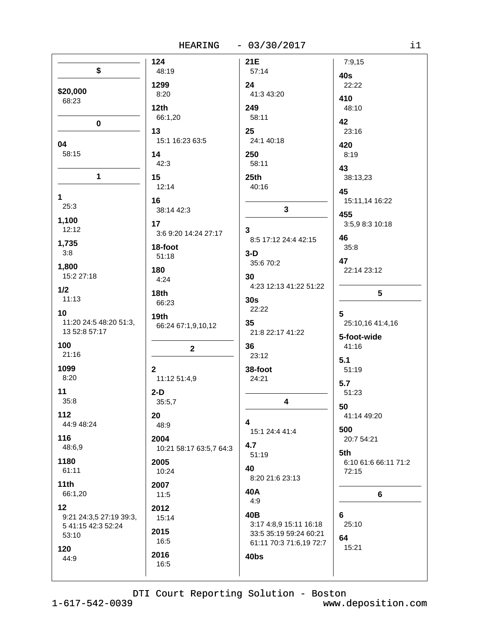HEARING  $-03/30/2017$ 

|                         | 124                     | 21E                     | 7:9,15               |
|-------------------------|-------------------------|-------------------------|----------------------|
| \$                      | 48:19                   | 57:14                   | 40s                  |
|                         | 1299                    | 24                      | 22:22                |
| \$20,000                | 8:20                    | 41:3 43:20              | 410                  |
| 68:23                   | 12 <sub>th</sub>        | 249                     | 48:10                |
|                         | 66:1,20                 | 58:11                   | 42                   |
| $\pmb{0}$               | 13                      | 25                      | 23:16                |
|                         | 15:1 16:23 63:5         | 24:1 40:18              |                      |
| 04<br>58:15             |                         |                         | 420                  |
|                         | 14<br>42:3              | 250<br>58:11            | 8:19                 |
|                         |                         |                         | 43                   |
| $\mathbf 1$             | 15                      | 25th                    | 38:13,23             |
|                         | 12:14                   | 40:16                   | 45                   |
| $\mathbf 1$<br>25:3     | 16                      |                         | 15:11,14 16:22       |
|                         | 38:14 42:3              | $\mathbf{3}$            | 455                  |
| 1,100                   | 17                      |                         | 3:5,9 8:3 10:18      |
| 12:12                   | 3:6 9:20 14:24 27:17    | 3                       | 46                   |
| 1,735                   | 18-foot                 | 8:5 17:12 24:4 42:15    | 35:8                 |
| 3:8                     | 51:18                   | $3-D$                   | 47                   |
| 1,800                   | 180                     | 35:6 70:2               | 22:14 23:12          |
| 15:2 27:18              | 4:24                    | 30                      |                      |
| 1/2                     | 18th                    | 4:23 12:13 41:22 51:22  | 5                    |
| 11:13                   | 66:23                   | 30s                     |                      |
| 10                      |                         | 22:22                   | 5                    |
| 11:20 24:5 48:20 51:3,  | 19th                    | 35                      | 25:10,16 41:4,16     |
| 13 52:8 57:17           | 66:24 67:1,9,10,12      | 21:8 22:17 41:22        |                      |
| 100                     |                         | 36                      | 5-foot-wide<br>41:16 |
| 21:16                   | $\mathbf 2$             | 23:12                   |                      |
| 1099                    | $\mathbf{2}$            |                         | 5.1                  |
| 8:20                    | 11:12 51:4,9            | 38-foot<br>24:21        | 51:19                |
|                         |                         |                         | 5.7                  |
| 11<br>35:8              | $2-D$                   | 4                       | 51:23                |
|                         | 35:5,7                  |                         | 50                   |
| $112$                   | 20 <sub>2</sub>         | 4                       | 41:14 49:20          |
| 44:9 48:24              | 48:9                    | 15:1 24:4 41:4          | 500                  |
| 116                     | 2004                    |                         | 20:7 54:21           |
| 48:6,9                  | 10:21 58:17 63:5,7 64:3 | 4.7<br>51:19            | 5th                  |
| 1180                    | 2005                    |                         | 6:10 61:6 66:11 71:2 |
| 61:11                   | 10:24                   | 40                      | 72:15                |
| 11th                    | 2007                    | 8:20 21:6 23:13         |                      |
| 66:1,20                 | 11:5                    | 40A                     | 6                    |
| 12                      | 2012                    | 4:9                     |                      |
| 9:21 24:3,5 27:19 39:3, | 15:14                   | 40B                     | 6                    |
| 5 41:15 42:3 52:24      |                         | 3:17 4:8,9 15:11 16:18  | 25:10                |
| 53:10                   | 2015<br>16:5            | 33:5 35:19 59:24 60:21  | 64                   |
| 120                     |                         | 61:11 70:3 71:6,19 72:7 | 15:21                |
| 44:9                    | 2016                    | 40bs                    |                      |
|                         | 16:5                    |                         |                      |

DTI Court Reporting Solution - Boston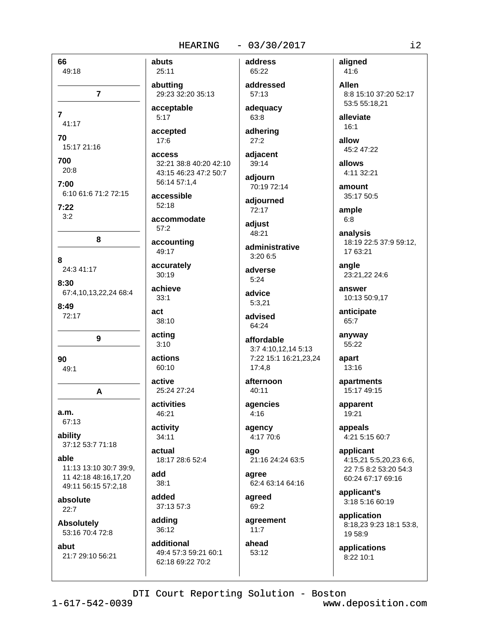66 abuts 49:18  $\overline{7}$  $\overline{7}$ 41:17 70 15:17 21:16 700  $20.8$  $7:00$ 6:10 61:6 71:2 72:15  $7:22$  $3.2$ 8 8 24:3 41:17 8:30 67:4,10,13,22,24 68:4  $8:49$ act  $72:17$ 9 90  $49.1$ A  $a.m.$ 67:13 ability 37:12 53:7 71:18 able 11:13 13:10 30:7 39:9, add 11 42:18 48:16,17,20 49:11 56:15 57:2,18 absolute  $22:7$ **Absolutely** 53:16 70:4 72:8 abut 21:7 29:10 56:21

 $1 - 617 - 542 - 0039$ 

address 25:11 addressed abutting 29:23 32:20 35:13 acceptable  $5:17$ accepted  $17:6$ access 32:21 38:8 40:20 42:10 43:15 46:23 47:2 50:7 56:14 57:1.4 accessible  $52:18$ accommodate  $57:2$ accounting 49:17 accurately  $30:19$ achieve  $33:1$ 38:10 acting  $3:10$ actions  $60:10$ active 25:24 27:24 activities 46:21 activity  $34:11$ actual 18:17 28:6 52:4  $38:1$ added 37:13 57:3 adding 36:12 additional

adequacy 63:8 adhering  $27:2$ adjacent

65:22

57:13

39:14 adiourn 70:19 72:14

adjourned 72:17

adjust 48:21

administrative 3:20 6:5

adverse  $5:24$ 

advice  $5:3,21$ 

advised 64:24

```
affordable
 3:7 4:10,12,14 5:13
 7:22 15:1 16:21,23,24
 17:4.8
```
afternoon  $40:11$ 

agencies  $4:16$ 

agency 4:17 70:6

ago 21:16 24:24 63:5

aaree 62:4 63:14 64:16

agreed 69:2

agreement  $11:7$ ahead

53:12

aligned 41:6

**Allen** 8:8 15:10 37:20 52:17 53:5 55:18.21

alleviate  $16:1$ 

allow 45:2 47:22

allows 4:11 32:21

amount 35:17 50:5

ample  $6:8$ 

analysis 18:19 22:5 37:9 59:12, 17 63:21

angle 23:21,22 24:6

answer 10:13 50:9,17

anticipate 65:7

anyway 55:22 apart

> $13:16$ apartments

15:17 49:15

apparent 19:21

appeals 4:21 5:15 60:7

applicant 4:15,21 5:5,20,23 6:6, 22 7:5 8:2 53:20 54:3 60:24 67:17 69:16

applicant's 3:18 5:16 60:19

application 8:18,23 9:23 18:1 53:8, 19 58:9

applications 8:22 10:1

49:4 57:3 59:21 60:1 62:18 69:22 70:2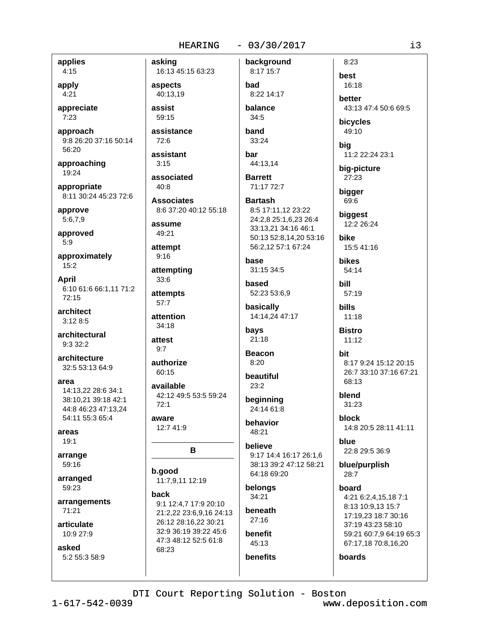applies  $4:15$ 

apply  $4:21$ 

appreciate  $7:23$ 

approach 9:8 26:20 37:16 50:14 56:20

approaching 19:24

appropriate 8:11 30:24 45:23 72:6

approve  $5:6,7,9$ 

approved  $5:9$ 

approximately  $15:2$ 

**April** 6:10 61:6 66:1,11 71:2 72:15

architect  $3:128:5$ 

architectural  $9:332:2$ 

architecture 32:5 53:13 64:9

area

14:13,22 28:6 34:1 38:10.21 39:18 42:1 44:8 46:23 47:13.24 54:11 55:3 65:4

areas  $19:1$ 

arrange 59:16

arranged 59:23

arrangements 71:21

articulate 10:9 27:9

asked 5:2 55:3 58:9 asking background 16:13 45:15 63:23 8:17 15:7 aspects bad 40:13.19 assist balance 59:15 34:5 assistance band  $72:6$  $33:24$ assistant bar  $3.15$ associated 40:8 71:17 72:7 **Associates** 8:6 37:20 40:12 55:18 assume 49:21 attempt  $9:16$ base 31:15 34:5 attempting  $33:6$ based attempts 57:7 attention  $34:18$ bays  $21:18$ attest  $9:7$ authorize  $8:20$  $60:15$  $23:2$ available 42:12 49:5 53:5 59:24  $72:1$ aware 12:7 41:9 48:21 B b.good 11:7,9,11 12:19 back 34:21 9:1 12:4,7 17:9 20:10 beneath 21:2,22 23:6,9,16 24:13  $27:16$ 26:12 28:16,22 30:21

benefit 45:13 benefits

8:22 14:17

44:13,14 **Barrett** 

**Bartash** 8:5 17:11,12 23:22 24:2,8 25:1,6,23 26:4

33:13,21 34:16 46:1 50:13 52:8,14,20 53:16 56:2,12 57:1 67:24

52:23 53:6,9

basically 14:14,24 47:17

**Beacon** 

beautiful

beginning 24:14 61:8

behavior

believe 9:17 14:4 16:17 26:1,6 38:13 39:2 47:12 58:21 64:18 69:20

belongs

better 43:13 47:4 50:6 69:5 bicycles 49:10 11:2 22:24 23:1 big-picture 27:23 bigger 69:6

biggest 12:2 26:24 **bike** 

 $8:23$ 

16:18

best

big

15:5 41:16

**bikes** 54:14 bill

 $57:19$ 

**bills** 11:18

**Bistro**  $11:12$ 

hit 8:17 9:24 15:12 20:15 26:7 33:10 37:16 67:21 68:13

blend 31:23

**block** 14:8 20:5 28:11 41:11

hlue 22:8 29:5 36:9

blue/purplish  $28:7$ 

hoard 4:21 6:2,4,15,18 7:1 8:13 10:9,13 15:7 17:19,23 18:7 30:16 37:19 43:23 58:10 59:21 60:7,9 64:19 65:3 67:17,18 70:8,16,20

boards

DTI Court Reporting Solution - Boston

32:9 36:19 39:22 45:6

47:3 48:12 52:5 61:8

68:23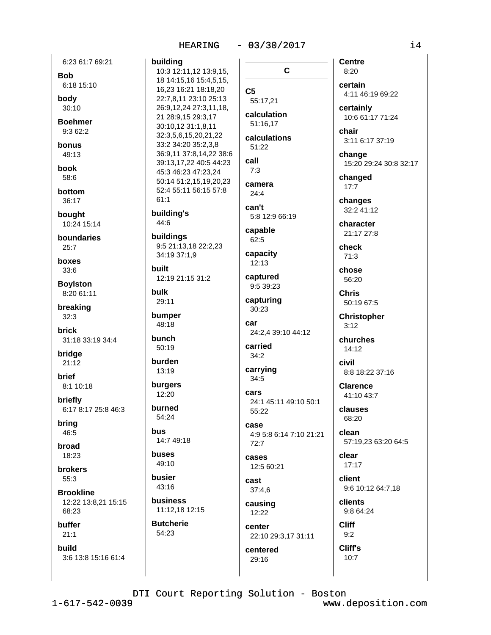| 6:23 61:7 69:21               | buildir          |
|-------------------------------|------------------|
| <b>Bob</b>                    | 10:31<br>18 14:  |
| 6:18 15:10                    | 16,23            |
| body<br>30:10                 | 22:7,8<br>26:9,1 |
| <b>Boehmer</b>                | 21 28:           |
| 9:3 62:2                      | 30:10            |
| bonus                         | 32:3,5<br>33:23  |
| 49:13                         | 36:9,1           |
| book                          | 39:13            |
| 58:6                          | 45:34<br>50:14   |
| bottom                        | 52:45            |
| 36:17                         | 61:1             |
| bought                        | buildir          |
| 10:24 15:14                   | 44:6             |
| boundaries                    | buildir          |
| 25:7                          | 9:5 21<br>34:19  |
| boxes<br>33:6                 | built            |
|                               | 12:19            |
| <b>Boylston</b><br>8:20 61:11 | bulk             |
| breaking                      | 29:11            |
| 32:3                          | bumpe            |
| brick                         | 48:18            |
| 31:18 33:19 34:4              | bunch            |
| bridge                        | 50:19            |
| 21:12                         | burdei           |
| brief                         | 13:19            |
| 8:1 10:18                     | burger<br>12:20  |
| briefly                       |                  |
| 6:17 8:17 25:8 46:3           | burne<br>54:24   |
| bring<br>46:5                 | bus              |
|                               | 14:74            |
| broad<br>18:23                | buses            |
| <b>brokers</b>                | 49:10            |
| 55:3                          | busier           |
| <b>Brookline</b>              | 43:16            |
| 12:22 13:8,21 15:15           | busine           |
| 68:23                         | 11:12            |
| buffer                        | <b>Butch</b>     |
| 21:1                          | 54:23            |
| build<br>3:6 13:8 15:16 61:4  |                  |
|                               |                  |
|                               |                  |

ilding  $\mathbf C$ 0:3 12:11,12 13:9,15, 8 14:15,16 15:4,5,15, 6,23 16:21 18:18,20  $C<sub>5</sub>$ 2:7,8,11 23:10 25:13 55:17,21 6:9,12,24 27:3,11,18, calculation 1 28:9,15 29:3,17 51:16.17 0:10,12 31:1,8,11 2:3,5,6,15,20,21,22 calculations 3:2 34:20 35:2,3,8 51:22 6:9,11 37:8,14,22 38:6 call 9:13,17,22 40:5 44:23  $7:3$ 5:3 46:23 47:23,24 0:14 51:2,15,19,20,23 camera 2:4 55:11 56:15 57:8  $24:4$ can't ilding's capable ildings 62:5 :5 21:13,18 22:2,23 capacity 4:19 37:1,9 12:13 captured 2:19 21:15 31:2 9:5 39:23 capturing 30:23 mper car nch carried  $34:2$ rden carrying 34:5 rgers cars rned 55:22 case 4:7 49:18  $72:7$ cases 12:5 60:21 sier cast  $37:4,6$ siness causing 1:12,18 12:15 12:22 center centered

5:8 12:9 66:19 24:2.4 39:10 44:12

4:9 5:8 6:14 7:10 21:21

29:16

DTI Court Reporting Solution - Boston

22:10 29:3,17 31:11

**Centre**  $8:20$ certain 4:11 46:19 69:22 certainly 10:6 61:17 71:24 chair

3:11 6:17 37:19

change 15:20 29:24 30:8 32:17

changed  $17:7$ 

changes 32:2 41:12

character 21:17 27:8

check  $71:3$ 

chose 56:20

**Chris** 50:19 67:5

**Christopher**  $3:12$ 

churches 14:12

civil 8:8 18:22 37:16

**Clarence** 41:10 43:7

clauses 68:20

clean 57:19,23 63:20 64:5

clear  $17:17$ 

client 9:6 10:12 64:7,18

clients 9:8 64:24

**Cliff**  $9:2$ Cliff's

 $10:7$ 

24:1 45:11 49:10 50:1

tcherie  $4:23$ 

 $14$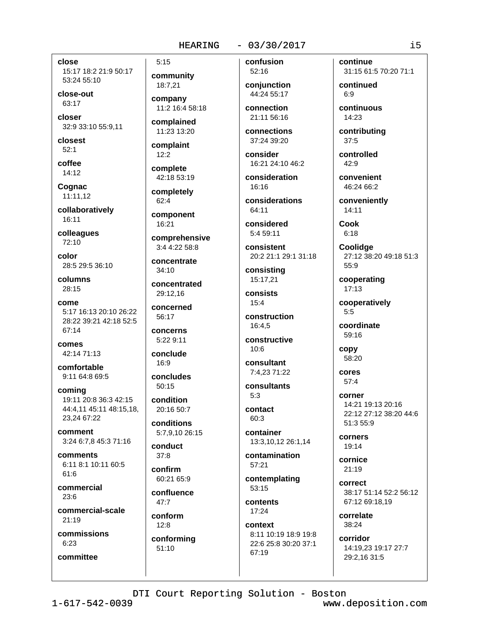close

15:17 18:2 21:9 50:17 53:24 55:10

close-out 63:17

closer 32:9 33:10 55:9,11

closest  $52:1$ 

coffee  $14:12$ 

Cognac 11:11,12

collaboratively 16:11

colleagues  $72:10$ 

color 28:5 29:5 36:10

columns  $28:15$ 

come 5:17 16:13 20:10 26:22 28:22 39:21 42:18 52:5 67:14

comes 42:14 71:13

comfortable 9:11 64:8 69:5

coming 19:11 20:8 36:3 42:15 44:4.11 45:11 48:15.18. 23,24 67:22

comment 3:24 6:7,8 45:3 71:16

comments 6:11 8:1 10:11 60:5 61:6

commercial  $23:6$ 

commercial-scale  $21:19$ 

commissions  $6:23$ 

committee

# $5:15$ community

18:7,21 company 11:2 16:4 58:18

complained 11:23 13:20

complaint  $12:2$ 

complete 42:18 53:19

completely  $62:4$ 

component 16:21

comprehensive 3:4 4:22 58:8

concentrate  $34:10$ 

concentrated

concerned  $56.17$ 

29:12,16

concerns 5:22 9:11

conclude  $16.9$ 

concludes  $50:15$ 

condition 20:16 50:7

conditions 5:7,9,10 26:15 conduct

 $37:8$ 

confirm 60:21 65:9

confluence  $47.7$ 

conform  $12:8$ conforming

 $51:10$ 

confusion 52:16

conjunction 44:24 55:17

connection 21:11 56:16

connections 37:24 39:20

consider 16:21 24:10 46:2

consideration 16:16

considerations 64:11

considered 5:4 59:11

consistent 20:2 21:1 29:1 31:18

consisting 15:17.21

consists  $15:4$ 

construction 16:4.5

constructive  $10:6$ 

consultant 7:4,23 71:22

consultants  $5:3$ 

contact  $60.3$ 

container 13:3,10,12 26:1,14

contamination 57:21

contemplating 53:15

contents 17:24

context 8:11 10:19 18:9 19:8 22:6 25:8 30:20 37:1 67:19

continue 31:15 61:5 70:20 71:1

continued  $6:9$ 

continuous 14:23

contributing  $37:5$ 

controlled  $42:9$ 

convenient 46:24 66:2

conveniently 14:11

**Cook**  $6:18$ 

**Coolidge** 27:12 38:20 49:18 51:3 55:9

cooperating  $17:13$ 

cooperatively  $5:5$ 

coordinate 59:16

copy 58:20

cores  $57:4$ 

corner 14:21 19:13 20:16 22:12 27:12 38:20 44:6 51:3 55:9

corners 19:14

cornice  $21:19$ 

correct 38:17 51:14 52:2 56:12 67:12 69:18.19

correlate 38:24

corridor 14:19.23 19:17 27:7 29:2.16 31:5

DTI Court Reporting Solution - Boston

 $1 - 617 - 542 - 0039$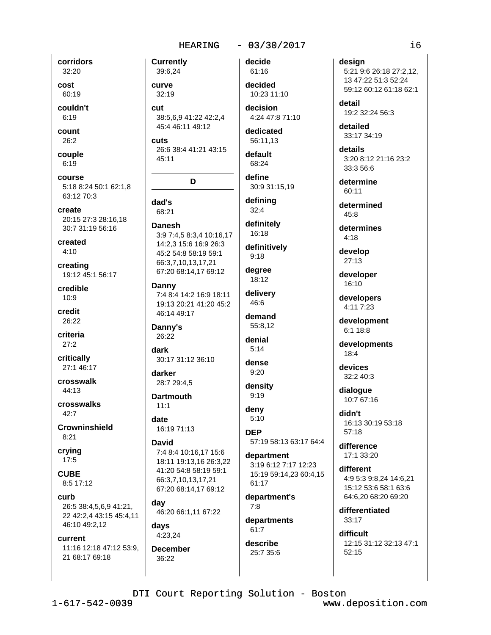corridors 32:20

cost 60:19

couldn't  $6:19$ 

count 26:2

couple  $6:19$ 

course 5:18 8:24 50:1 62:1.8 63:12 70:3

create 20:15 27:3 28:16,18 30:7 31:19 56:16

created  $4:10$ 

creating 19:12 45:1 56:17

credible  $10:9$ 

credit 26:22

criteria  $27:2$ 

critically 27:1 46:17

crosswalk 44:13

crosswalks  $42.7$ 

**Crowninshield**  $8:21$ 

crying  $17:5$ 

**CUBE** 8:5 17:12

curb 26:5 38:4,5,6,9 41:21, 22 42:2,4 43:15 45:4,11 46:10 49:2,12

### current

11:16 12:18 47:12 53:9, 21 68:17 69:18

**Currently** 39:6,24 curve

 $32:19$ 

cut 38:5,6,9 41:22 42:2,4 45:4 46:11 49:12

**cuts** 26:6 38:4 41:21 43:15 45:11

### D

dad's 68:21

**Danesh** 3:9 7:4,5 8:3,4 10:16,17 14:2.3 15:6 16:9 26:3 45:2 54:8 58:19 59:1 66:3.7.10.13.17.21 67:20 68:14,17 69:12

Danny 7:4 8:4 14:2 16:9 18:11 19:13 20:21 41:20 45:2 46:14 49:17

Danny's 26:22

dark 30:17 31:12 36:10

darker 28:7 29:4.5

**Dartmouth**  $11.1$ 

date 16:19 71:13

### **David** 7:4 8:4 10:16,17 15:6

18:11 19:13,16 26:3,22 41:20 54:8 58:19 59:1 66:3,7,10,13,17,21 67:20 68:14,17 69:12

day 46:20 66:1,11 67:22

days 4:23,24

**December** 36:22

### decide 61:16

decided 10:23 11:10

decision 4:24 47:8 71:10

dedicated 56:11.13

default 68:24

define

30:9 31:15.19 defining

 $32:4$ definitely 16:18

definitively  $9:18$ 

degree 18:12

delivery 46:6

demand 55:8.12

denial  $5:14$ 

dense  $9:20$ 

density  $9:19$ 

deny  $5:10$ 

**DEP** 57:19 58:13 63:17 64:4

department 3:19 6:12 7:17 12:23 15:19 59:14.23 60:4.15 61:17

department's  $7:8$ 

departments  $61:7$ 

describe 25:7 35:6

# design

5:21 9:6 26:18 27:2,12, 13 47:22 51:3 52:24 59:12 60:12 61:18 62:1

detail 19:2 32:24 56:3

detailed 33:17 34:19

details 3:20 8:12 21:16 23:2 33:3 56:6

determine 60:11

determined  $45:8$ 

determines  $4:18$ 

develop 27:13

developer 16:10

developers 4:11 7:23

development 6:1 18:8

developments  $18:4$ 

devices 32:2 40:3

dialogue 10:7 67:16

didn't 16:13 30:19 53:18  $57:18$ 

difference 17:1 33:20

different 4:9 5:3 9:8.24 14:6.21 15:12 53:6 58:1 63:6 64:6,20 68:20 69:20

differentiated 33:17

difficult 12:15 31:12 32:13 47:1  $52:15$ 

 $1 - 617 - 542 - 0039$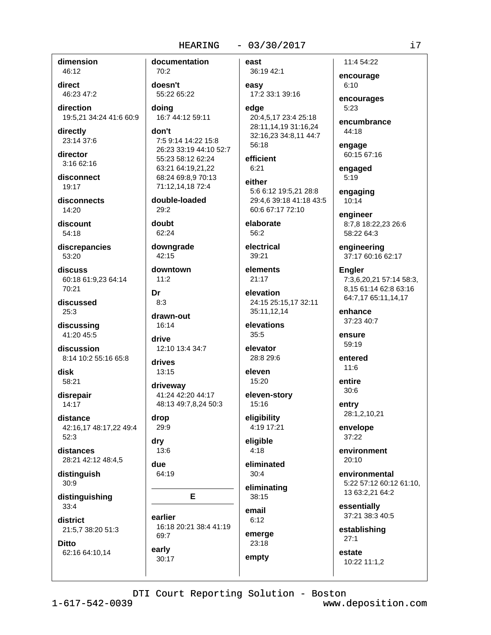dimension 46:12

direct 46:23 47:2

direction 19:5,21 34:24 41:6 60:9

directly 23:14 37:6

director 3:16 62:16

disconnect 19:17

disconnects  $14:20$ 

discount 54:18

discrepancies 53:20

discuss 60:18 61:9.23 64:14 70:21

discussed  $25:3$ 

discussing 41:20 45:5

discussion 8:14 10:2 55:16 65:8

disk 58:21

disrepair 14:17

distance 42:16,17 48:17,22 49:4  $52:3$ 

distances 28:21 42:12 48:4,5

distinguish  $30:9$ 

distinguishing  $33:4$ 

district 21:5,7 38:20 51:3

**Ditto** 62:16 64:10,14 documentation  $70.2$ doesn't 55:22 65:22 doina 16:7 44:12 59:11 don't 7:5 9:14 14:22 15:8 26:23 33:19 44:10 52:7 55:23 58:12 62:24 63:21 64:19,21,22 68:24 69:8,9 70:13 71:12,14,18 72:4

double-loaded  $29:2$ 

doubt 62:24

downgrade 42:15

downtown  $11:2$ 

Dr  $8:3$ 

drawn-out 16:14

drive 12:10 13:4 34:7

drives 13:15

drivewav 41:24 42:20 44:17 48:13 49:7,8,24 50:3

drop 29:9

dry 13:6

due 64:19

30:17

E

earlier 16:18 20:21 38:4 41:19 69:7 early

east 36:19 42:1

easy 17:2 33:1 39:16 edae 20:4,5,17 23:4 25:18

28:11,14,19 31:16,24 32:16,23 34:8,11 44:7  $56.18$ 

efficient  $6:21$ either

5:6 6:12 19:5.21 28:8 29:4,6 39:18 41:18 43:5 60:6 67:17 72:10

elaborate  $56:2$ 

electrical 39:21

elements 21:17

elevation 24:15 25:15,17 32:11 35:11.12.14

elevations  $35:5$ 

elevator 28:8 29:6

eleven 15:20

eleven-story 15:16

eligibility 4:19 17:21

eligible  $4:18$ 

eliminated  $30:4$ 

eliminating 38:15

email  $6:12$ 

emerge 23:18

empty

11:4 54:22 encourage

 $6:10$ encourages

 $5:23$ 

encumbrance 44:18

engage 60:15 67:16

engaged  $5:19$ 

engaging  $10:14$ 

engineer 8:7,8 18:22,23 26:6 58:22 64:3

engineering 37:17 60:16 62:17

**Engler** 7:3.6.20.21 57:14 58:3. 8,15 61:14 62:8 63:16 64:7,17 65:11,14,17

enhance 37:23 40:7

ensure 59:19

entered  $11.6$ 

entire  $30:6$ 

entry 28:1,2,10,21

envelope  $37:22$ 

environment  $20:10$ 

environmental 5:22 57:12 60:12 61:10. 13 63:2,21 64:2

essentially 37:21 38:3 40:5

establishing  $27:1$ 

estate 10:22 11:1,2

DTI Court Reporting Solution - Boston

 $1 - 617 - 542 - 0039$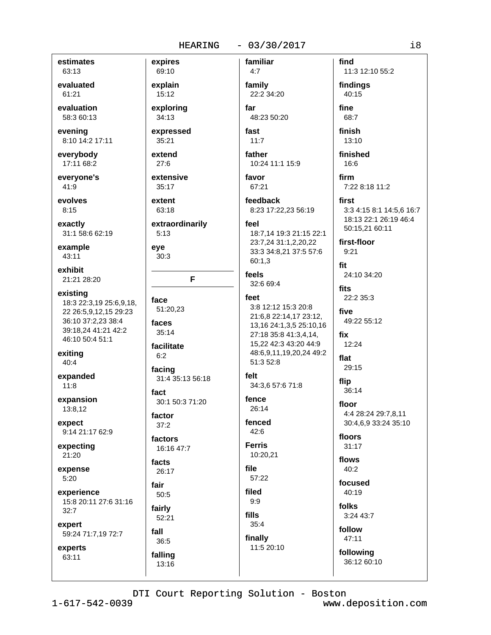estimates 63:13

evaluated 61:21

evaluation 58:3 60:13

evening 8:10 14:2 17:11

everybody 17:11 68:2

evervone's 41:9

evolves  $8:15$ 

exactly 31:1 58:6 62:19

example 43:11

exhibit 21:21 28:20

existing 18:3 22:3,19 25:6,9,18, 22 26:5.9.12.15 29:23 36:10 37:2,23 38:4 39:18,24 41:21 42:2 46:10 50:4 51:1

exiting  $40:4$ 

expanded  $11:8$ 

expansion 13:8.12

expect 9:14 21:17 62:9

expecting 21:20

expense  $5:20$ 

experience 15:8 20:11 27:6 31:16  $32:7$ 

expert 59:24 71:7,19 72:7

experts 63:11

69:10 explain  $15:12$ 

expires

exploring  $34:13$ 

expressed 35:21

extend  $27:6$ 

extensive 35:17

extent 63:18

extraordinarily  $5:13$ 

eye  $30:3$ 

F

face 51:20,23 faces  $35:14$ 

facilitate  $6:2$ 

facing 31:4 35:13 56:18

fact 30:1 50:3 71:20

factor  $37:2$ 

factors 16:16 47:7

facts 26:17

fair 50:5

fairly

 $52:21$ 

falling

13:16

fall 36:5

22:2 34:20 far

> 48:23 50:20 fast

familiar

 $4:7$ 

family

 $11:7$ 

father 10:24 11:1 15:9

favor 67:21

feedback 8:23 17:22,23 56:19

feel

18:7.14 19:3 21:15 22:1 23:7,24 31:1,2,20,22 33:3 34:8,21 37:5 57:6  $60:1.3$ 

feels 32:6 69:4

### feet

3:8 12:12 15:3 20:8 21:6,8 22:14,17 23:12, 13, 16 24: 1, 3, 5 25: 10, 16 27:18 35:8 41:3.4.14. 15,22 42:3 43:20 44:9 48:6,9,11,19,20,24 49:2 51:3 52:8 felt 34:3.6 57:6 71:8 fence 26:14

fenced  $42:6$ 

**Ferris** 10:20,21

file 57:22

filed  $9:9$ 

fills  $35:4$ 

finally 11:5 20:10 find 11:3 12:10 55:2 findings

40:15 fine

68:7

finish  $13:10$ 

finished 16:6

firm 7:22 8:18 11:2

first 3:3 4:15 8:1 14:5,6 16:7 18:13 22:1 26:19 46:4 50:15,21 60:11

first-floor  $9:21$ 

fit 24:10 34:20

fits 22:2 35:3

five 49:22 55:12

fix 12:24 flat

> 29:15 flip

36:14

floor 4:4 28:24 29:7,8,11 30:4,6,9 33:24 35:10

floors  $31:17$ 

flows  $40:2$ 

focused  $40:19$ 

folks 3:24 43:7

follow 47:11

following

36:12 60:10

DTI Court Reporting Solution - Boston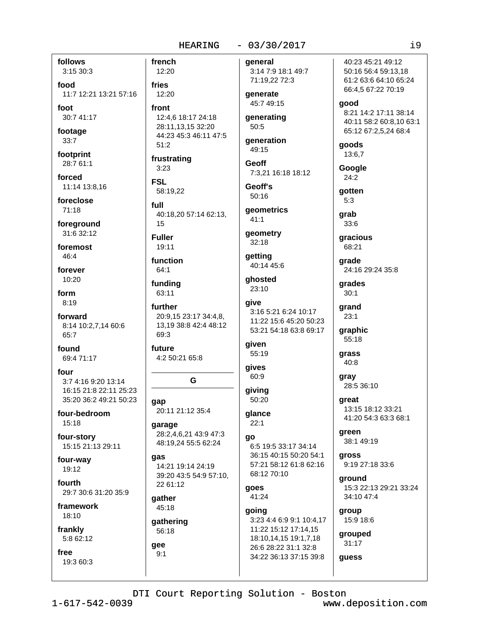follows 3:15 30:3

food 11:7 12:21 13:21 57:16

foot 30:7 41:17

footage

 $33:7$ 

footprint 28:7 61:1

forced 11:14 13:8,16

foreclose  $71:18$ 

foreground 31:6 32:12

foremost 46:4

forever 10:20

form  $8:19$ 

forward 8:14 10:2,7,14 60:6 65:7

found 69:4 71:17

four 3:7 4:16 9:20 13:14 16:15 21:8 22:11 25:23 35:20 36:2 49:21 50:23

four-bedroom 15:18

four-story 15:15 21:13 29:11

four-way 19:12

fourth 29:7 30:6 31:20 35:9

framework 18:10

frankly 5:8 62:12

free 19:3 60:3 french 12:20 fries 12:20 front 12:4,6 18:17 24:18 28:11,13,15 32:20  $50:5$ 44:23 45:3 46:11 47:5  $51:2$ frustrating **Geoff**  $3:23$ **FSL** Geoff's 58:19.22 full geometrics 40:18,20 57:14 62:13,  $41:1$ 15 **Fuller** 19:11 function 64:1 funding 63:11 give further 3:16 5:21 6:24 10:17 20:9,15 23:17 34:4,8, 13,19 38:8 42:4 48:12 69:3 given future 55:19 4:2 50:21 65:8 qives 60:9 G 50:20 gap 20:11 21:12 35:4 qlance  $22:1$ garage 28:2.4.6.21 43:9 47:3 go 48:19.24 55:5 62:24 qas 14:21 19:14 24:19 39:20 43:5 54:9 57:10, 22 61:12 goes gather 45:18

gathering 56:18

gee  $9:1$  general 3:14 7:9 18:1 49:7 71:19,22 72:3

generate 45:7 49:15

generating

generation 49:15

7:3,21 16:18 18:12

 $50:16$ 

geometry  $32:18$ 

getting 40:14 45:6

qhosted 23:10

```
11:22 15:6 45:20 50:23
53:21 54:18 63:8 69:17
```
giving

6:5 19:5 33:17 34:14 36:15 40:15 50:20 54:1 57:21 58:12 61:8 62:16 68:12 70:10

41:24

going 3:23 4:4 6:9 9:1 10:4,17 11:22 15:12 17:14,15 18:10,14,15 19:1,7,18 26:6 28:22 31:1 32:8 34:22 36:13 37:15 39:8

40:23 45:21 49:12 50:16 56:4 59:13,18 61:2 63:6 64:10 65:24 66:4,5 67:22 70:19 qood 8:21 14:2 17:11 38:14 40:11 58:2 60:8,10 63:1 65:12 67:2,5,24 68:4 qoods 13:6,7

Google  $24:2$ 

qotten  $5:3$ 

grab 33:6

gracious 68:21

grade 24:16 29:24 35:8

grades  $30:1$ 

grand  $23:1$ 

> graphic 55:18

grass 40:8

gray 28:5 36:10

areat 13:15 18:12 33:21 41:20 54:3 63:3 68:1

areen 38:1 49:19

**gross** 9:19 27:18 33:6

around 15:3 22:13 29:21 33:24 34:10 47:4

group 15:9 18:6

grouped 31:17 guess

DTI Court Reporting Solution - Boston

 $\frac{1}{9}$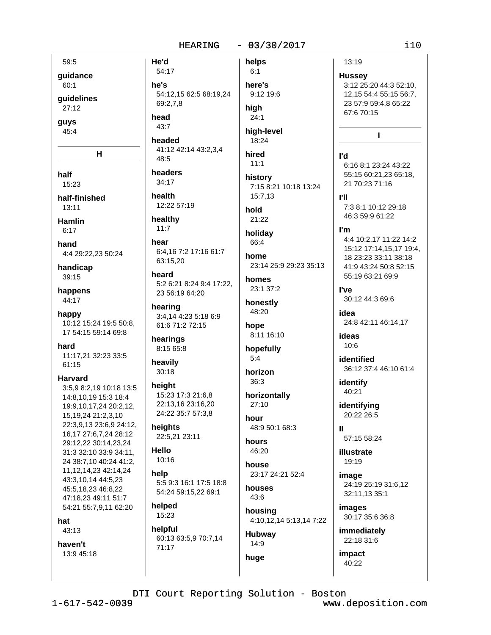helps

 $59:5$ guidance

60:1

guidelines  $27:12$ 

guys

 $45:4$ 

н

half 15:23

half-finished  $13:11$ 

**Hamlin** 

 $6:17$ 

hand 4:4 29:22,23 50:24

handicap 39:15

happens 44:17

happy 10:12 15:24 19:5 50:8. 17 54:15 59:14 69:8

hard 11:17,21 32:23 33:5  $61:15$ 

**Harvard** 

3:5,9 8:2,19 10:18 13:5 14:8,10,19 15:3 18:4 19:9,10,17,24 20:2,12, 15, 19, 24 21: 2, 3, 10 22:3,9,13 23:6,9 24:12, 16.17 27:6.7.24 28:12 29:12.22 30:14.23.24 31:3 32:10 33:9 34:11, 24 38:7,10 40:24 41:2, 11, 12, 14, 23 42: 14, 24 43:3,10,14 44:5,23 45:5,18,23 46:8,22 47:18,23 49:11 51:7 54:21 55:7,9,11 62:20

hat

43:13

haven't 13:9 45:18

54:17 he's 54:12.15 62:5 68:19.24 69:2,7,8

head 43:7

He'd

headed 41:12 42:14 43:2,3,4 48:5

headers 34:17

health 12:22 57:19

healthy  $11:7$ 

hear 6:4,16 7:2 17:16 61:7 63:15,20

heard 5:2 6:21 8:24 9:4 17:22. 23 56:19 64:20

hearing 3:4,14 4:23 5:18 6:9 61:6 71:2 72:15

hearings 8:15 65:8

heavily  $30:18$ 

height 15:23 17:3 21:6,8 22:13,16 23:16,20 24:22 35:7 57:3,8

heights 22:5.21 23:11

Hello 10:16

help 5:5 9:3 16:1 17:5 18:8 54:24 59:15,22 69:1

helped 15:23

helpful 60:13 63:5,9 70:7,14 71:17

 $6:1$ here's 9:12 19:6 high  $24:1$ 

high-level 18:24

hired

 $11:1$ history 7:15 8:21 10:18 13:24  $15:7.13$ 

hold 21:22

holidav 66:4

home 23:14 25:9 29:23 35:13

homes 23:1 37:2

honestly 48:20

hope 8:11 16:10

hopefully  $5:4$ 

horizon 36:3

horizontally  $27:10$ hour

48:9 50:1 68:3 hours

46:20 house

23:17 24:21 52:4 houses

 $43:6$ housing 4:10,12,14 5:13,14 7:22

Hubway 14:9

13:19

**Hussey** 3:12 25:20 44:3 52:10, 12,15 54:4 55:15 56:7, 23 57:9 59:4,8 65:22 67:6 70:15

п

**I'd** 6:16 8:1 23:24 43:22 55:15 60:21,23 65:18, 21 70:23 71:16

гu 7:3 8:1 10:12 29:18 46:3 59:9 61:22

I'm 4:4 10:2,17 11:22 14:2 15:12 17:14,15,17 19:4, 18 23:23 33:11 38:18 41:9 43:24 50:8 52:15 55:19 63:21 69:9

l've 30:12 44:3 69:6

idea 24:8 42:11 46:14,17

ideas  $10:6$ 

identified 36:12 37:4 46:10 61:4

identify 40:21

identifying 20:22 26:5

 $\mathbf{u}$ 57:15 58:24

illustrate 19:19

image 24:19 25:19 31:6,12 32:11,13 35:1

images 30:17 35:6 36:8

immediately 22:18 31:6

impact 40:22

DTI Court Reporting Solution - Boston

huge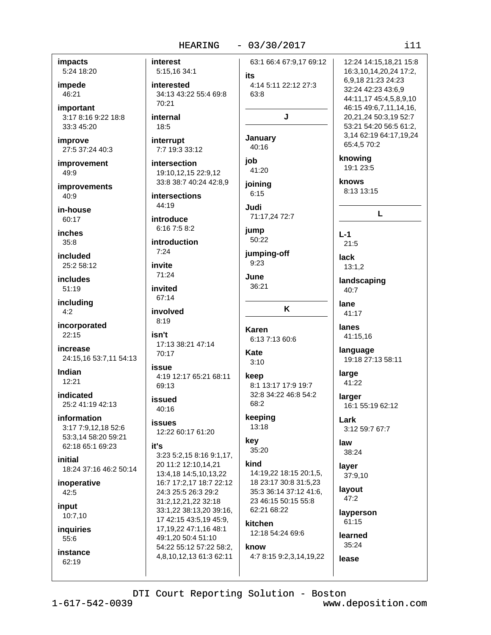### **HEARING**

### $-03/30/2017$

 $111$ 

12:24 14:15.18.21 15:8

16:3,10,14,20,24 17:2,

44:11,17 45:4,5,8,9,10

46:15 49:6,7,11,14,16,

20.21.24 50:3.19 52:7

53:21 54:20 56:5 61:2, 3,14 62:19 64:17,19,24

65:4,5 70:2

6,9,18 21:23 24:23

32:24 42:23 43:6,9

**impacts** 5:24 18:20

impede 46:21

important 3:17 8:16 9:22 18:8 33:3 45:20

improve 27:5 37:24 40:3

improvement 49:9

**improvements**  $40:9$ 

in-house  $60:17$ 

inches  $35.8$ 

included 25:2.58:12

*includes* 51:19

including  $4:2$ 

incorporated  $22:15$ 

increase 24:15,16 53:7,11 54:13

Indian  $12:21$ 

**indicated** 25:2 41:19 42:13

information 3:17 7:9,12,18 52:6 53:3,14 58:20 59:21 62:18 65:1 69:23

initial 18:24 37:16 46:2 50:14

inoperative 42:5

input 10:7,10

**inquiries** 55:6

instance  $62:19$ 

interest 5:15,16 34:1 interested 34:13 43:22 55:4 69:8 70:21

internal 18:5

interrupt 7:7 19:3 33:12

intersection 19:10,12,15 22:9,12 33:8 38:7 40:24 42:8.9

**intersections** 44:19

introduce 6:16 7:5 8:2

introduction  $7:24$ 

invite 71:24

invited 67:14 involved

 $8:19$ 

isn't 17:13 38:21 47:14 70:17

**AIIPS** 4:19 12:17 65:21 68:11 69:13

issued 40:16

**issues** 12:22 60:17 61:20

### it's

3:23 5:2,15 8:16 9:1,17, 20 11:2 12:10.14.21 13:4,18 14:5,10,13,22 16:7 17:2.17 18:7 22:12 24:3 25:5 26:3 29:2 31:2,12,21,22 32:18 33:1,22 38:13,20 39:16, 17 42:15 43:5,19 45:9, 17, 19, 22 47: 1, 16 48: 1 49:1.20 50:4 51:10 54:22 55:12 57:22 58:2, 4,8,10,12,13 61:3 62:11

63:1 66:4 67:9.17 69:12 ite 4:14 5:11 22:12 27:3  $63:8$ J January 40:16 iob  $41.20$ joining  $6:15$ Judi 71:17,24 72:7 **jump** 50:22 jumping-off  $9:23$ June 36:21 K **Karen** 6:13 7:13 60:6 Kate  $3:10$ keep 8:1 13:17 17:9 19:7 32:8 34:22 46:8 54:2 68:2 keeping 13:18 key 35:20

kind 14:19,22 18:15 20:1,5, 18 23:17 30:8 31:5,23 35:3 36:14 37:12 41:6, 23 46:15 50:15 55:8 62:21 68:22

kitchen 12:18 54:24 69:6 know 4:7 8:15 9:2,3,14,19,22

knowing 19:1 23:5 knows 8:13 13:15 L  $L-1$  $21:5$ **lack**  $13:1.2$ landscaping 40:7 lane 41:17 lanes 41:15,16

language 19:18 27:13 58:11

large 41:22

larger 16:1 55:19 62:12

Lark 3:12 59:7 67:7

law 38:24

layer 37:9,10

layout 47:2

layperson 61:15

learned

35:24 lease

DTI Court Reporting Solution - Boston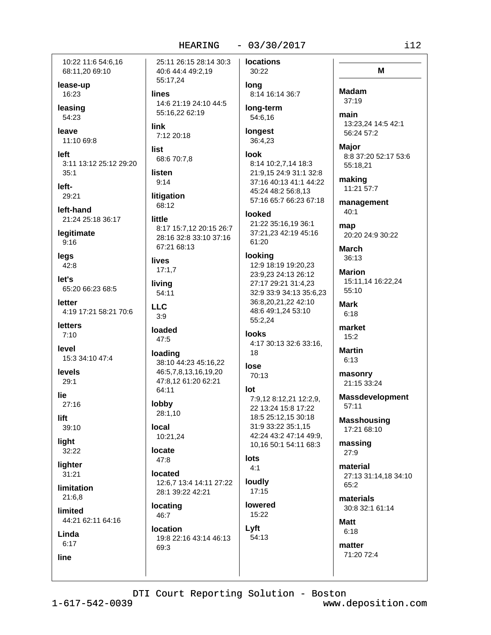10:22 11:6 54:6.16 68:11,20 69:10

lease-up 16:23

leasing 54:23

leave 11:10 69:8

left 3:11 13:12 25:12 29:20  $35:1$ 

left-29:21

left-hand 21:24 25:18 36:17

legitimate  $9:16$ 

legs  $42:8$ 

let's 65:20 66:23 68:5

letter 4:19 17:21 58:21 70:6

**letters**  $7:10$ 

level 15:3 34:10 47:4

levels  $29:1$ 

lie

 $27:16$ lift.

39:10

light

32:22 liahter

 $31:21$ 

**limitation**  $21:6.8$ 

limited

44:21 62:11 64:16 Linda

 $6:17$ 

line

25:11 26:15 28:14 30:3 40:6 44:4 49:2,19 55:17,24 **lines** 14:6 21:19 24:10 44:5 55:16,22 62:19 link 7:12 20:18 list 68:6 70:7,8 listen  $9:14$ litigation 68:12 little 8:17 15:7,12 20:15 26:7 28:16 32:8 33:10 37:16 67:21 68:13 **lives**  $17:1,7$ living 54:11

**LLC**  $3.9$ 

loaded 47:5

loading 38:10 44:23 45:16,22 46:5,7,8,13,16,19,20 47:8.12 61:20 62:21 64:11

lobby 28:1,10

local 10:21,24

### locate  $47:8$

located 12:6.7 13:4 14:11 27:22 28:1 39:22 42:21

locating 46:7

### location 19:8 22:16 43:14 46:13 69:3

**locations** 30:22

> long 8:14 16:14 36:7

long-term 54:6,16

longest 36:4,23

### **look** 8:14 10:2,7,14 18:3

21:9,15 24:9 31:1 32:8 37:16 40:13 41:1 44:22 45:24 48:2 56:8.13 57:16 65:7 66:23 67:18

### looked

21:22 35:16,19 36:1 37:21,23 42:19 45:16 61:20

### looking

12:9 18:19 19:20,23 23:9,23 24:13 26:12 27:17 29:21 31:4,23 32:9 33:9 34:13 35:6,23 36:8,20,21,22 42:10 48:6 49:1,24 53:10 55:2,24

### **looks** 4:17 30:13 32:6 33:16. 18

lose

# 70:13

lot 7:9,12 8:12,21 12:2,9, 22 13:24 15:8 17:22 18:5 25:12.15 30:18 31:9 33:22 35:1,15 42:24 43:2 47:14 49:9, 10.16 50:1 54:11 68:3

### lots  $4:1$

loudly  $17:15$ 

**lowered** 15:22

Lyft 54:13

M

**Madam**  $37:19$ 

main 13:23,24 14:5 42:1 56:24 57:2

**Maior** 8:8 37:20 52:17 53:6 55:18.21

making 11:21 57:7

management  $40:1$ 

map 20:20 24:9 30:22

**March** 36:13

**Marion** 15:11,14 16:22,24 55:10

**Mark**  $6:18$ 

market  $15:2$ 

**Martin**  $6:13$ 

masonry 21:15 33:24

**Massdevelopment** 57:11

**Masshousing** 17:21 68:10

massing 27:9

material 27:13 31:14,18 34:10 65:2

materials 30:8 32:1 61:14

**Matt**  $6:18$ 

matter 71:20 72:4

DTI Court Reporting Solution - Boston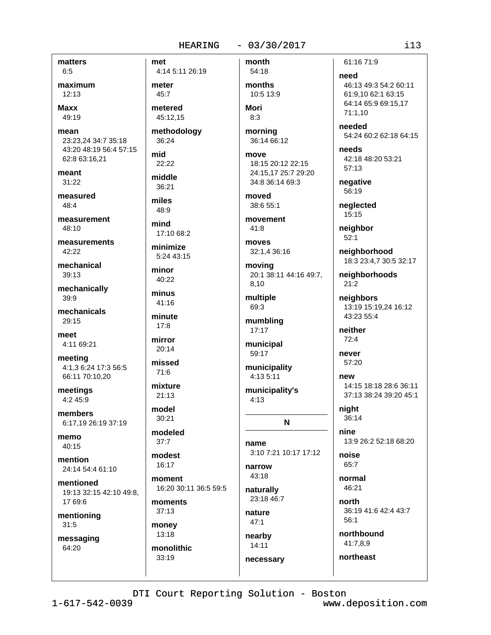### $-03/30/2017$

matters

 $6:5$ maximum

 $12:13$ 

**Maxx** 49:19

mean 23:23.24 34:7 35:18 43:20 48:19 56:4 57:15 62:8 63:16,21

meant 31:22

measured 48:4

measurement 48:10

measurements 42:22

mechanical  $30.13$ 

mechanically 39:9

mechanicals  $29.15$ 

meet 4:11 69:21

meeting 4:1,3 6:24 17:3 56:5 66:11 70:10,20

meetings 4:2 45:9

members 6:17,19 26:19 37:19

memo  $40:15$ 

mention 24:14 54:4 61:10

mentioned 19:13 32:15 42:10 49:8. 17 69:6

mentioning  $31:5$ 

messaging 64:20

**HEARING** met 4:14 5:11 26:19 meter  $45:7$ metered 45:12,15 methodology 36:24 mid  $22:22$ middle 36:21 miles 48:9 mind 17:10 68:2 minimize 5:24 43:15 minor 40:22 minus 41:16 minute  $17:8$ mirror  $20:14$ missed  $71:6$ mixture  $21:13$ model  $30:21$ modeled  $37:7$ modest

16:17 moment 16:20 30:11 36:5 59:5

moments 37:13

money  $13:18$ monolithic 33:19

month 54:18

months 10:5 13:9 Mori

 $8:3$ 

morning 36:14 66:12

move 18:15 20:12 22:15 24:15,17 25:7 29:20 34:8 36:14 69:3

moved 38:6 55:1

movement  $41:8$ 

moves 32:1,4 36:16

moving 20:1 38:11 44:16 49:7, 8,10

multiple 69:3

mumbling 17:17

municipal 59:17

municipality 4:13 5:11

municipality's  $4:13$ 

N

name 3:10 7:21 10:17 17:12

narrow 43:18

naturally 23:18 46:7

nature  $47:1$ 

nearby 14:11 necessary 61:16 71:9

need 46:13 49:3 54:2 60:11 61:9.10 62:1 63:15 64:14 65:9 69:15.17 71:1.10

needed 54:24 60:2 62:18 64:15

**Phagn** 42:18 48:20 53:21 57:13

negative 56:19

neglected 15:15

neighbor  $52:1$ 

neighborhood 18:3 23:4,7 30:5 32:17

neighborhoods  $21:2$ 

neighbors 13:19 15:19.24 16:12  $43.2355.4$ 

neither  $72:4$ 

never 57:20

new 14:15 18:18 28:6 36:11 37:13 38:24 39:20 45:1

night 36:14

nine 13:9 26:2 52:18 68:20

noise 65:7

normal  $46.21$ 

north 36:19 41:6 42:4 43:7  $56:1$ 

northbound 41:7,8,9

northeast

DTI Court Reporting Solution - Boston

 $1 - 617 - 542 - 0039$ 

www.deposition.com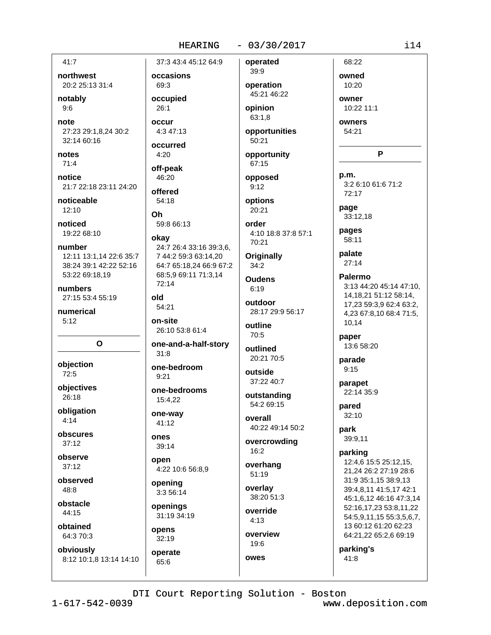### **HEARING**

### $-03/30/2017$

 $41:7$ 

northwest 20:2 25:13 31:4

notably  $9:6$ 

note 27:23 29:1.8.24 30:2 32:14 60:16

notes  $71:4$ 

notice

21:7 22:18 23:11 24:20

noticeable  $12:10$ 

noticed 19:22 68:10

number 12:11 13:1.14 22:6 35:7 38:24 39:1 42:22 52:16 53:22 69:18,19

numbers 27:15 53:4 55:19

numerical  $5:12$ 

 $\mathbf{o}$ 

objection 72:5

objectives 26:18

obligation  $4:14$ 

obscures  $37:12$ 

observe  $37.12$ 

observed 48:8

obstacle 44:15

obtained 64:3 70:3

obviously 8:12 10:1,8 13:14 14:10

37:3 43:4 45:12 64:9 occasions 69:3 occupied  $26:1$ occur 4:3 47:13 occurred  $4:20$ 

off-peak

46:20

offered

54:18

59:8 66:13

24:7 26:4 33:16 39:3.6.

64:7 65:18,24 66:9 67:2

7 44:2 59:3 63:14,20

68:5,9 69:11 71:3,14

0h.

okay

 $72:14$ 

54:21

on-site

 $31:8$ 

 $9:21$ 

15:4,22

one-way

41:12

39:14

opening

3:3 56:14

openings

opens

 $32:19$ 

operate

65:6

31:19 34:19

ones

open

26:10 53:8 61:4

one-bedroom

one-bedrooms

4:22 10:6 56:8,9

one-and-a-half-story

old

39:9 operation 45:21 46:22

operated

opinion 63:1,8

opportunities 50:21

opportunity 67:15 opposed

 $9:12$ options

20:21 order

4:10 18:8 37:8 57:1 70:21

**Originally**  $34:2$ 

**Oudens**  $6:19$ 

outdoor 28:17 29:9 56:17

outline  $70:5$ 

outlined 20:21 70:5

outside 37:22 40:7

outstanding 54:2 69:15

overall 40:22 49:14 50:2

overcrowding  $16:2$ 

overhang  $51:19$ 

overlay 38:20 51:3

override  $4:13$ 

overview 19:6

owes

owned 10:20 owner

68:22

10:22 11:1

owners 54:21

P

p.m. 3:2 6:10 61:6 71:2 72:17

page 33:12,18

pages 58:11

palate  $27:14$ 

Palermo 3:13 44:20 45:14 47:10. 14, 18, 21 51: 12 58: 14, 17,23 59:3,9 62:4 63:2, 4,23 67:8,10 68:4 71:5, 10,14

paper 13:6 58:20

parade  $9:15$ 

parapet 22:14 35:9

pared  $32:10$ 

park 39:9,11

### parking

12:4,6 15:5 25:12,15, 21,24 26:2 27:19 28:6 31:9 35:1,15 38:9,13 39:4,8,11 41:5,17 42:1 45:1,6,12 46:16 47:3,14 52:16,17,23 53:8,11,22 54:5,9,11,15 55:3,5,6,7, 13 60:12 61:20 62:23 64:21,22 65:2,6 69:19

parking's

41:8

DTI Court Reporting Solution - Boston

www.deposition.com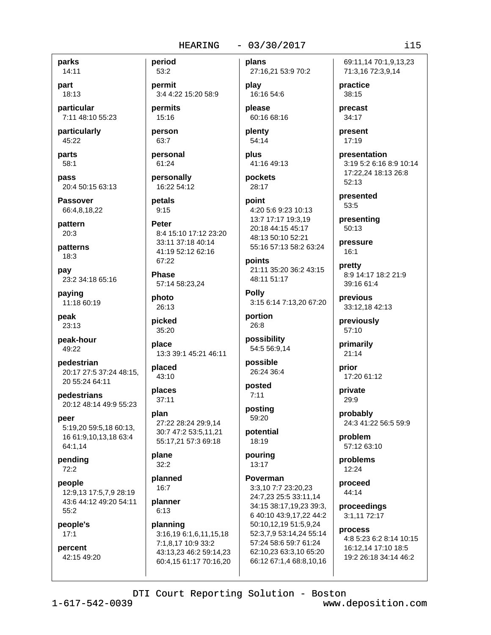parks

14:11 part 18:13

particular 7:11 48:10 55:23

particularly 45:22

parts 58:1

pass 20:4 50:15 63:13

**Passover** 66:4,8,18,22

pattern  $20:3$ 

patterns  $18:3$ 

pay 23:2 34:18 65:16

paying 11:18 60:19

peak  $23:13$ 

peak-hour 49:22

pedestrian 20:17 27:5 37:24 48:15. 20 55:24 64:11

pedestrians 20:12 48:14 49:9 55:23

peer 5:19,20 59:5,18 60:13, 16 61:9,10,13,18 63:4 64:1,14

pending  $72:2$ 

people 12:9,13 17:5,7,9 28:19 43:6 44:12 49:20 54:11  $55:2$ 

people's  $17:1$ 

percent 42:15 49:20

53:2 permit 3:4 4:22 15:20 58:9

permits 15:16

person  $63:7$ 

period

personal

61:24

personally 16:22 54:12

petals  $9:15$ 

**Peter** 8:4 15:10 17:12 23:20 33:11 37:18 40:14 41:19 52:12 62:16 67:22

**Phase** 57:14 58:23,24

photo 26:13

picked 35:20

place 13:3 39:1 45:21 46:11

placed 43:10

places  $37:11$ 

plan 27:22 28:24 29:9,14 30:7 47:2 53:5,11,21 55:17,21 57:3 69:18

plane  $32:2$ 

planned  $16.7$ 

planner  $6:13$ 

planning 3:16,19 6:1,6,11,15,18 7:1,8,17 10:9 33:2 43:13,23 46:2 59:14,23 60:4,15 61:17 70:16,20 plans 27:16,21 53:9 70:2

play 16:16 54:6 please

60:16 68:16

plenty 54:14

plus 41:16 49:13

pockets 28:17

point 4:20 5:6 9:23 10:13 13:7 17:17 19:3,19 20:18 44:15 45:17 48:13 50:10 52:21

points 21:11 35:20 36:2 43:15 48:11 51:17

55:16 57:13 58:2 63:24

**Polly** 3:15 6:14 7:13,20 67:20 portion

26:8

possibility 54:5 56:9,14

possible 26:24 36:4

posted  $7:11$ 

posting 59:20

potential 18:19

pouring 13:17

Poverman 3:3,10 7:7 23:20,23 24:7,23 25:5 33:11,14 34:15 38:17.19.23 39:3. 6 40:10 43:9,17,22 44:2 50:10,12,19 51:5,9,24 52:3,7,9 53:14,24 55:14 57:24 58:6 59:7 61:24 62:10,23 63:3,10 65:20 66:12 67:1,4 68:8,10,16 69:11.14 70:1.9.13.23 71:3,16 72:3,9,14

practice 38:15

precast 34:17

present 17:19

presentation 3:19 5:2 6:16 8:9 10:14 17:22,24 18:13 26:8 52:13

presented 53:5

presenting 50:13

pressure  $16:1$ 

pretty 8:9 14:17 18:2 21:9 39:16 61:4

previous 33:12.18 42:13

previously 57:10

primarily  $21:14$ 

prior 17:20 61:12

private 29:9

probably 24:3 41:22 56:5 59:9

problem 57:12 63:10

problems 12:24

proceed 44:14

proceedings 3:1,11 72:17

process 4:8 5:23 6:2 8:14 10:15 16:12,14 17:10 18:5 19:2 26:18 34:14 46:2

DTI Court Reporting Solution - Boston

www.deposition.com

 $115$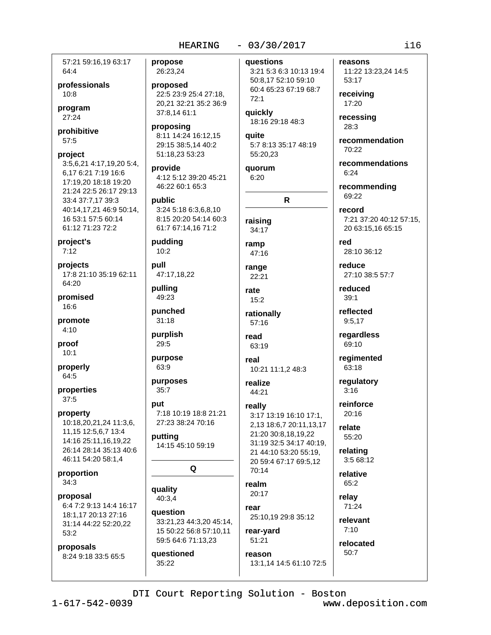57:21 59:16.19 63:17 64:4

professionals  $10:8$ 

program 27:24

prohibitive 57:5

### project

3:5,6,21 4:17,19,20 5:4, 6,17 6:21 7:19 16:6 17:19,20 18:18 19:20 21:24 22:5 26:17 29:13 33:4 37:7,17 39:3 40:14.17.21 46:9 50:14. 16 53:1 57:5 60:14 61:12 71:23 72:2

project's  $7:12$ 

projects 17:8 21:10 35:19 62:11 64:20

promised 16:6

promote  $4:10$ 

proof  $10:1$ 

properly 64:5

properties 37:5

property 10:18,20,21,24 11:3,6, 11,15 12:5,6,7 13:4 14:16 25:11.16.19.22 26:14 28:14 35:13 40:6 46:11 54:20 58:1,4

proportion  $34:3$ 

proposal 6:4 7:2 9:13 14:4 16:17 18:1.17 20:13 27:16 31:14 44:22 52:20,22 53:2

proposals 8:24 9:18 33:5 65:5 propose 26:23,24

proposed 22:5 23:9 25:4 27:18, 20.21 32:21 35:2 36:9 37:8,14 61:1

proposing 8:11 14:24 16:12.15 29:15 38:5,14 40:2 51:18,23 53:23

provide 4:12 5:12 39:20 45:21 46:22 60:1 65:3

### public

3:24 5:18 6:3.6.8.10 8:15 20:20 54:14 60:3 61:7 67:14,16 71:2

pudding  $10:2$ 

pull 47:17,18,22

pullina 49:23

punched  $31:18$ 

purplish 29:5

purpose 63:9

purposes  $35:7$ 

### put

7:18 10:19 18:8 21:21 27:23 38:24 70:16

putting 14:15 45:10 59:19

### Q

quality 40:3,4

question 33:21,23 44:3,20 45:14, 15 50:22 56:8 57:10,11 59:5 64:6 71:13,23

questioned 35:22

questions

3:21 5:3 6:3 10:13 19:4 50:8,17 52:10 59:10 60:4 65:23 67:19 68:7  $72:1$ 

quickly 18:16 29:18 48:3

**auite** 5:7 8:13 35:17 48:19 55:20,23

quorum 6:20

# $\mathsf{R}$

raising 34:17

## ramp

47:16

range 22:21

rate  $15:2$ 

rationally 57:16

read 63:19

real 10:21 11:1,2 48:3

realize 44:21

# really

3:17 13:19 16:10 17:1, 2,13 18:6,7 20:11,13,17 21:20 30:8.18.19.22 31:19 32:5 34:17 40:19, 21 44:10 53:20 55:19, 20 59:4 67:17 69:5,12  $70.14$ 

### realm  $20:17$

rear 25:10,19 29:8 35:12

## rear-yard 51:21

reason 13:1.14 14:5 61:10 72:5 reasons

11:22 13:23,24 14:5 53:17

receiving 17:20

recessing  $28:3$ 

recommendation  $70.22$ 

recommendations  $6.24$ 

recommending 69:22

record 7:21 37:20 40:12 57:15, 20 63:15,16 65:15

red 28:10 36:12

reduce 27:10 38:5 57:7

reduced  $39:1$ 

reflected  $9:5,17$ 

regardless 69:10

regimented 63:18

regulatory  $3:16$ 

reinforce  $20.16$ 

relate 55:20

relating 3:5 68:12

relative 65:2

relevant

 $7:10$ 

relay 71:24

relocated 50:7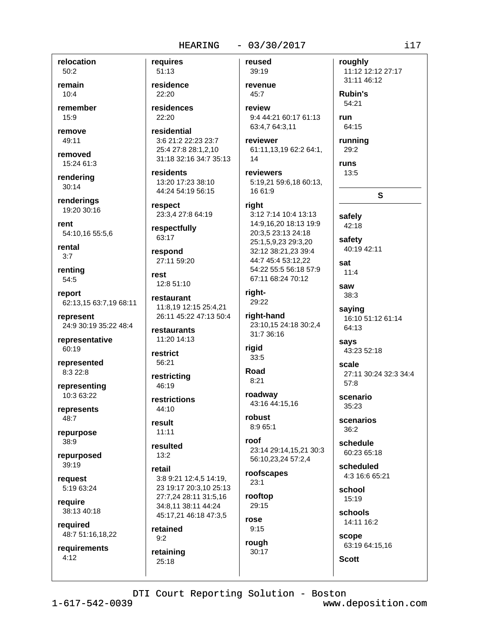relocation 50:2

remain  $10:4$ 

remember 15:9

remove  $49:11$ 

removed 15:24 61:3

rendering  $30:14$ 

renderings 19:20 30:16

rent 54:10,16 55:5,6

rental  $3:7$ 

renting 54:5

report 62:13,15 63:7,19 68:11

represent 24:9 30:19 35:22 48:4

representative 60:19

represented 8:3 22:8

representing 10:3 63:22

represents 48:7

repurpose 38:9

repurposed  $39:19$ 

request 5:19 63:24

require 38:13 40:18

required 48:7 51:16,18,22

requirements  $4:12$ 

requires 51:13 residence 22:20 residences 22:20 residential 3:6 21:2 22:23 23:7 25:4 27:8 28:1,2,10 31:18 32:16 34:7 35:13 residents 13:20 17:23 38:10 44:24 54:19 56:15

respect 23:3,4 27:8 64:19

respectfully 63:17

respond 27:11 59:20

 $r$  $et$ 12:8 51:10

restaurant 11:8.19 12:15 25:4.21 26:11 45:22 47:13 50:4

restaurants 11:20 14:13

restrict 56:21

restricting  $46:19$ 

restrictions  $44.10$ 

result  $11:11$ 

 $13:2$ 

resulted

retail 3:8 9:21 12:4.5 14:19. 23 19:17 20:3.10 25:13 27:7,24 28:11 31:5,16 34:8.11 38:11 44:24 45:17,21 46:18 47:3,5

retained  $9:2$ 

retaining

 $25:18$ 

reused 39:19

revenue  $45:7$ review

9:4 44:21 60:17 61:13 63:4,7 64:3,11

reviewer 61:11.13.19 62:2 64:1. 14

reviewers 5:19,21 59:6,18 60:13, 16 61:9

### right

3:12 7:14 10:4 13:13 14:9,16,20 18:13 19:9 20:3,5 23:13 24:18 25:1,5,9,23 29:3,20 32:12 38:21,23 39:4 44:7 45:4 53:12,22 54:22 55:5 56:18 57:9 67:11 68:24 70:12

right-29:22

right-hand 23:10,15 24:18 30:2,4 31:7 36:16

riaid 33:5

Road  $8:21$ 

roadway 43:16 44:15,16 robust

 $8:965:1$ roof

23:14 29:14,15,21 30:3 56:10,23,24 57:2,4

roofscapes  $23:1$ 

rooftop 29:15

rose  $9:15$ rough 30:17

54:21 run 64:15 running 29:2 **runs** 13:5 S safely 42:18 safety 40:19 42:11 sat  $11:4$ saw  $38:3$ saying

roughly

**Rubin's** 

11:12 12:12 27:17

31:11 46:12

16:10 51:12 61:14 64:13

says 43:23 52:18

scale 27:11 30:24 32:3 34:4  $57:8$ 

scenario 35:23

scenarios  $36:2$ 

schedule 60:23 65:18

> scheduled 4:3 16:6 65:21

school 15:19

schools 14:11 16:2

scope 63:19 64:15,16

**Scott** 

DTI Court Reporting Solution - Boston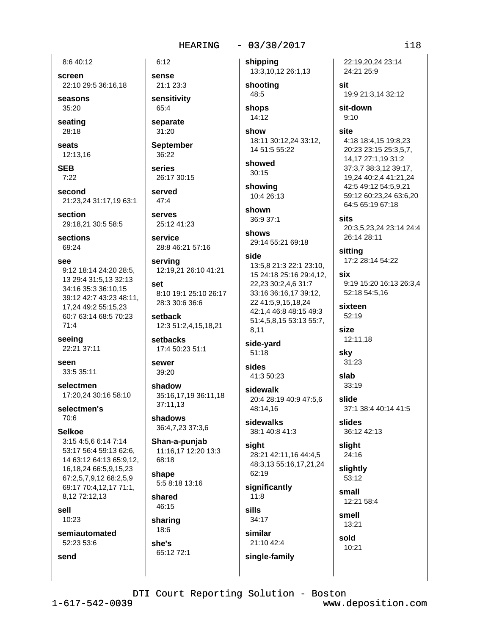8:6 40:12

screen 22:10 29:5 36:16,18

seasons  $35:20$ 

seating 28:18

seats 12:13,16

**SEB**  $7:22$ 

second 21:23,24 31:17,19 63:1

section 29:18,21 30:5 58:5

**sections** 69:24

**See** 

9:12 18:14 24:20 28:5. 13 29:4 31:5.13 32:13 34:16 35:3 36:10,15 39:12 42:7 43:23 48:11, 17.24 49:2 55:15.23 60:7 63:14 68:5 70:23  $71:4$ 

seeing 22:21 37:11

SAAN 33:5 35:11

selectmen 17:20.24 30:16 58:10

selectmen's 70:6

**Selkoe** 

3:15 4:5,6 6:14 7:14 53:17 56:4 59:13 62:6, 14 63:12 64:13 65:9.12. 16, 18, 24 66: 5, 9, 15, 23 67:2,5,7,9,12 68:2,5,9 69:17 70:4,12,17 71:1, 8,12 72:12,13

sell

send

 $10.23$ 

semiautomated 52:23 53:6

 $31:20$ **September** 36:22

 $6:12$ 

sense

65:4

21:1 23:3

sensitivity

separate

series 26:17 30:15

served  $47:4$ 

service

**Serves** 25:12 41:23

28:8 46:21 57:16

serving 12:19,21 26:10 41:21

set 8:10 19:1 25:10 26:17 28:3 30:6 36:6

setback 12:3 51:2,4,15,18,21

setbacks 17:4 50:23 51:1

**Sewer** 39:20

shadow 35:16,17,19 36:11,18 37:11.13

shadows 36:4,7,23 37:3,6

Shan-a-punjab 11:16,17 12:20 13:3 68:18

shape 5:5 8:18 13:16

shared 46:15

sharing 18:6

she's 65:12 72:1 shipping 13:3,10,12 26:1,13

shooting 48:5 shops

14:12

show 18:11 30:12,24 33:12, 14 51:5 55:22

showed  $30:15$ 

showing 10:4 26:13

shown 36:9 37:1

shows 29:14 55:21 69:18

### side

13:5,8 21:3 22:1 23:10, 15 24:18 25:16 29:4,12, 22,23 30:2,4,6 31:7 33:16 36:16,17 39:12, 22 41:5,9,15,18,24 42:1.4 46:8 48:15 49:3 51:4,5,8,15 53:13 55:7, 8,11

side-yard  $51:18$ 

sides 41:3 50:23

sidewalk 20:4 28:19 40:9 47:5,6 48:14.16

sidewalks 38:1 40:8 41:3

sight 28:21 42:11,16 44:4,5 48:3,13 55:16,17,21,24 62:19

significantly  $11:8$ sills  $34.17$ similar 21:10 42:4

single-family

 $9:10$ site 4:18 18:4,15 19:8,23 20:23 23:15 25:3,5,7, 14,17 27:1,19 31:2 37:3,7 38:3,12 39:17, 19,24 40:2,4 41:21,24 42:5 49:12 54:5,9,21 59:12 60:23,24 63:6,20 64:5 65:19 67:18

22:19.20.24 23:14

19:9 21:3.14 32:12

24:21 25:9

sit-down

sit

sits 20:3,5,23,24 23:14 24:4

26:14 28:11 sitting

17:2 28:14 54:22

six 9:19 15:20 16:13 26:3.4 52:18 54:5.16

sixteen  $52:19$ 

> size 12:11,18

sky 31:23

slah 33:19

slide 37:1 38:4 40:14 41:5

slides 36:12 42:13

slight 24:16

slightly  $53:12$ 

small 12:21 58:4

smell 13:21

sold 10:21

DTI Court Reporting Solution - Boston

 $1 - 617 - 542 - 0039$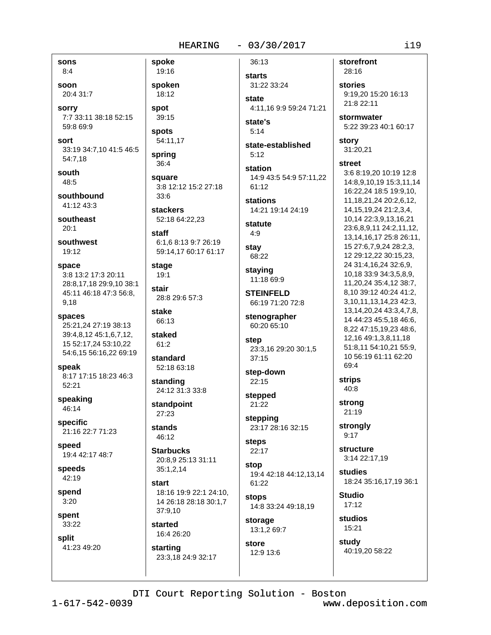sons

 $8:4$ soon

20:4 31:7

**sorry** 7:7 33:11 38:18 52:15 59:8 69:9

sort 33:19 34:7,10 41:5 46:5 54:7,18

south 48:5

southbound 41:12 43:3

southeast  $20:1$ 

southwest 19:12

- space 3:8 13:2 17:3 20:11 28:8,17,18 29:9,10 38:1 45:11 46:18 47:3 56:8, 9,18
- spaces 25:21,24 27:19 38:13 39:4,8,12 45:1,6,7,12, 15 52:17,24 53:10,22 54:6,15 56:16,22 69:19
- speak 8:17 17:15 18:23 46:3 52:21

speaking 46:14

specific 21:16 22:7 71:23

speed 19:4 42:17 48:7

speeds 42:19

spend  $3:20$ 

spent 33:22

split

41:23 49:20

19:16 spoken 18:12

spoke

spot 39:15

**spots** 54:11,17

spring

 $36:4$ 

square 3:8 12:12 15:2 27:18  $33:6$ 

**stackers** 52:18 64:22,23

staff 6:1,6 8:13 9:7 26:19 59:14,17 60:17 61:17

stage  $19:1$ 

stair 28:8 29:6 57:3

stake 66:13

staked

 $61:2$ standard 52:18 63:18

standing 24:12 31:3 33:8

standpoint  $27:23$ 

stands 46:12

**Starbucks** 20:8,9 25:13 31:11 35:1,2,14

start 18:16 19:9 22:1 24:10, 14 26:18 28:18 30:1,7 37:9,10

started 16:4 26:20

starting 23:3.18 24:9 32:17 **starts** 31:22 33:24 state

36:13

4:11.16 9:9 59:24 71:21 state's

 $5:14$ 

state-established  $5:12$ 

station 14:9 43:5 54:9 57:11.22 61:12

**stations** 14:21 19:14 24:19

statute  $4:9$ 

stay 68:22

staying 11:18 69:9

**STEINFELD** 66:19 71:20 72:8

stenographer 60:20 65:10

step 23:3,16 29:20 30:1,5  $37:15$ 

step-down 22:15

stepped 21:22

stepping 23:17 28:16 32:15

steps 22:17

stop 19:4 42:18 44:12.13.14 61:22

stops 14:8 33:24 49:18,19

storage 13:1,2 69:7

store 12:9 13:6 storefront 28:16

stories 9:19.20 15:20 16:13 21:8 22:11

stormwater 5:22 39:23 40:1 60:17

story 31:20,21

### street

3:6 8:19,20 10:19 12:8 14:8,9,10,19 15:3,11,14 16:22.24 18:5 19:9,10, 11, 18, 21, 24 20: 2, 6, 12, 14.15.19.24 21:2.3.4. 10,14 22:3,9,13,16,21 23:6,8,9,11 24:2,11,12, 13, 14, 16, 17 25: 8 26: 11, 15 27:6,7,9,24 28:2,3, 12 29:12,22 30:15,23, 24 31:4, 16, 24 32:6, 9, 10,18 33:9 34:3,5,8,9, 11,20,24 35:4,12 38:7, 8,10 39:12 40:24 41:2, 3, 10, 11, 13, 14, 23 42: 3, 13, 14, 20, 24 43: 3, 4, 7, 8, 14 44:23 45:5.18 46:6. 8,22 47:15,19,23 48:6, 12,16 49:1,3,8,11,18 51:8.11 54:10.21 55:9. 10 56:19 61:11 62:20 69:4

**strips** 40:8

strona 21:19

strongly  $9:17$ 

structure 3:14 22:17,19

studies 18:24 35:16,17,19 36:1

**Studio**  $17:12$ 

studios 15:21

study 40:19,20 58:22

DTI Court Reporting Solution - Boston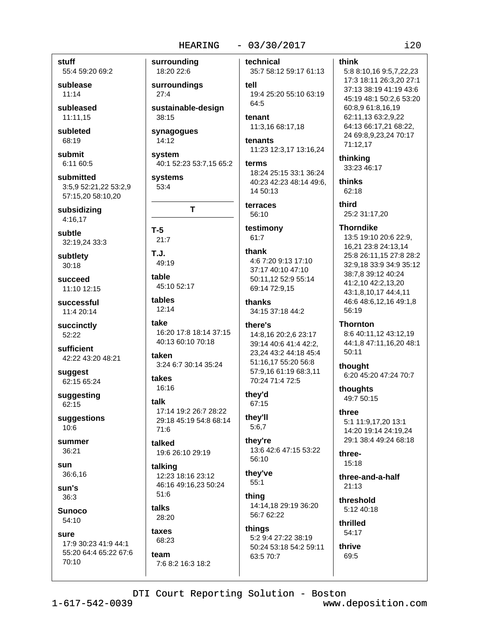### **HEARING**

### $-03/30/2017$

stuff

55:4 59:20 69:2

sublease  $11:14$ 

subleased 11:11,15

subleted 68:19

submit 6:11 60:5

submitted 3:5,9 52:21,22 53:2,9 57:15.20 58:10.20

subsidizing 4:16,17

subtle 32:19,24 33:3

subtlety  $30:18$ 

succeed 11:10 12:15

successful 11:4 20:14

succinctly 52:22

sufficient 42:22 43:20 48:21

suggest 62:15 65:24

suggesting 62:15

suggestions  $10:6$ 

summer 36:21

sun 36:6.16

sun's  $36:3$ 

**Sunoco** 54:10

SUITE 17:9 30:23 41:9 44:1 55:20 64:4 65:22 67:6  $70:10$ 

surrounding 18:20 22:6

surroundings  $27:4$ 

sustainable-design 38:15

synagogues 14:12

system 40:1 52:23 53:7,15 65:2

systems 53:4

T  $T-5$ 

 $21:7$  $T_{\rm L}$ 

49:19

table 45:10 52:17

tables 12:14

take 16:20 17:8 18:14 37:15 40:13 60:10 70:18

taken 3:24 6:7 30:14 35:24

### takes 16:16

talk 17:14 19:2 26:7 28:22 29:18 45:19 54:8 68:14  $71:6$ 

talked 19:6 26:10 29:19

talking 12:23 18:16 23:12 46:16 49:16,23 50:24  $51:6$ 

talks 28:20

taxes 68:23

team 7:6 8:2 16:3 18:2 technical

35:7 58:12 59:17 61:13 tell 19:4 25:20 55:10 63:19 64:5

tenant 11:3,16 68:17,18

tenants 11:23 12:3,17 13:16,24

terms 18:24 25:15 33:1 36:24 40:23 42:23 48:14 49:6. 14 50:13

terraces 56:10

testimony  $61:7$ 

thank 4:6 7:20 9:13 17:10 37:17 40:10 47:10 50:11,12 52:9 55:14 69:14 72:9.15

thanks 34:15 37:18 44:2

there's

14:8.16 20:2.6 23:17 39:14 40:6 41:4 42:2, 23,24 43:2 44:18 45:4 51:16,17 55:20 56:8 57:9,16 61:19 68:3,11 70:24 71:4 72:5

they'd 67:15

they'll  $5:6,7$ 

they're 13:6 42:6 47:15 53:22 56:10

they've  $55:1$ 

thina 14:14.18 29:19 36:20 56:7 62:22

things 5:2 9:4 27:22 38:19 50:24 53:18 54:2 59:11 63:5 70:7

### think

5:8 8:10,16 9:5,7,22,23 17:3 18:11 26:3,20 27:1 37:13 38:19 41:19 43:6 45:19 48:1 50:2,6 53:20 60:8.9 61:8.16.19 62:11,13 63:2,9,22 64:13 66:17,21 68:22, 24 69:8,9,23,24 70:17 71:12,17

thinking 33:23 46:17

thinks 62:18

> third 25:2 31:17.20

**Thorndike** 

13:5 19:10 20:6 22:9. 16,21 23:8 24:13,14 25:8 26:11,15 27:8 28:2 32:9,18 33:9 34:9 35:12 38:7,8 39:12 40:24 41:2,10 42:2,13,20 43:1,8,10,17 44:4,11 46:6 48:6,12,16 49:1,8 56:19

**Thornton** 

8:6 40:11,12 43:12,19 44:1,8 47:11,16,20 48:1 50:11

thought 6:20 45:20 47:24 70:7

thoughts 49:7 50:15

three 5:1 11:9.17.20 13:1

14:20 19:14 24:19.24 29:1 38:4 49:24 68:18

three-15:18

three-and-a-half  $21:13$ 

threshold 5:12 40:18

thrilled 54:17

thrive 69:5

DTI Court Reporting Solution - Boston

 $1 - 617 - 542 - 0039$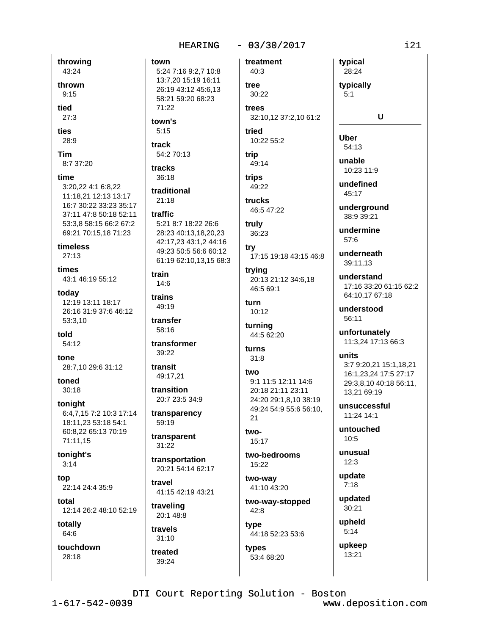### **HEARING**

# $-03/30/2017$ treatment

throwing town 43:24 thrown  $9:15$ heit  $27:3$ ties  $5:15$ 28:9 track Tim 8:7 37:20 tracks time 3:20.22 4:1 6:8.22 11:18,21 12:13 13:17 16:7 30:22 33:23 35:17 37:11 47:8 50:18 52:11 traffic 53:3,8 58:15 66:2 67:2 69:21 70:15,18 71:23 timeless  $27:13$ times train 43:1 46:19 55:12  $14:6$ today trains 12:19 13:11 18:17 26:16 31:9 37:6 46:12 53:3,10 told  $54:12$ transformer tone 28:7,10 29:6 31:12 transit toned  $30:18$ tonight 6:4,7,15 7:2 10:3 17:14 18:11,23 53:18 54:1 60:8,22 65:13 70:19 71:11.15 tonight's  $3:14$ top 22:14 24:4 35:9 total 12:14 26:2 48:10 52:19 totally 64:6 touchdown 28:18 39:24

5:24 7:16 9:2,7 10:8 13:7,20 15:19 16:11 26:19 43:12 45:6.13 58:21 59:20 68:23  $71:22$ town's 54:2 70:13 36:18 traditional  $21:18$ 5:21 8:7 18:22 26:6 28:23 40:13,18,20,23

42:17,23 43:1,2 44:16 49:23 50:5 56:6 60:12 61:19 62:10,13,15 68:3

49:19

transfer 58:16

39:22

49:17.21

transition 20:7 23:5 34:9

transparency 59:19

transparent  $31:22$ 

transportation 20:21 54:14 62:17

travel 41:15 42:19 43:21

traveling 20:1 48:8

travels  $31:10$ treated

40:3 tree 30:22 trees

32:10,12 37:2,10 61:2 tried

# 10:22 55:2

trip 49:14

trips 49:22 trucks

46:5 47:22

truly 36:23

try 17:15 19:18 43:15 46:8

trying 20:13 21:12 34:6.18 46:5 69:1

turn  $10:12$ 

turning 44:5 62:20

turns  $31:8$ 

### two 9:1 11:5 12:11 14:6 20:18 21:11 23:11 24:20 29:1,8,10 38:19 49:24 54:9 55:6 56:10,  $21$

two- $15:17$ 

two-bedrooms 15:22

two-way 41:10 43:20

two-way-stopped 42:8 type

44:18 52:23 53:6 types 53:4 68:20

undermine 57:6 underneath 39:11.13

typical

28:24

typically

 $\mathbf{U}$ 

 $5:1$ 

**Uber** 

54:13

unable

 $45:17$ 

 $10.23119$ 

undefined

underground

38:9 39:21

understand 17:16 33:20 61:15 62:2 64:10.17 67:18

understood 56:11

unfortunately 11:3.24 17:13 66:3

units 3:7 9:20,21 15:1,18,21 16:1,23,24 17:5 27:17 29:3,8,10 40:18 56:11, 13,21 69:19

unsuccessful 11:24 14:1

untouched  $10:5$ 

unusual  $12:3$ 

update  $7:18$ 

updated  $30:21$ 

upheld  $5:14$ 

> upkeep 13:21

DTI Court Reporting Solution - Boston

 $1 - 617 - 542 - 0039$ 

www.deposition.com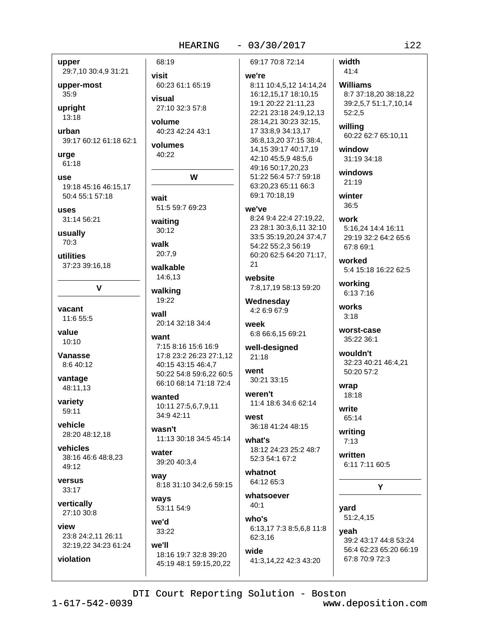upper 29:7,10 30:4,9 31:21

upper-most 35:9

upright 13:18

urban 39:17 60:12 61:18 62:1

urge 61:18

use 19:18 45:16 46:15.17 50:4 55:1 57:18

**uses** 31:14 56:21

usually 70:3

utilities 37:23 39:16,18

 $\mathbf v$ 

vacant 11:6 55:5

value  $10:10$ 

Vanasse 8:6 40:12

vantage 48:11.13

variety 59:11

vehicle 28:20 48:12,18

vehicles 38:16 46:6 48:8,23 49:12

versus 33:17

violation

vertically 27:10 30:8

view 23:8 24:2.11 26:11 32:19,22 34:23 61:24

68:19 visit 60:23 61:1 65:19 visual 27:10 32:3 57:8 volume 40:23 42:24 43:1 volumes 40:22 W wait 51:5 59:7 69:23 waiting  $30:12$ walk 20:7.9 walkable 14:6.13 walking 19:22 wall 20:14 32:18 34:4 want 7:15 8:16 15:6 16:9 17:8 23:2 26:23 27:1,12 40:15 43:15 46:4,7 50:22 54:8 59:6,22 60:5 66:10 68:14 71:18 72:4 wanted 10:11 27:5,6,7,9,11 34:9 42:11 wasn't 11:13 30:18 34:5 45:14 water 39:20 40:3.4 way

8:18 31:10 34:2,6 59:15 ways 53:11 54:9

we'd 33:22

we'll 18:16 19:7 32:8 39:20

45:19 48:1 59:15,20,22

69:17 70:8 72:14

### we're

8:11 10:4,5,12 14:14,24 16:12,15,17 18:10,15 19:1 20:22 21:11,23 22:21 23:18 24:9,12,13 28:14,21 30:23 32:15, 17 33:8,9 34:13,17 36:8,13,20 37:15 38:4, 14, 15 39: 17 40: 17, 19 42:10 45:5,9 48:5,6 49:16 50:17.20.23 51:22 56:4 57:7 59:18 63:20,23 65:11 66:3 69:1 70:18,19

### we've

8:24 9:4 22:4 27:19.22. 23 28:1 30:3,6,11 32:10 33:5 35:19,20,24 37:4,7 54:22 55:2,3 56:19 60:20 62:5 64:20 71:17, 21

website 7:8,17,19 58:13 59:20

Wednesday 4:2 6:9 67:9

week 6:8 66:6,15 69:21

well-designed 21:18

went 30:21 33:15

weren't 11:4 18:6 34:6 62:14

west 36:18 41:24 48:15

what's 18:12 24:23 25:2 48:7 52:3 54:1 67:2

whatnot 64:12 65:3

whatsoever  $40:1$ who's

6:13,17 7:3 8:5,6,8 11:8 62:3,16 wide 41:3,14,22 42:3 43:20

width 41:4

**Williams** 8:7 37:18,20 38:18,22

39:2,5,7 51:1,7,10,14  $52:2,5$ 

willing 60:22 62:7 65:10,11

window 31:19 34:18

windows  $21:19$ 

winter 36:5

work 5:16,24 14:4 16:11 29:19 32:2 64:2 65:6 67:8 69:1

worked 5:4 15:18 16:22 62:5

working 6:13 7:16

works  $3.18$ 

worst-case 35:22 36:1

wouldn't 32:23 40:21 46:4,21 50:20 57:2

wrap 18:18

write 65:14

writing  $7:13$ 

written 6:11 7:11 60:5

# Y

vard  $51:2,4,15$ yeah 39:2 43:17 44:8 53:24 56:4 62:23 65:20 66:19 67:8 70:9 72:3

DTI Court Reporting Solution - Boston